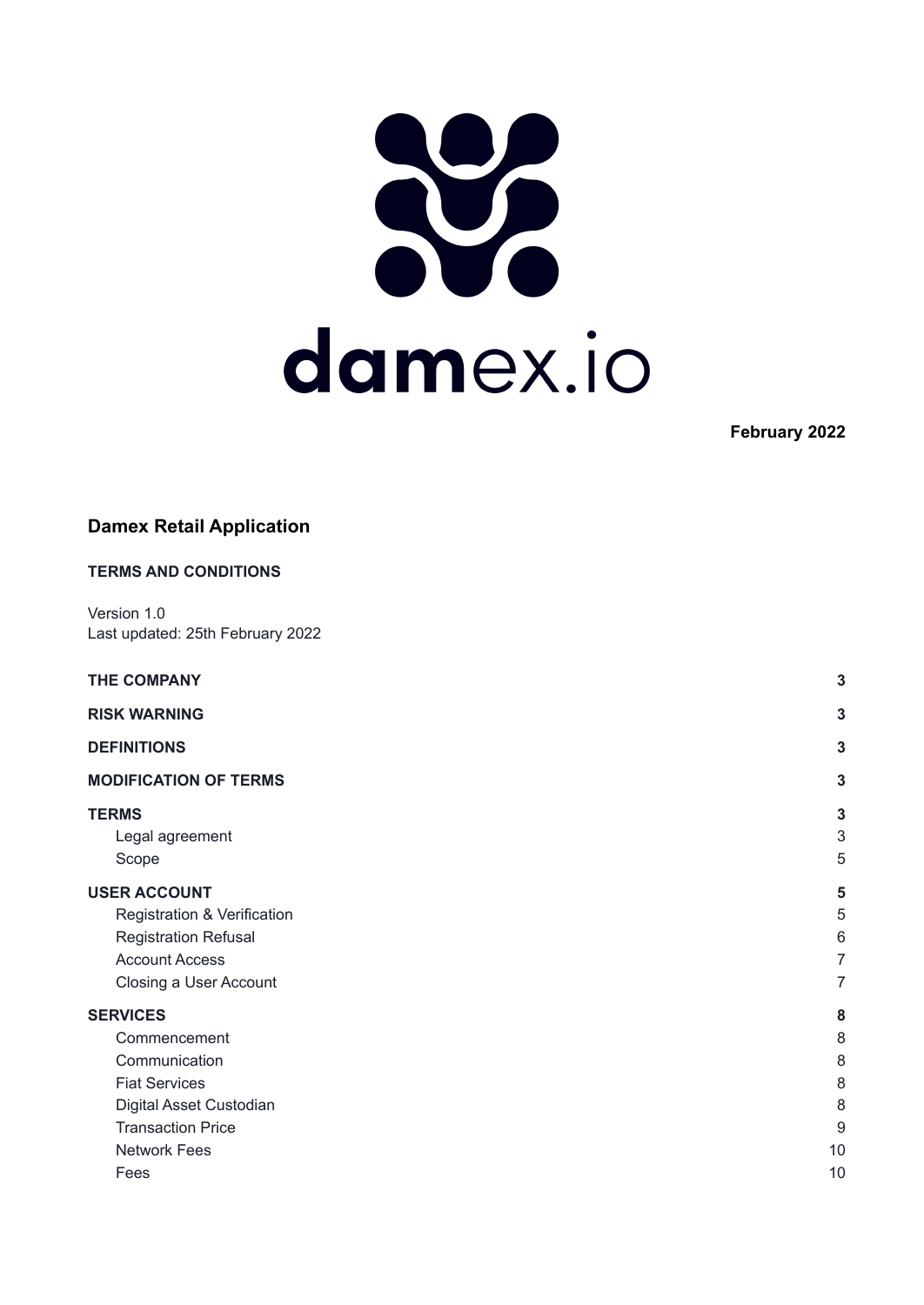

**February 2022**

## **Damex Retail Application**

| <b>TERMS AND CONDITIONS</b>                                                                                                                            |                                                     |
|--------------------------------------------------------------------------------------------------------------------------------------------------------|-----------------------------------------------------|
| Version 1.0<br>Last updated: 25th February 2022                                                                                                        |                                                     |
| <b>THE COMPANY</b>                                                                                                                                     | 3                                                   |
| <b>RISK WARNING</b>                                                                                                                                    | 3                                                   |
| <b>DEFINITIONS</b>                                                                                                                                     | $\mathbf{3}$                                        |
| <b>MODIFICATION OF TERMS</b>                                                                                                                           | $\mathbf{3}$                                        |
| <b>TERMS</b><br>Legal agreement<br>Scope                                                                                                               | $\mathbf{3}$<br>$\ensuremath{\mathsf{3}}$<br>5      |
| <b>USER ACCOUNT</b><br>Registration & Verification<br><b>Registration Refusal</b><br><b>Account Access</b><br>Closing a User Account                   | 5<br>5<br>$6\,$<br>$\overline{7}$<br>$\overline{7}$ |
| <b>SERVICES</b><br>Commencement<br>Communication<br><b>Fiat Services</b><br>Digital Asset Custodian<br><b>Transaction Price</b><br><b>Network Fees</b> | 8<br>8<br>8<br>8<br>8<br>$9\,$<br>10                |
| Fees                                                                                                                                                   | 10                                                  |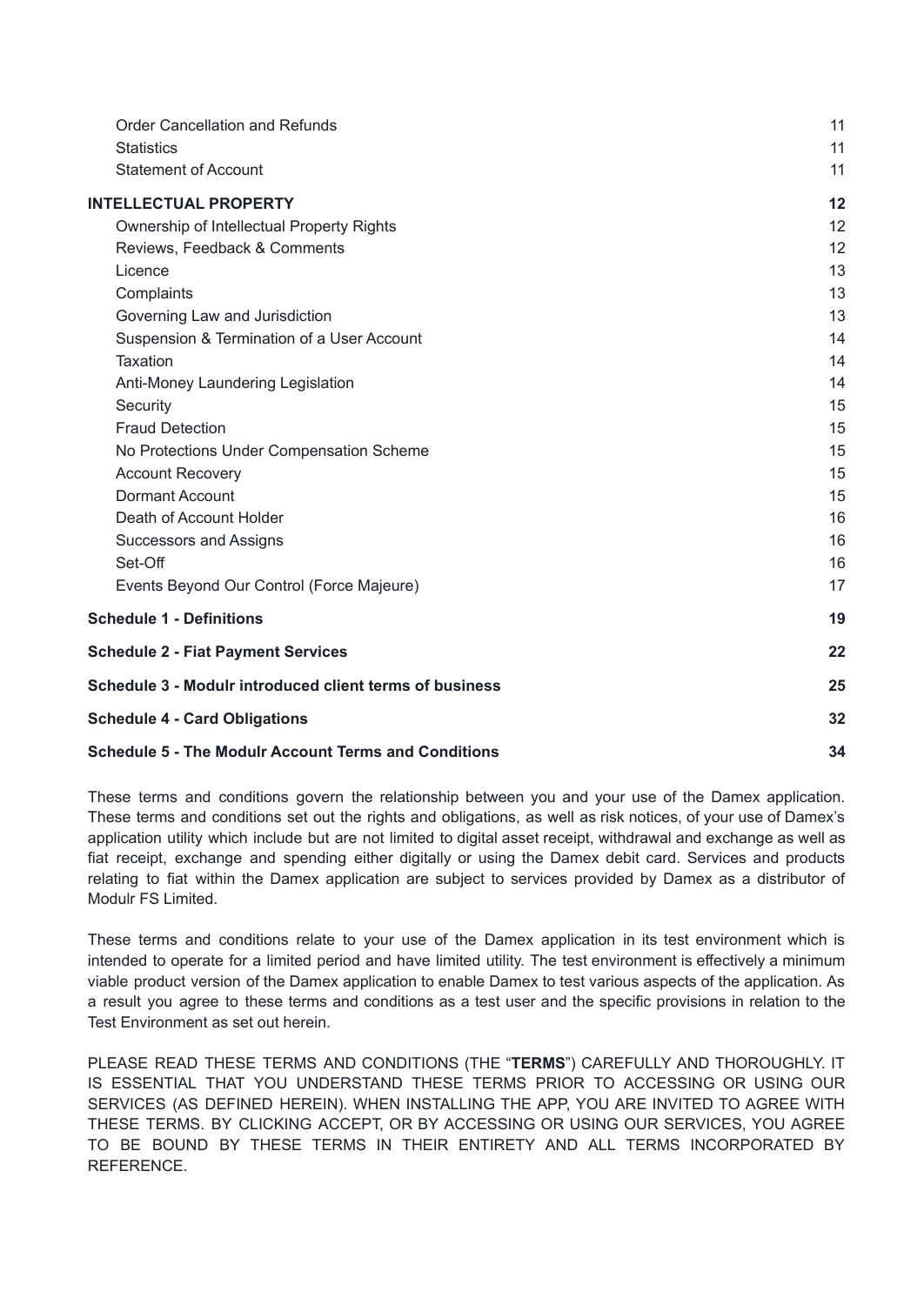| <b>Order Cancellation and Refunds</b>                       | 11 |
|-------------------------------------------------------------|----|
| <b>Statistics</b>                                           | 11 |
| <b>Statement of Account</b>                                 | 11 |
| <b>INTELLECTUAL PROPERTY</b>                                | 12 |
| Ownership of Intellectual Property Rights                   | 12 |
| Reviews, Feedback & Comments                                | 12 |
| Licence                                                     | 13 |
| Complaints                                                  | 13 |
| Governing Law and Jurisdiction                              | 13 |
| Suspension & Termination of a User Account                  | 14 |
| <b>Taxation</b>                                             | 14 |
| Anti-Money Laundering Legislation                           | 14 |
| Security                                                    | 15 |
| <b>Fraud Detection</b>                                      | 15 |
| No Protections Under Compensation Scheme                    | 15 |
| <b>Account Recovery</b>                                     | 15 |
| Dormant Account                                             | 15 |
| Death of Account Holder                                     | 16 |
| <b>Successors and Assigns</b>                               | 16 |
| Set-Off                                                     | 16 |
| Events Beyond Our Control (Force Majeure)                   | 17 |
| <b>Schedule 1 - Definitions</b>                             | 19 |
| <b>Schedule 2 - Fiat Payment Services</b>                   | 22 |
| Schedule 3 - Modulr introduced client terms of business     | 25 |
| <b>Schedule 4 - Card Obligations</b>                        | 32 |
| <b>Schedule 5 - The Modulr Account Terms and Conditions</b> | 34 |

These terms and conditions govern the relationship between you and your use of the Damex application. These terms and conditions set out the rights and obligations, as well as risk notices, of your use of Damex's application utility which include but are not limited to digital asset receipt, withdrawal and exchange as well as fiat receipt, exchange and spending either digitally or using the Damex debit card. Services and products relating to fiat within the Damex application are subject to services provided by Damex as a distributor of Modulr FS Limited.

These terms and conditions relate to your use of the Damex application in its test environment which is intended to operate for a limited period and have limited utility. The test environment is effectively a minimum viable product version of the Damex application to enable Damex to test various aspects of the application. As a result you agree to these terms and conditions as a test user and the specific provisions in relation to the Test Environment as set out herein.

PLEASE READ THESE TERMS AND CONDITIONS (THE "**TERMS**") CAREFULLY AND THOROUGHLY. IT IS ESSENTIAL THAT YOU UNDERSTAND THESE TERMS PRIOR TO ACCESSING OR USING OUR SERVICES (AS DEFINED HEREIN). WHEN INSTALLING THE APP, YOU ARE INVITED TO AGREE WITH THESE TERMS. BY CLICKING ACCEPT, OR BY ACCESSING OR USING OUR SERVICES, YOU AGREE TO BE BOUND BY THESE TERMS IN THEIR ENTIRETY AND ALL TERMS INCORPORATED BY **REFERENCE**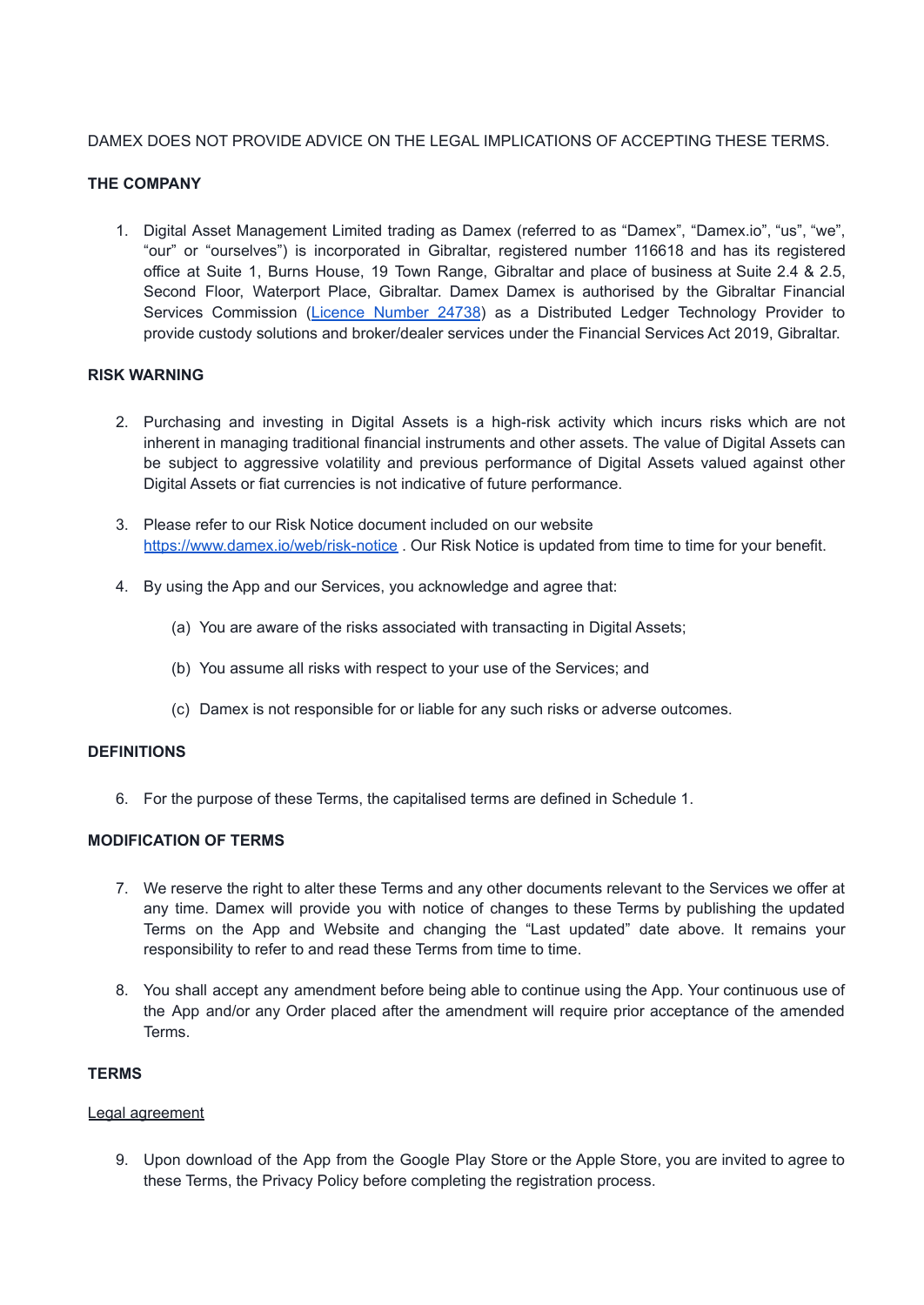## <span id="page-2-0"></span>DAMEX DOES NOT PROVIDE ADVICE ON THE LEGAL IMPLICATIONS OF ACCEPTING THESE TERMS.

## **THE COMPANY**

1. Digital Asset Management Limited trading as Damex (referred to as "Damex", "Damex.io", "us", "we", "our" or "ourselves") is incorporated in Gibraltar, registered number 116618 and has its registered office at Suite 1, Burns House, 19 Town Range, Gibraltar and place of business at Suite 2.4 & 2.5, Second Floor, Waterport Place, Gibraltar. Damex Damex is authorised by the Gibraltar Financial Services Commission (Licence [Number](https://www.fsc.gi/regulated-entity/digital-asset-management-ltd-24738) 24738) as a Distributed Ledger Technology Provider to provide custody solutions and broker/dealer services under the Financial Services Act 2019, Gibraltar.

## <span id="page-2-1"></span>**RISK WARNING**

- 2. Purchasing and investing in Digital Assets is a high-risk activity which incurs risks which are not inherent in managing traditional financial instruments and other assets. The value of Digital Assets can be subject to aggressive volatility and previous performance of Digital Assets valued against other Digital Assets or fiat currencies is not indicative of future performance.
- 3. Please refer to our Risk Notice document included on our website <https://www.damex.io/web/risk-notice> . Our Risk Notice is updated from time to time for your benefit.
- 4. By using the App and our Services, you acknowledge and agree that:
	- (a) You are aware of the risks associated with transacting in Digital Assets;
	- (b) You assume all risks with respect to your use of the Services; and
	- (c) Damex is not responsible for or liable for any such risks or adverse outcomes.

## <span id="page-2-2"></span>**DEFINITIONS**

6. For the purpose of these Terms, the capitalised terms are defined in Schedule 1.

## <span id="page-2-3"></span>**MODIFICATION OF TERMS**

- 7. We reserve the right to alter these Terms and any other documents relevant to the Services we offer at any time. Damex will provide you with notice of changes to these Terms by publishing the updated Terms on the App and Website and changing the "Last updated" date above. It remains your responsibility to refer to and read these Terms from time to time.
- 8. You shall accept any amendment before being able to continue using the App. Your continuous use of the App and/or any Order placed after the amendment will require prior acceptance of the amended Terms.

## <span id="page-2-4"></span>**TERMS**

## <span id="page-2-5"></span>Legal agreement

9. Upon download of the App from the Google Play Store or the Apple Store, you are invited to agree to these Terms, the Privacy Policy before completing the registration process.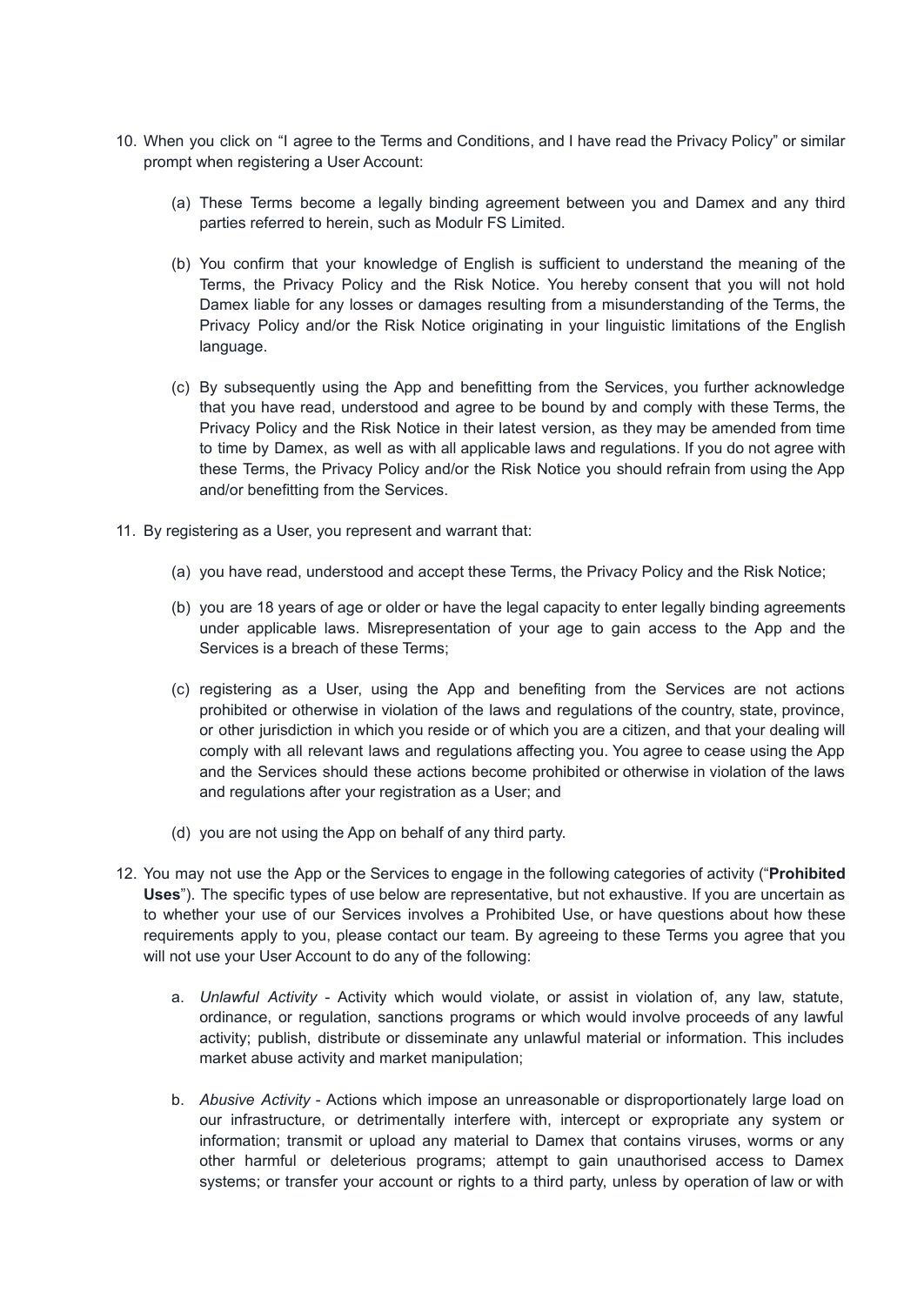- 10. When you click on "I agree to the Terms and Conditions, and I have read the Privacy Policy" or similar prompt when registering a User Account:
	- (a) These Terms become a legally binding agreement between you and Damex and any third parties referred to herein, such as Modulr FS Limited.
	- (b) You confirm that your knowledge of English is sufficient to understand the meaning of the Terms, the Privacy Policy and the Risk Notice. You hereby consent that you will not hold Damex liable for any losses or damages resulting from a misunderstanding of the Terms, the Privacy Policy and/or the Risk Notice originating in your linguistic limitations of the English language.
	- (c) By subsequently using the App and benefitting from the Services, you further acknowledge that you have read, understood and agree to be bound by and comply with these Terms, the Privacy Policy and the Risk Notice in their latest version, as they may be amended from time to time by Damex, as well as with all applicable laws and regulations. If you do not agree with these Terms, the Privacy Policy and/or the Risk Notice you should refrain from using the App and/or benefitting from the Services.
- 11. By registering as a User, you represent and warrant that:
	- (a) you have read, understood and accept these Terms, the Privacy Policy and the Risk Notice;
	- (b) you are 18 years of age or older or have the legal capacity to enter legally binding agreements under applicable laws. Misrepresentation of your age to gain access to the App and the Services is a breach of these Terms;
	- (c) registering as a User, using the App and benefiting from the Services are not actions prohibited or otherwise in violation of the laws and regulations of the country, state, province, or other jurisdiction in which you reside or of which you are a citizen, and that your dealing will comply with all relevant laws and regulations affecting you. You agree to cease using the App and the Services should these actions become prohibited or otherwise in violation of the laws and regulations after your registration as a User; and
	- (d) you are not using the App on behalf of any third party.
- 12. You may not use the App or the Services to engage in the following categories of activity ("**Prohibited Uses**"). The specific types of use below are representative, but not exhaustive. If you are uncertain as to whether your use of our Services involves a Prohibited Use, or have questions about how these requirements apply to you, please contact our team. By agreeing to these Terms you agree that you will not use your User Account to do any of the following:
	- a. *Unlawful Activity -* Activity which would violate, or assist in violation of, any law, statute, ordinance, or regulation, sanctions programs or which would involve proceeds of any lawful activity; publish, distribute or disseminate any unlawful material or information. This includes market abuse activity and market manipulation;
	- b. *Abusive Activity* Actions which impose an unreasonable or disproportionately large load on our infrastructure, or detrimentally interfere with, intercept or expropriate any system or information; transmit or upload any material to Damex that contains viruses, worms or any other harmful or deleterious programs; attempt to gain unauthorised access to Damex systems; or transfer your account or rights to a third party, unless by operation of law or with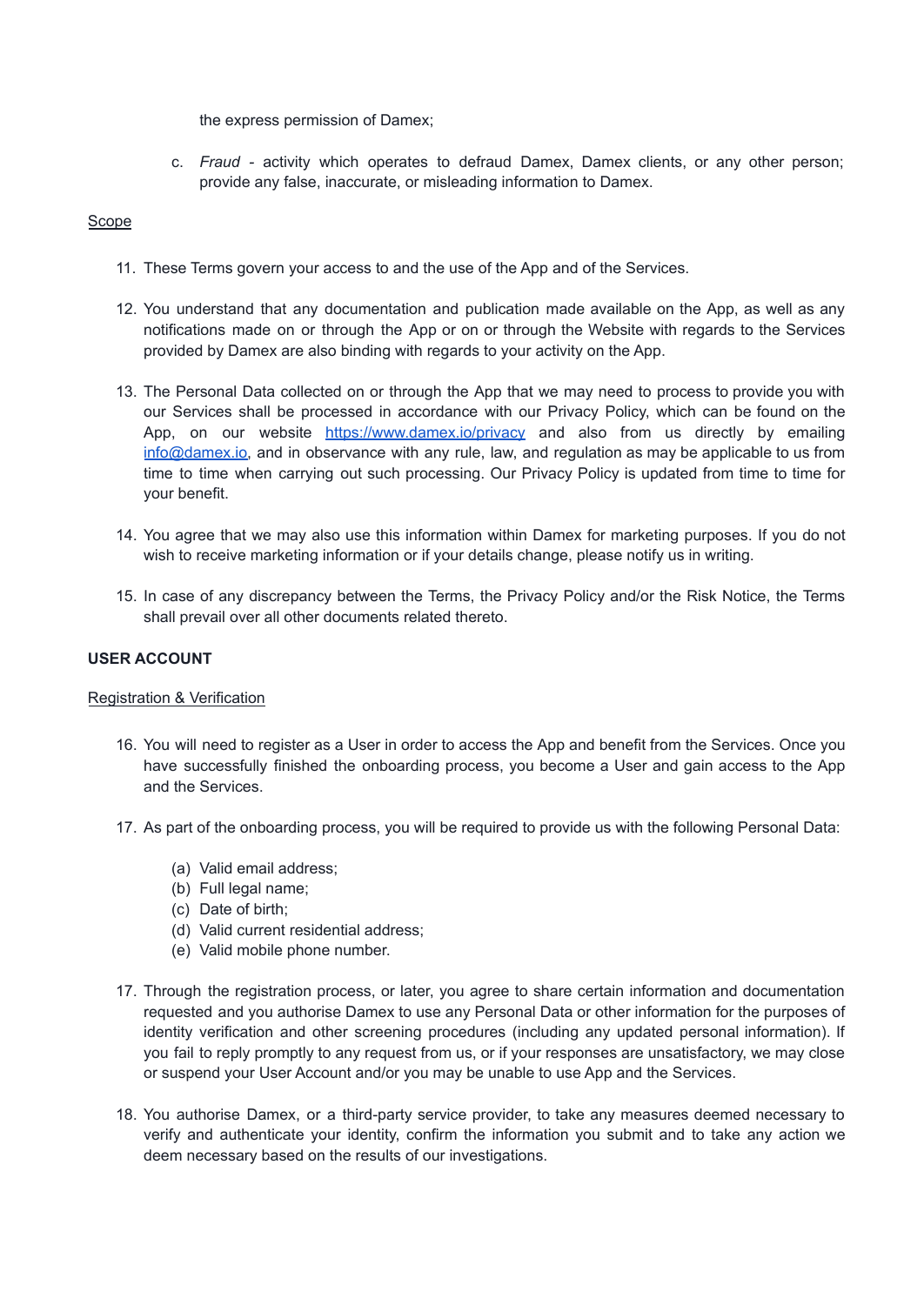the express permission of Damex;

c. *Fraud -* activity which operates to defraud Damex, Damex clients, or any other person; provide any false, inaccurate, or misleading information to Damex.

### <span id="page-4-0"></span>Scope

- 11. These Terms govern your access to and the use of the App and of the Services.
- 12. You understand that any documentation and publication made available on the App, as well as any notifications made on or through the App or on or through the Website with regards to the Services provided by Damex are also binding with regards to your activity on the App.
- 13. The Personal Data collected on or through the App that we may need to process to provide you with our Services shall be processed in accordance with our Privacy Policy, which can be found on the App, on our website <https://www.damex.io/privacy> and also from us directly by emailing [info@damex.io,](mailto:info@damex.io) and in observance with any rule, law, and regulation as may be applicable to us from time to time when carrying out such processing. Our Privacy Policy is updated from time to time for your benefit.
- 14. You agree that we may also use this information within Damex for marketing purposes. If you do not wish to receive marketing information or if your details change, please notify us in writing.
- 15. In case of any discrepancy between the Terms, the Privacy Policy and/or the Risk Notice, the Terms shall prevail over all other documents related thereto.

### <span id="page-4-1"></span>**USER ACCOUNT**

#### <span id="page-4-2"></span>Registration & Verification

- 16. You will need to register as a User in order to access the App and benefit from the Services. Once you have successfully finished the onboarding process, you become a User and gain access to the App and the Services.
- 17. As part of the onboarding process, you will be required to provide us with the following Personal Data:
	- (a) Valid email address;
	- (b) Full legal name;
	- (c) Date of birth;
	- (d) Valid current residential address;
	- (e) Valid mobile phone number.
- 17. Through the registration process, or later, you agree to share certain information and documentation requested and you authorise Damex to use any Personal Data or other information for the purposes of identity verification and other screening procedures (including any updated personal information). If you fail to reply promptly to any request from us, or if your responses are unsatisfactory, we may close or suspend your User Account and/or you may be unable to use App and the Services.
- 18. You authorise Damex, or a third-party service provider, to take any measures deemed necessary to verify and authenticate your identity, confirm the information you submit and to take any action we deem necessary based on the results of our investigations.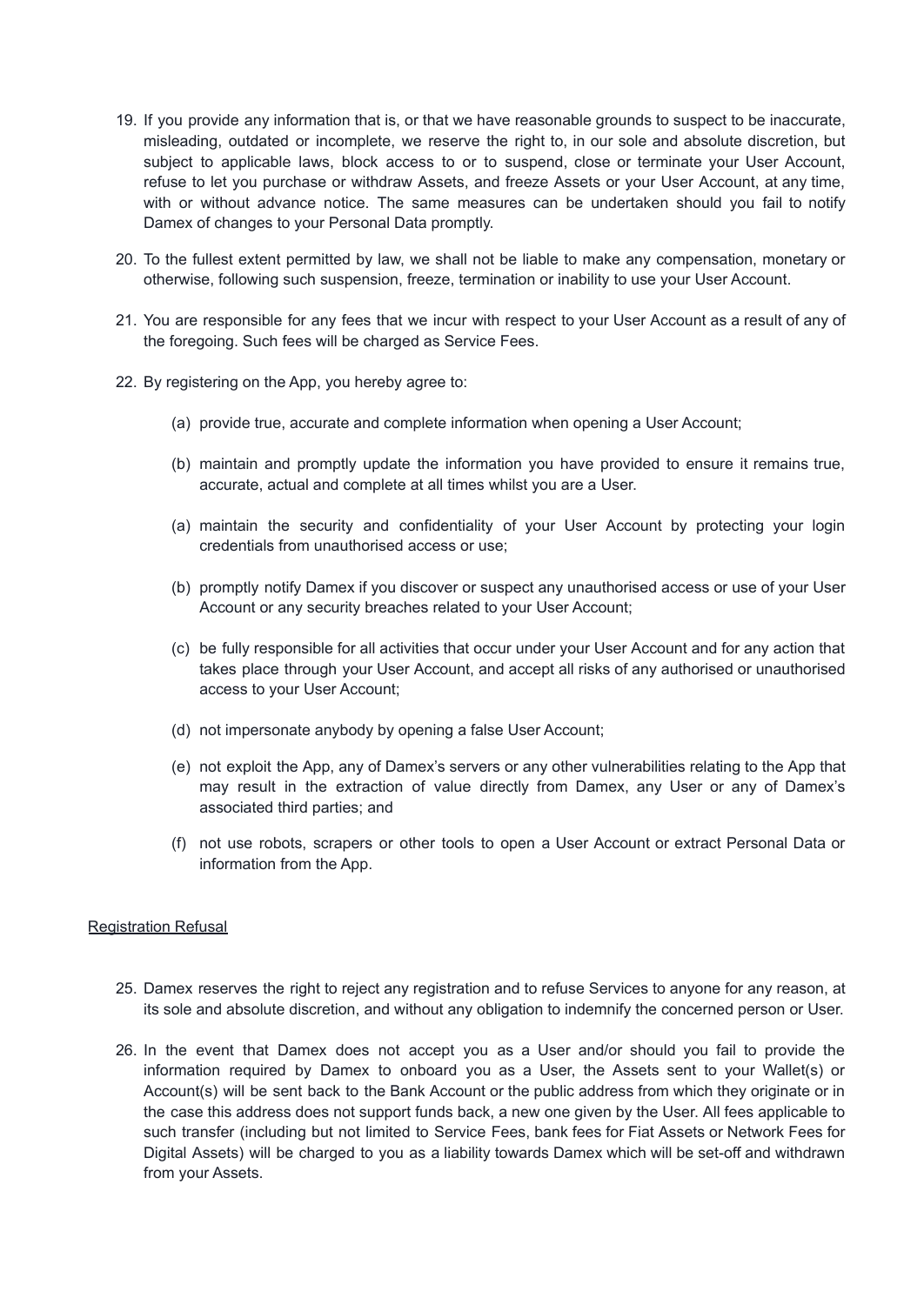- 19. If you provide any information that is, or that we have reasonable grounds to suspect to be inaccurate, misleading, outdated or incomplete, we reserve the right to, in our sole and absolute discretion, but subject to applicable laws, block access to or to suspend, close or terminate your User Account, refuse to let you purchase or withdraw Assets, and freeze Assets or your User Account, at any time, with or without advance notice. The same measures can be undertaken should you fail to notify Damex of changes to your Personal Data promptly.
- 20. To the fullest extent permitted by law, we shall not be liable to make any compensation, monetary or otherwise, following such suspension, freeze, termination or inability to use your User Account.
- 21. You are responsible for any fees that we incur with respect to your User Account as a result of any of the foregoing. Such fees will be charged as Service Fees.
- 22. By registering on the App, you hereby agree to:
	- (a) provide true, accurate and complete information when opening a User Account;
	- (b) maintain and promptly update the information you have provided to ensure it remains true, accurate, actual and complete at all times whilst you are a User.
	- (a) maintain the security and confidentiality of your User Account by protecting your login credentials from unauthorised access or use;
	- (b) promptly notify Damex if you discover or suspect any unauthorised access or use of your User Account or any security breaches related to your User Account;
	- (c) be fully responsible for all activities that occur under your User Account and for any action that takes place through your User Account, and accept all risks of any authorised or unauthorised access to your User Account;
	- (d) not impersonate anybody by opening a false User Account;
	- (e) not exploit the App, any of Damex's servers or any other vulnerabilities relating to the App that may result in the extraction of value directly from Damex, any User or any of Damex's associated third parties; and
	- (f) not use robots, scrapers or other tools to open a User Account or extract Personal Data or information from the App.

## <span id="page-5-0"></span>Registration Refusal

- 25. Damex reserves the right to reject any registration and to refuse Services to anyone for any reason, at its sole and absolute discretion, and without any obligation to indemnify the concerned person or User.
- 26. In the event that Damex does not accept you as a User and/or should you fail to provide the information required by Damex to onboard you as a User, the Assets sent to your Wallet(s) or Account(s) will be sent back to the Bank Account or the public address from which they originate or in the case this address does not support funds back, a new one given by the User. All fees applicable to such transfer (including but not limited to Service Fees, bank fees for Fiat Assets or Network Fees for Digital Assets) will be charged to you as a liability towards Damex which will be set-off and withdrawn from your Assets.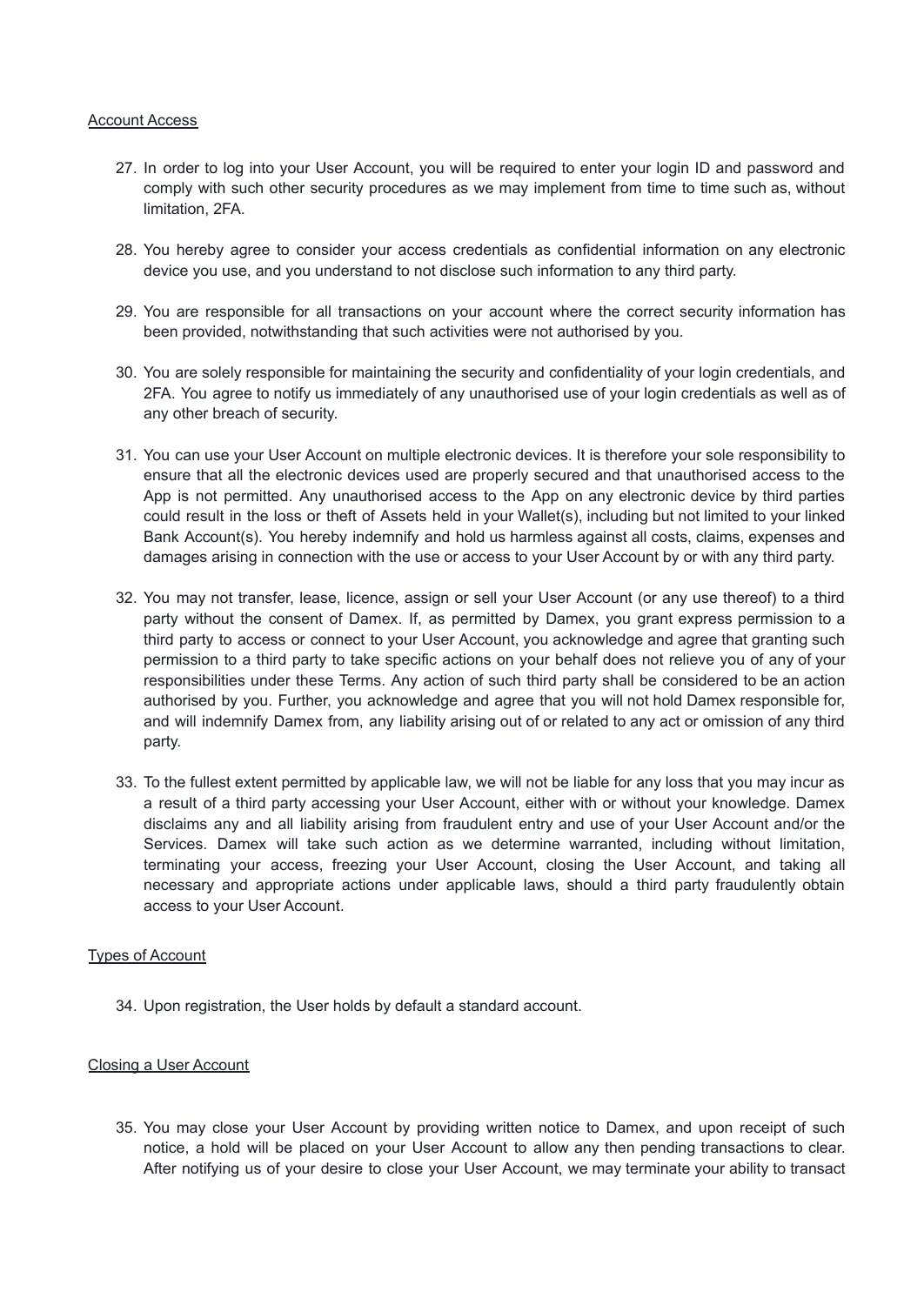#### <span id="page-6-0"></span>Account Access

- 27. In order to log into your User Account, you will be required to enter your login ID and password and comply with such other security procedures as we may implement from time to time such as, without limitation, 2FA.
- 28. You hereby agree to consider your access credentials as confidential information on any electronic device you use, and you understand to not disclose such information to any third party.
- 29. You are responsible for all transactions on your account where the correct security information has been provided, notwithstanding that such activities were not authorised by you.
- 30. You are solely responsible for maintaining the security and confidentiality of your login credentials, and 2FA. You agree to notify us immediately of any unauthorised use of your login credentials as well as of any other breach of security.
- 31. You can use your User Account on multiple electronic devices. It is therefore your sole responsibility to ensure that all the electronic devices used are properly secured and that unauthorised access to the App is not permitted. Any unauthorised access to the App on any electronic device by third parties could result in the loss or theft of Assets held in your Wallet(s), including but not limited to your linked Bank Account(s). You hereby indemnify and hold us harmless against all costs, claims, expenses and damages arising in connection with the use or access to your User Account by or with any third party.
- 32. You may not transfer, lease, licence, assign or sell your User Account (or any use thereof) to a third party without the consent of Damex. If, as permitted by Damex, you grant express permission to a third party to access or connect to your User Account, you acknowledge and agree that granting such permission to a third party to take specific actions on your behalf does not relieve you of any of your responsibilities under these Terms. Any action of such third party shall be considered to be an action authorised by you. Further, you acknowledge and agree that you will not hold Damex responsible for, and will indemnify Damex from, any liability arising out of or related to any act or omission of any third party.
- 33. To the fullest extent permitted by applicable law, we will not be liable for any loss that you may incur as a result of a third party accessing your User Account, either with or without your knowledge. Damex disclaims any and all liability arising from fraudulent entry and use of your User Account and/or the Services. Damex will take such action as we determine warranted, including without limitation, terminating your access, freezing your User Account, closing the User Account, and taking all necessary and appropriate actions under applicable laws, should a third party fraudulently obtain access to your User Account.

## Types of Account

34. Upon registration, the User holds by default a standard account.

## <span id="page-6-1"></span>Closing a User Account

35. You may close your User Account by providing written notice to Damex, and upon receipt of such notice, a hold will be placed on your User Account to allow any then pending transactions to clear. After notifying us of your desire to close your User Account, we may terminate your ability to transact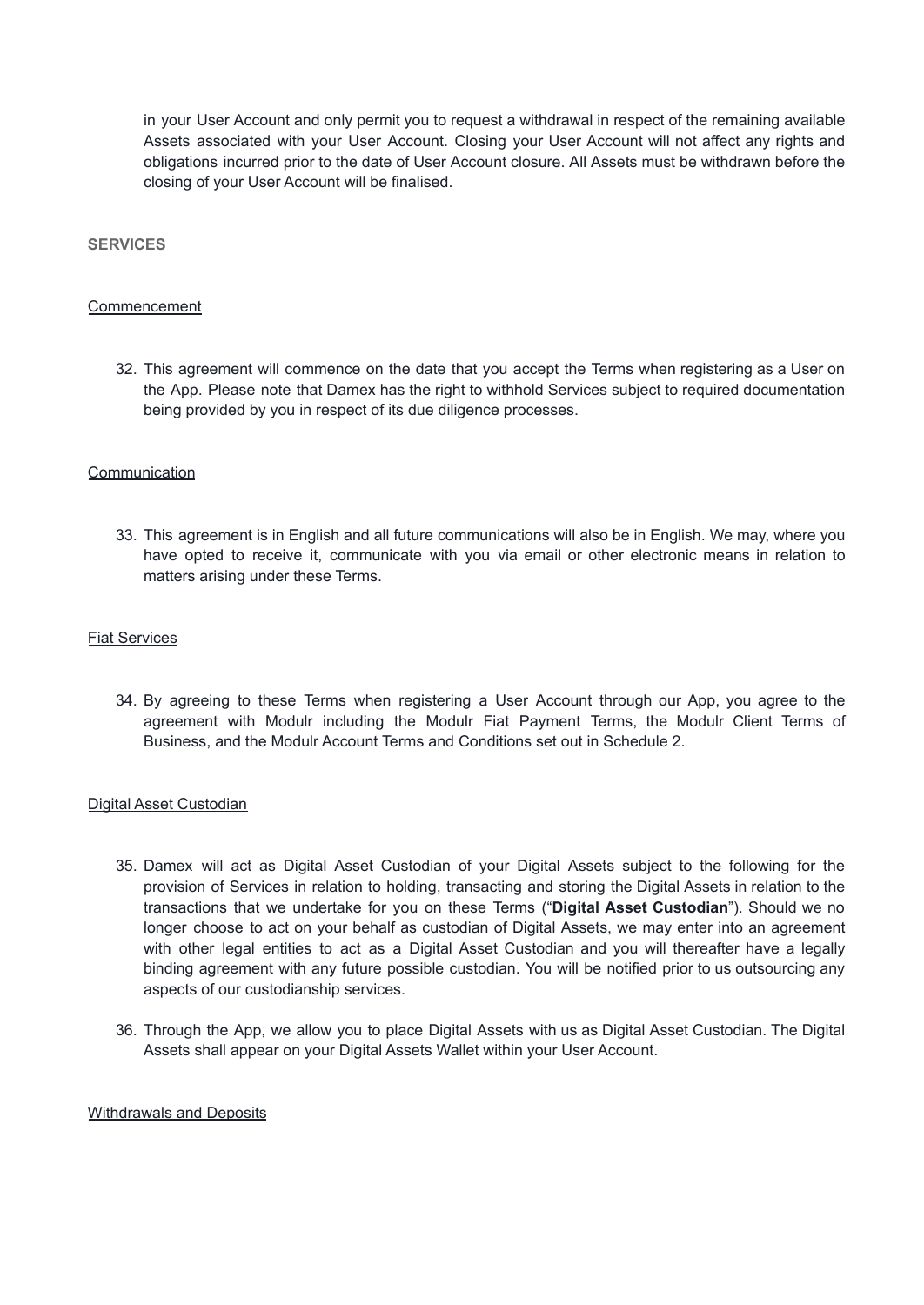in your User Account and only permit you to request a withdrawal in respect of the remaining available Assets associated with your User Account. Closing your User Account will not affect any rights and obligations incurred prior to the date of User Account closure. All Assets must be withdrawn before the closing of your User Account will be finalised.

#### <span id="page-7-0"></span>**SERVICES**

#### <span id="page-7-1"></span>Commencement

32. This agreement will commence on the date that you accept the Terms when registering as a User on the App. Please note that Damex has the right to withhold Services subject to required documentation being provided by you in respect of its due diligence processes.

### <span id="page-7-2"></span>Communication

33. This agreement is in English and all future communications will also be in English. We may, where you have opted to receive it, communicate with you via email or other electronic means in relation to matters arising under these Terms.

#### <span id="page-7-3"></span>Fiat Services

34. By agreeing to these Terms when registering a User Account through our App, you agree to the agreement with Modulr including the Modulr Fiat Payment Terms, the Modulr Client Terms of Business, and the Modulr Account Terms and Conditions set out in Schedule 2.

#### <span id="page-7-4"></span>Digital Asset Custodian

- 35. Damex will act as Digital Asset Custodian of your Digital Assets subject to the following for the provision of Services in relation to holding, transacting and storing the Digital Assets in relation to the transactions that we undertake for you on these Terms ("**Digital Asset Custodian**"). Should we no longer choose to act on your behalf as custodian of Digital Assets, we may enter into an agreement with other legal entities to act as a Digital Asset Custodian and you will thereafter have a legally binding agreement with any future possible custodian. You will be notified prior to us outsourcing any aspects of our custodianship services.
- 36. Through the App, we allow you to place Digital Assets with us as Digital Asset Custodian. The Digital Assets shall appear on your Digital Assets Wallet within your User Account.

## Withdrawals and Deposits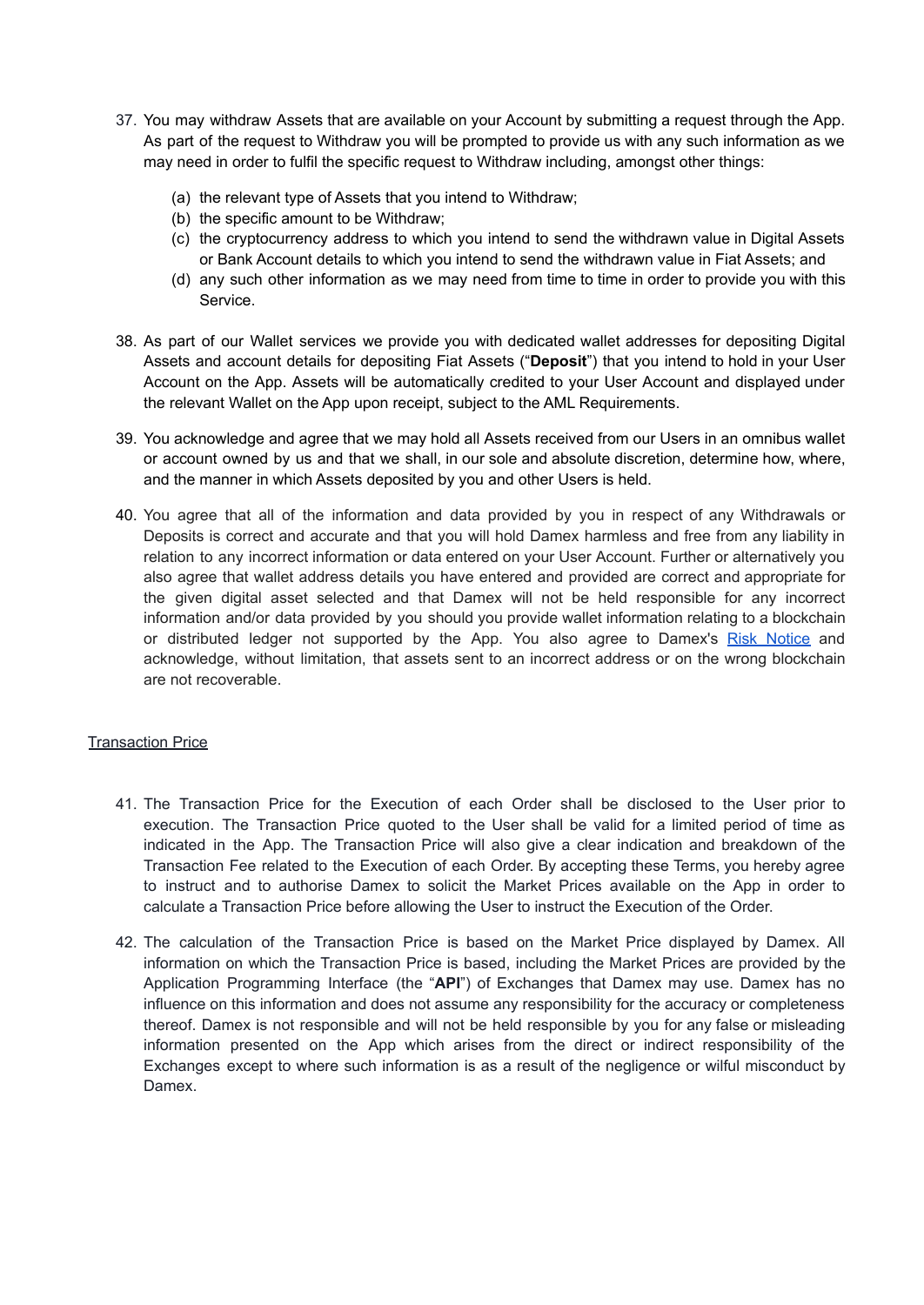- 37. You may withdraw Assets that are available on your Account by submitting a request through the App. As part of the request to Withdraw you will be prompted to provide us with any such information as we may need in order to fulfil the specific request to Withdraw including, amongst other things:
	- (a) the relevant type of Assets that you intend to Withdraw;
	- (b) the specific amount to be Withdraw;
	- (c) the cryptocurrency address to which you intend to send the withdrawn value in Digital Assets or Bank Account details to which you intend to send the withdrawn value in Fiat Assets; and
	- (d) any such other information as we may need from time to time in order to provide you with this Service.
- 38. As part of our Wallet services we provide you with dedicated wallet addresses for depositing Digital Assets and account details for depositing Fiat Assets ("**Deposit**") that you intend to hold in your User Account on the App. Assets will be automatically credited to your User Account and displayed under the relevant Wallet on the App upon receipt, subject to the AML Requirements.
- 39. You acknowledge and agree that we may hold all Assets received from our Users in an omnibus wallet or account owned by us and that we shall, in our sole and absolute discretion, determine how, where, and the manner in which Assets deposited by you and other Users is held.
- 40. You agree that all of the information and data provided by you in respect of any Withdrawals or Deposits is correct and accurate and that you will hold Damex harmless and free from any liability in relation to any incorrect information or data entered on your User Account. Further or alternatively you also agree that wallet address details you have entered and provided are correct and appropriate for the given digital asset selected and that Damex will not be held responsible for any incorrect information and/or data provided by you should you provide wallet information relating to a blockchain or distributed ledger not supported by the App. You also agree to Damex's Risk [Notice](https://www.dam.gi/risk-notice) and acknowledge, without limitation, that assets sent to an incorrect address or on the wrong blockchain are not recoverable.

## <span id="page-8-0"></span>Transaction Price

- 41. The Transaction Price for the Execution of each Order shall be disclosed to the User prior to execution. The Transaction Price quoted to the User shall be valid for a limited period of time as indicated in the App. The Transaction Price will also give a clear indication and breakdown of the Transaction Fee related to the Execution of each Order. By accepting these Terms, you hereby agree to instruct and to authorise Damex to solicit the Market Prices available on the App in order to calculate a Transaction Price before allowing the User to instruct the Execution of the Order.
- 42. The calculation of the Transaction Price is based on the Market Price displayed by Damex. All information on which the Transaction Price is based, including the Market Prices are provided by the Application Programming Interface (the "**API**") of Exchanges that Damex may use. Damex has no influence on this information and does not assume any responsibility for the accuracy or completeness thereof. Damex is not responsible and will not be held responsible by you for any false or misleading information presented on the App which arises from the direct or indirect responsibility of the Exchanges except to where such information is as a result of the negligence or wilful misconduct by Damex.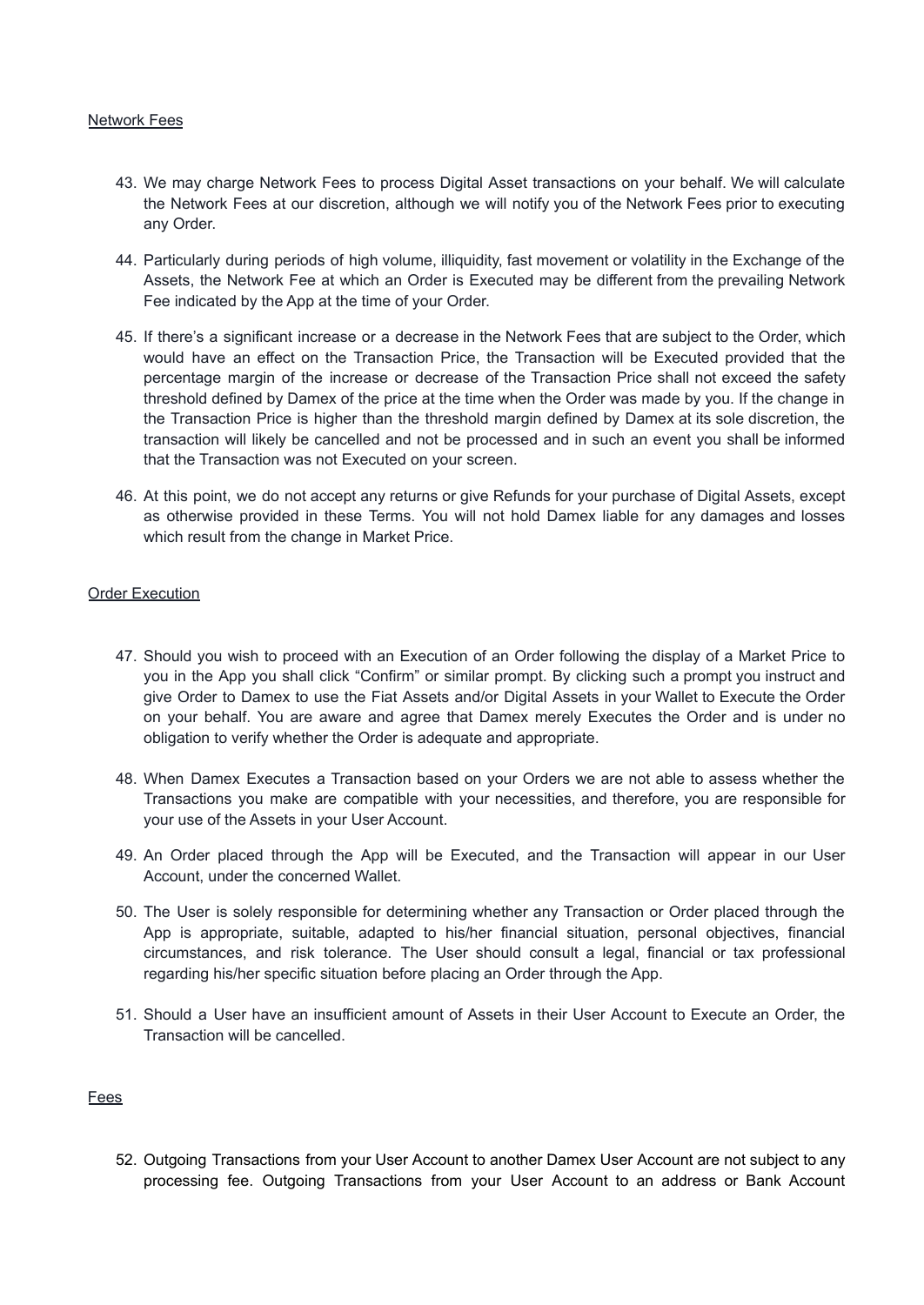### <span id="page-9-0"></span>Network Fees

- 43. We may charge Network Fees to process Digital Asset transactions on your behalf. We will calculate the Network Fees at our discretion, although we will notify you of the Network Fees prior to executing any Order.
- 44. Particularly during periods of high volume, illiquidity, fast movement or volatility in the Exchange of the Assets, the Network Fee at which an Order is Executed may be different from the prevailing Network Fee indicated by the App at the time of your Order.
- 45. If there's a significant increase or a decrease in the Network Fees that are subject to the Order, which would have an effect on the Transaction Price, the Transaction will be Executed provided that the percentage margin of the increase or decrease of the Transaction Price shall not exceed the safety threshold defined by Damex of the price at the time when the Order was made by you. If the change in the Transaction Price is higher than the threshold margin defined by Damex at its sole discretion, the transaction will likely be cancelled and not be processed and in such an event you shall be informed that the Transaction was not Executed on your screen.
- 46. At this point, we do not accept any returns or give Refunds for your purchase of Digital Assets, except as otherwise provided in these Terms. You will not hold Damex liable for any damages and losses which result from the change in Market Price.

### Order Execution

- 47. Should you wish to proceed with an Execution of an Order following the display of a Market Price to you in the App you shall click "Confirm" or similar prompt. By clicking such a prompt you instruct and give Order to Damex to use the Fiat Assets and/or Digital Assets in your Wallet to Execute the Order on your behalf. You are aware and agree that Damex merely Executes the Order and is under no obligation to verify whether the Order is adequate and appropriate.
- 48. When Damex Executes a Transaction based on your Orders we are not able to assess whether the Transactions you make are compatible with your necessities, and therefore, you are responsible for your use of the Assets in your User Account.
- 49. An Order placed through the App will be Executed, and the Transaction will appear in our User Account, under the concerned Wallet.
- 50. The User is solely responsible for determining whether any Transaction or Order placed through the App is appropriate, suitable, adapted to his/her financial situation, personal objectives, financial circumstances, and risk tolerance. The User should consult a legal, financial or tax professional regarding his/her specific situation before placing an Order through the App.
- 51. Should a User have an insufficient amount of Assets in their User Account to Execute an Order, the Transaction will be cancelled.

## <span id="page-9-1"></span>Fees

52. Outgoing Transactions from your User Account to another Damex User Account are not subject to any processing fee. Outgoing Transactions from your User Account to an address or Bank Account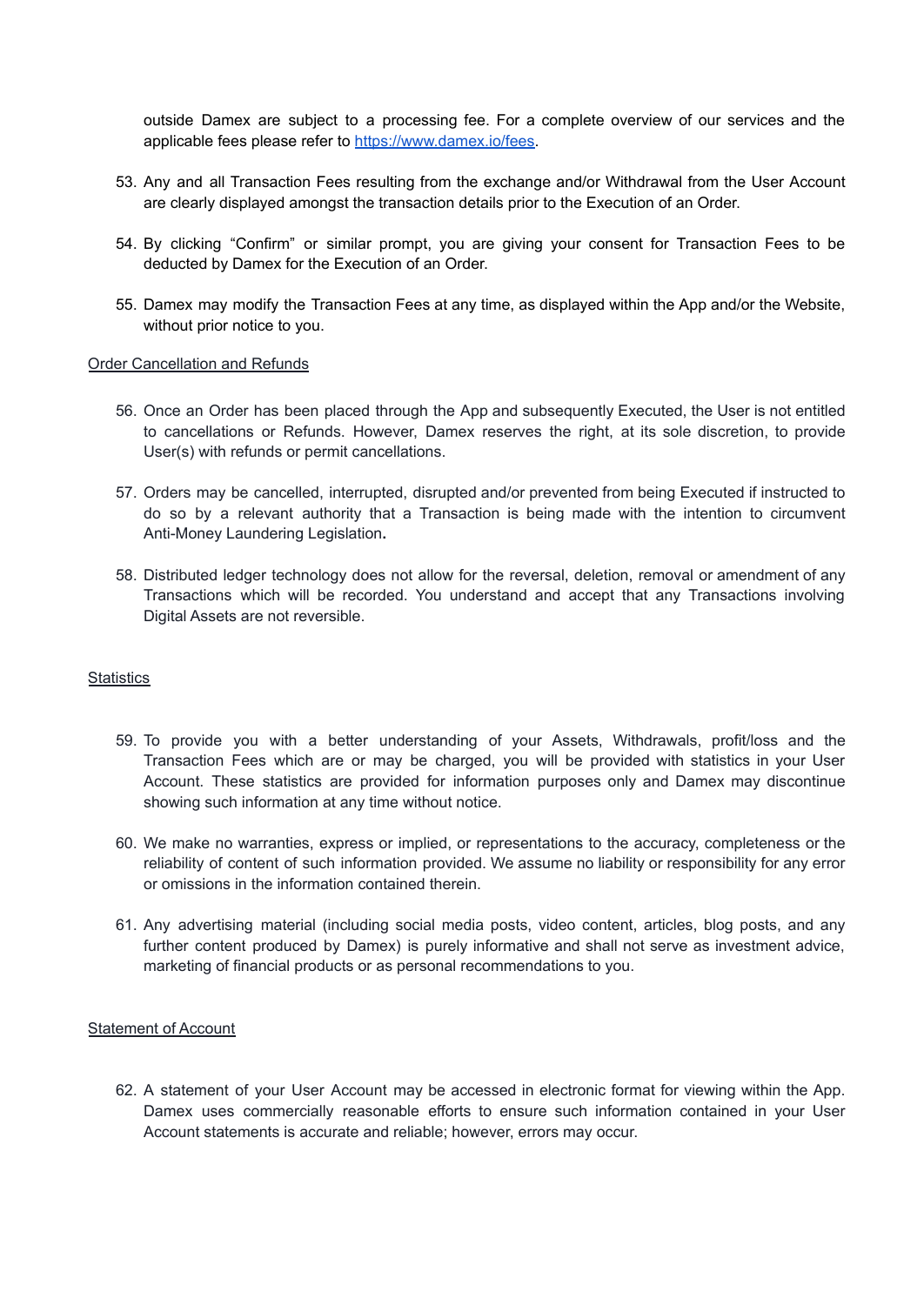outside Damex are subject to a processing fee. For a complete overview of our services and the applicable fees please refer to [https://www.damex.io/fees.](https://www.damex.io/privacy)

- 53. Any and all Transaction Fees resulting from the exchange and/or Withdrawal from the User Account are clearly displayed amongst the transaction details prior to the Execution of an Order.
- 54. By clicking "Confirm" or similar prompt, you are giving your consent for Transaction Fees to be deducted by Damex for the Execution of an Order.
- 55. Damex may modify the Transaction Fees at any time, as displayed within the App and/or the Website, without prior notice to you.

### <span id="page-10-0"></span>**Order Cancellation and Refunds**

- 56. Once an Order has been placed through the App and subsequently Executed, the User is not entitled to cancellations or Refunds. However, Damex reserves the right, at its sole discretion, to provide User(s) with refunds or permit cancellations.
- 57. Orders may be cancelled, interrupted, disrupted and/or prevented from being Executed if instructed to do so by a relevant authority that a Transaction is being made with the intention to circumvent Anti-Money Laundering Legislation**.**
- 58. Distributed ledger technology does not allow for the reversal, deletion, removal or amendment of any Transactions which will be recorded. You understand and accept that any Transactions involving Digital Assets are not reversible.

## <span id="page-10-1"></span>**Statistics**

- 59. To provide you with a better understanding of your Assets, Withdrawals, profit/loss and the Transaction Fees which are or may be charged, you will be provided with statistics in your User Account. These statistics are provided for information purposes only and Damex may discontinue showing such information at any time without notice.
- 60. We make no warranties, express or implied, or representations to the accuracy, completeness or the reliability of content of such information provided. We assume no liability or responsibility for any error or omissions in the information contained therein.
- 61. Any advertising material (including social media posts, video content, articles, blog posts, and any further content produced by Damex) is purely informative and shall not serve as investment advice, marketing of financial products or as personal recommendations to you.

## <span id="page-10-2"></span>Statement of Account

62. A statement of your User Account may be accessed in electronic format for viewing within the App. Damex uses commercially reasonable efforts to ensure such information contained in your User Account statements is accurate and reliable; however, errors may occur.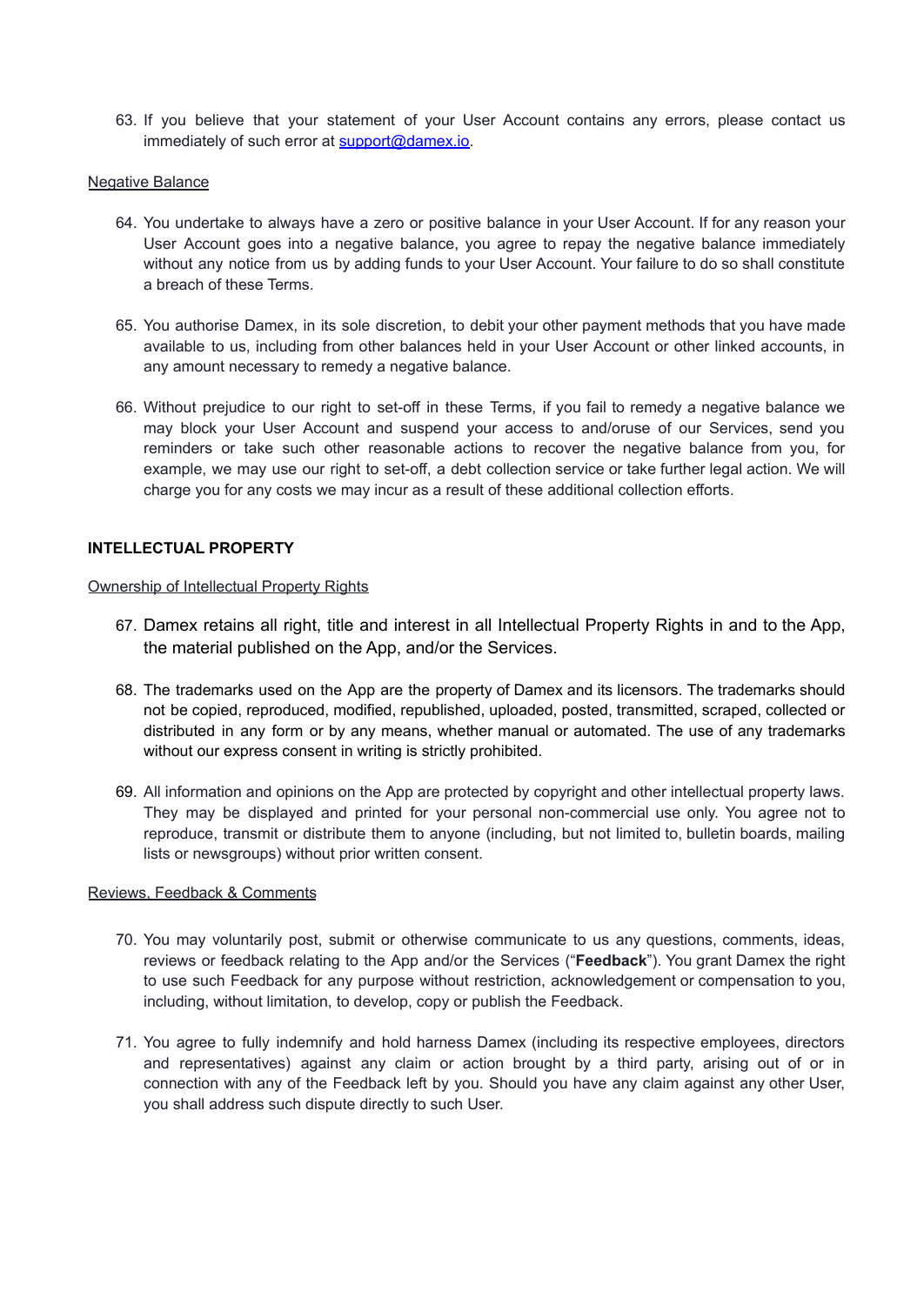63. If you believe that your statement of your User Account contains any errors, please contact us immediately of such error at support@damex.io.

#### **Negative Balance**

- 64. You undertake to always have a zero or positive balance in your User Account. If for any reason your User Account goes into a negative balance, you agree to repay the negative balance immediately without any notice from us by adding funds to your User Account. Your failure to do so shall constitute a breach of these Terms.
- 65. You authorise Damex, in its sole discretion, to debit your other payment methods that you have made available to us, including from other balances held in your User Account or other linked accounts, in any amount necessary to remedy a negative balance.
- 66. Without prejudice to our right to set-off in these Terms, if you fail to remedy a negative balance we may block your User Account and suspend your access to and/oruse of our Services, send you reminders or take such other reasonable actions to recover the negative balance from you, for example, we may use our right to set-off, a debt collection service or take further legal action. We will charge you for any costs we may incur as a result of these additional collection efforts.

### <span id="page-11-0"></span>**INTELLECTUAL PROPERTY**

#### <span id="page-11-1"></span>Ownership of Intellectual Property Rights

- 67. Damex retains all right, title and interest in all Intellectual Property Rights in and to the App, the material published on the App, and/or the Services.
- 68. The trademarks used on the App are the property of Damex and its licensors. The trademarks should not be copied, reproduced, modified, republished, uploaded, posted, transmitted, scraped, collected or distributed in any form or by any means, whether manual or automated. The use of any trademarks without our express consent in writing is strictly prohibited.
- 69. All information and opinions on the App are protected by copyright and other intellectual property laws. They may be displayed and printed for your personal non-commercial use only. You agree not to reproduce, transmit or distribute them to anyone (including, but not limited to, bulletin boards, mailing lists or newsgroups) without prior written consent.

### <span id="page-11-2"></span>Reviews, Feedback & Comments

- 70. You may voluntarily post, submit or otherwise communicate to us any questions, comments, ideas, reviews or feedback relating to the App and/or the Services ("**Feedback**"). You grant Damex the right to use such Feedback for any purpose without restriction, acknowledgement or compensation to you, including, without limitation, to develop, copy or publish the Feedback.
- 71. You agree to fully indemnify and hold harness Damex (including its respective employees, directors and representatives) against any claim or action brought by a third party, arising out of or in connection with any of the Feedback left by you. Should you have any claim against any other User, you shall address such dispute directly to such User.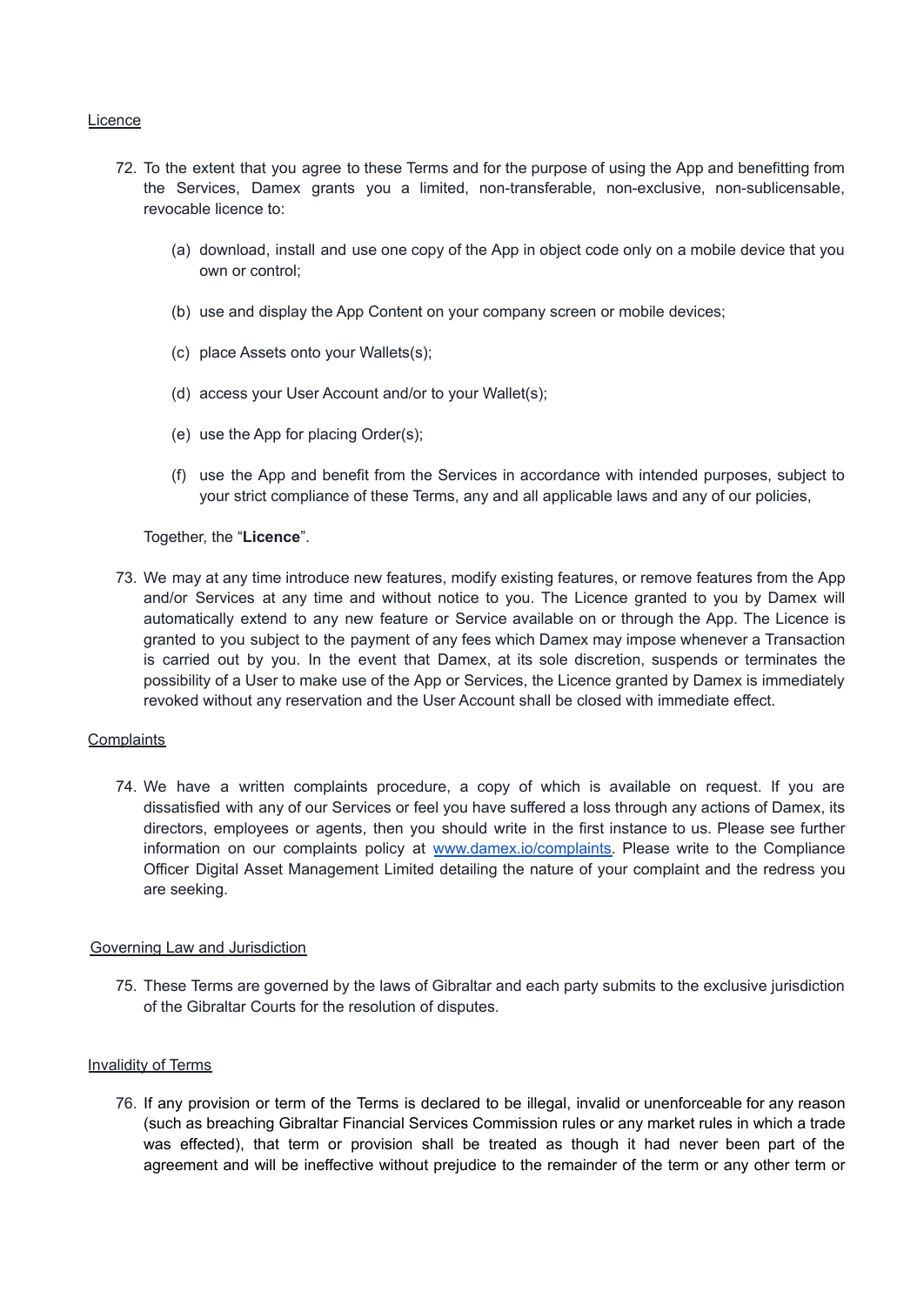### <span id="page-12-0"></span>**Licence**

- 72. To the extent that you agree to these Terms and for the purpose of using the App and benefitting from the Services, Damex grants you a limited, non-transferable, non-exclusive, non-sublicensable, revocable licence to:
	- (a) download, install and use one copy of the App in object code only on a mobile device that you own or control;
	- (b) use and display the App Content on your company screen or mobile devices;
	- (c) place Assets onto your Wallets(s);
	- (d) access your User Account and/or to your Wallet(s);
	- (e) use the App for placing Order(s);
	- (f) use the App and benefit from the Services in accordance with intended purposes, subject to your strict compliance of these Terms, any and all applicable laws and any of our policies,

Together, the "**Licence**".

73. We may at any time introduce new features, modify existing features, or remove features from the App and/or Services at any time and without notice to you. The Licence granted to you by Damex will automatically extend to any new feature or Service available on or through the App. The Licence is granted to you subject to the payment of any fees which Damex may impose whenever a Transaction is carried out by you. In the event that Damex, at its sole discretion, suspends or terminates the possibility of a User to make use of the App or Services, the Licence granted by Damex is immediately revoked without any reservation and the User Account shall be closed with immediate effect.

## <span id="page-12-1"></span>**Complaints**

74. We have a written complaints procedure, a copy of which is available on request. If you are dissatisfied with any of our Services or feel you have suffered a loss through any actions of Damex, its directors, employees or agents, then you should write in the first instance to us. Please see further information on our complaints policy at [www.damex.io/complaints.](https://www.damex.io/complaints) Please write to the Compliance Officer Digital Asset Management Limited detailing the nature of your complaint and the redress you are seeking.

#### <span id="page-12-2"></span>Governing Law and Jurisdiction

75. These Terms are governed by the laws of Gibraltar and each party submits to the exclusive jurisdiction of the Gibraltar Courts for the resolution of disputes.

#### Invalidity of Terms

76. If any provision or term of the Terms is declared to be illegal, invalid or unenforceable for any reason (such as breaching Gibraltar Financial Services Commission rules or any market rules in which a trade was effected), that term or provision shall be treated as though it had never been part of the agreement and will be ineffective without prejudice to the remainder of the term or any other term or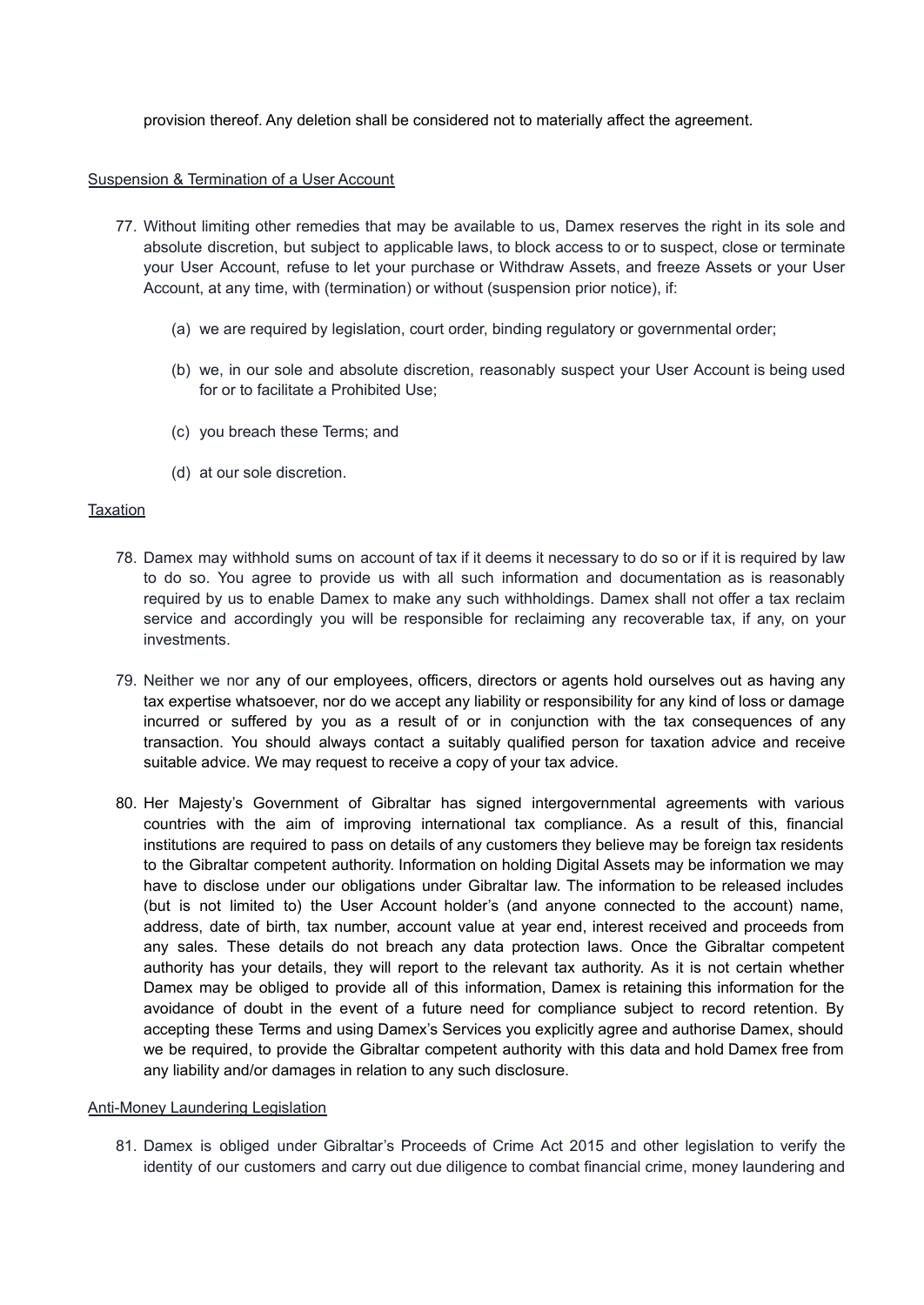provision thereof. Any deletion shall be considered not to materially affect the agreement.

### <span id="page-13-0"></span>Suspension & Termination of a User Account

- 77. Without limiting other remedies that may be available to us, Damex reserves the right in its sole and absolute discretion, but subject to applicable laws, to block access to or to suspect, close or terminate your User Account, refuse to let your purchase or Withdraw Assets, and freeze Assets or your User Account, at any time, with (termination) or without (suspension prior notice), if:
	- (a) we are required by legislation, court order, binding regulatory or governmental order;
	- (b) we, in our sole and absolute discretion, reasonably suspect your User Account is being used for or to facilitate a Prohibited Use;
	- (c) you breach these Terms; and
	- (d) at our sole discretion.

### <span id="page-13-1"></span>**Taxation**

- 78. Damex may withhold sums on account of tax if it deems it necessary to do so or if it is required by law to do so. You agree to provide us with all such information and documentation as is reasonably required by us to enable Damex to make any such withholdings. Damex shall not offer a tax reclaim service and accordingly you will be responsible for reclaiming any recoverable tax, if any, on your investments.
- 79. Neither we nor any of our employees, officers, directors or agents hold ourselves out as having any tax expertise whatsoever, nor do we accept any liability or responsibility for any kind of loss or damage incurred or suffered by you as a result of or in conjunction with the tax consequences of any transaction. You should always contact a suitably qualified person for taxation advice and receive suitable advice. We may request to receive a copy of your tax advice.
- 80. Her Majesty's Government of Gibraltar has signed intergovernmental agreements with various countries with the aim of improving international tax compliance. As a result of this, financial institutions are required to pass on details of any customers they believe may be foreign tax residents to the Gibraltar competent authority. Information on holding Digital Assets may be information we may have to disclose under our obligations under Gibraltar law. The information to be released includes (but is not limited to) the User Account holder's (and anyone connected to the account) name, address, date of birth, tax number, account value at year end, interest received and proceeds from any sales. These details do not breach any data protection laws. Once the Gibraltar competent authority has your details, they will report to the relevant tax authority. As it is not certain whether Damex may be obliged to provide all of this information, Damex is retaining this information for the avoidance of doubt in the event of a future need for compliance subject to record retention. By accepting these Terms and using Damex's Services you explicitly agree and authorise Damex, should we be required, to provide the Gibraltar competent authority with this data and hold Damex free from any liability and/or damages in relation to any such disclosure.

#### <span id="page-13-2"></span>Anti-Money Laundering Legislation

81. Damex is obliged under Gibraltar's Proceeds of Crime Act 2015 and other legislation to verify the identity of our customers and carry out due diligence to combat financial crime, money laundering and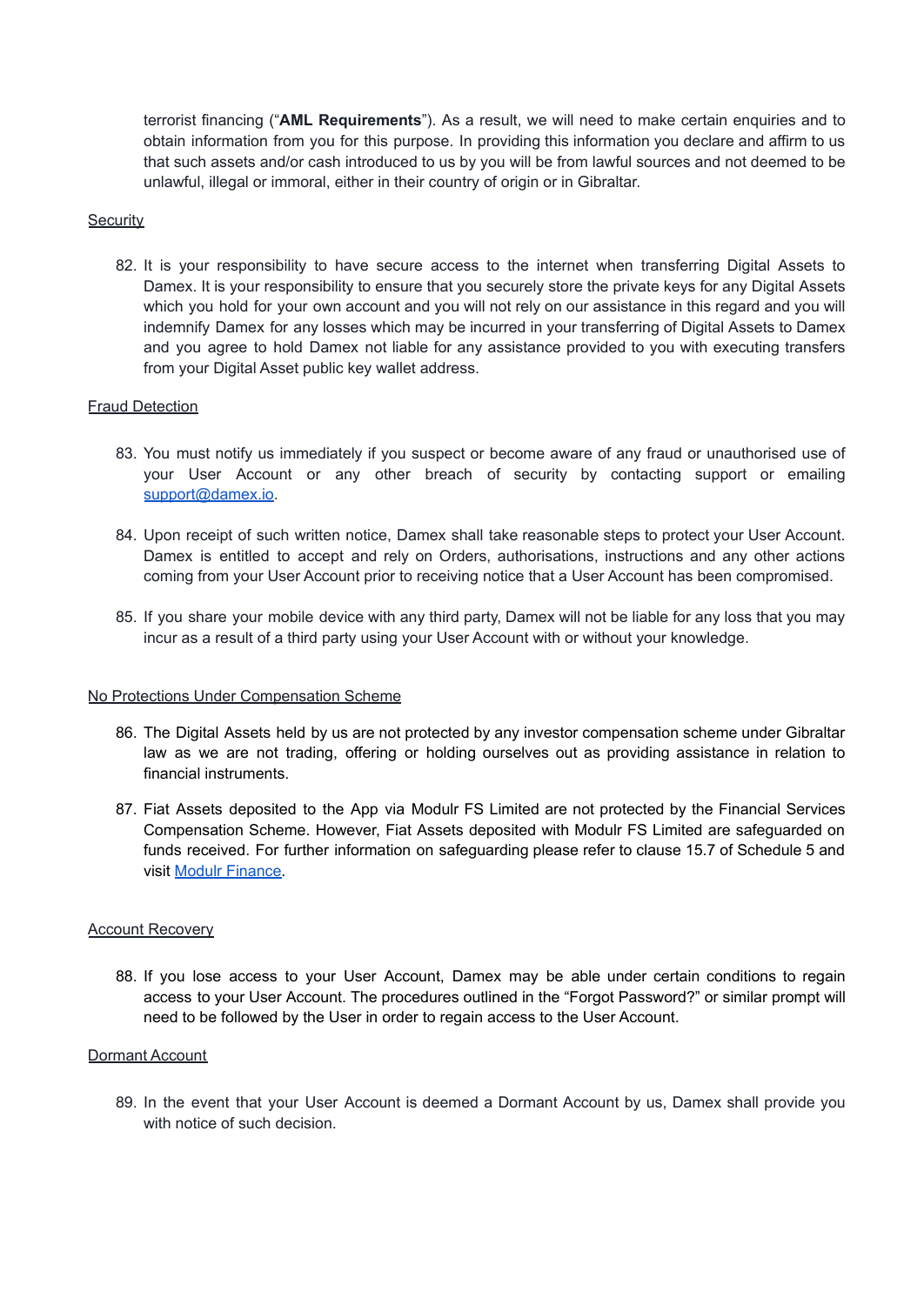terrorist financing ("**AML Requirements**"). As a result, we will need to make certain enquiries and to obtain information from you for this purpose. In providing this information you declare and affirm to us that such assets and/or cash introduced to us by you will be from lawful sources and not deemed to be unlawful, illegal or immoral, either in their country of origin or in Gibraltar.

#### <span id="page-14-0"></span>**Security**

82. It is your responsibility to have secure access to the internet when transferring Digital Assets to Damex. It is your responsibility to ensure that you securely store the private keys for any Digital Assets which you hold for your own account and you will not rely on our assistance in this regard and you will indemnify Damex for any losses which may be incurred in your transferring of Digital Assets to Damex and you agree to hold Damex not liable for any assistance provided to you with executing transfers from your Digital Asset public key wallet address.

## <span id="page-14-1"></span>Fraud Detection

- 83. You must notify us immediately if you suspect or become aware of any fraud or unauthorised use of your User Account or any other breach of security by contacting support or emailing [support@damex.io.](mailto:support@damex.io)
- 84. Upon receipt of such written notice, Damex shall take reasonable steps to protect your User Account. Damex is entitled to accept and rely on Orders, authorisations, instructions and any other actions coming from your User Account prior to receiving notice that a User Account has been compromised.
- 85. If you share your mobile device with any third party, Damex will not be liable for any loss that you may incur as a result of a third party using your User Account with or without your knowledge.

#### <span id="page-14-2"></span>No Protections Under Compensation Scheme

- 86. The Digital Assets held by us are not protected by any investor compensation scheme under Gibraltar law as we are not trading, offering or holding ourselves out as providing assistance in relation to financial instruments.
- 87. Fiat Assets deposited to the App via Modulr FS Limited are not protected by the Financial Services Compensation Scheme. However, Fiat Assets deposited with Modulr FS Limited are safeguarded on funds received. For further information on safeguarding please refer to clause 15.7 of Schedule 5 and visit Modulr [Finance.](https://www.modulrfinance.com/blog/a-message-from-modulr-how-we-keep-customer-funds-safe#:~:text=What%20is%20safeguarding%20and%20how,used%20for%20any%20other%20purposes)

#### <span id="page-14-3"></span>Account Recovery

88. If you lose access to your User Account, Damex may be able under certain conditions to regain access to your User Account. The procedures outlined in the "Forgot Password?" or similar prompt will need to be followed by the User in order to regain access to the User Account.

#### <span id="page-14-4"></span>Dormant Account

89. In the event that your User Account is deemed a Dormant Account by us, Damex shall provide you with notice of such decision.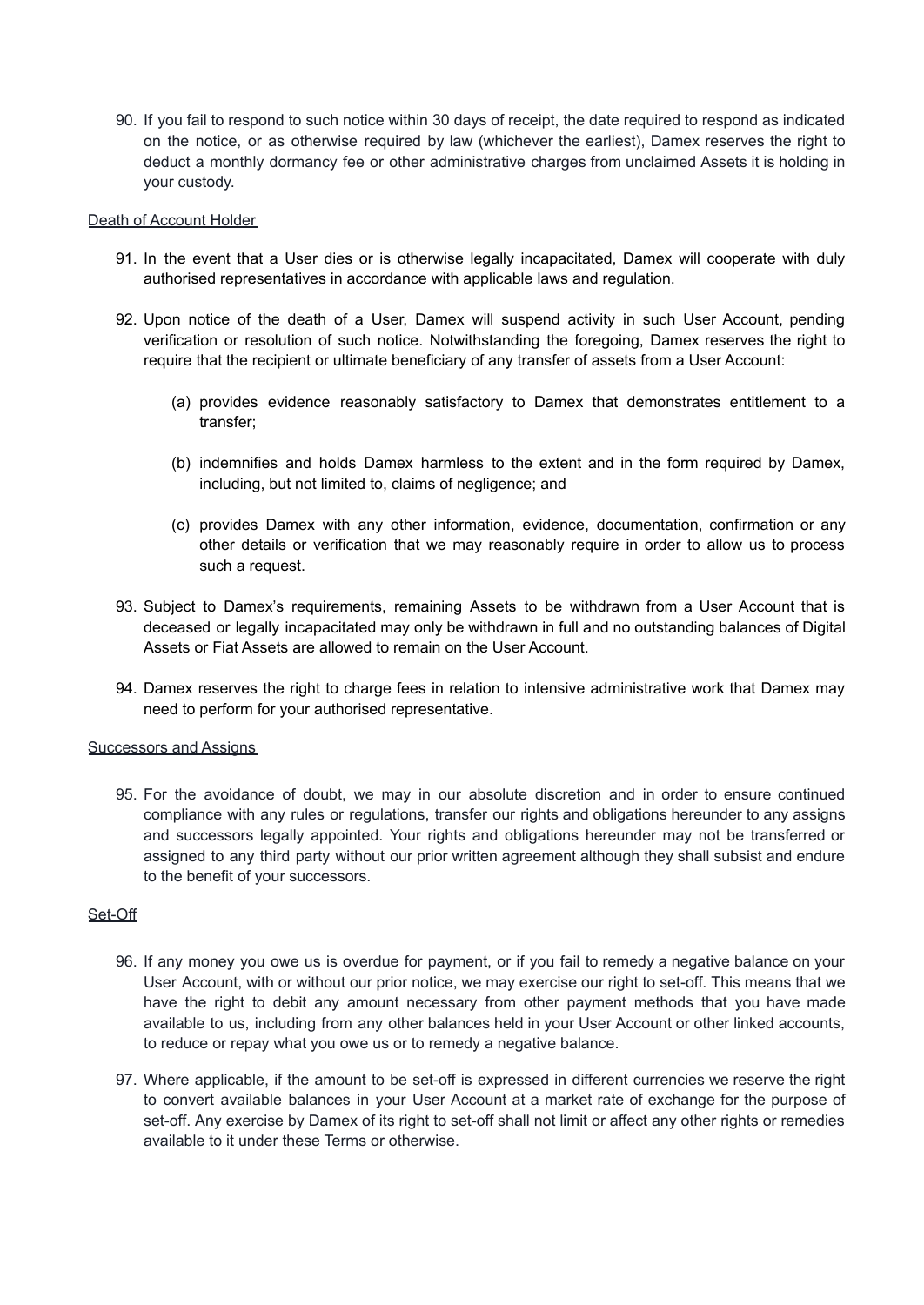90. If you fail to respond to such notice within 30 days of receipt, the date required to respond as indicated on the notice, or as otherwise required by law (whichever the earliest), Damex reserves the right to deduct a monthly dormancy fee or other administrative charges from unclaimed Assets it is holding in your custody.

#### <span id="page-15-0"></span>Death of Account Holder

- 91. In the event that a User dies or is otherwise legally incapacitated, Damex will cooperate with duly authorised representatives in accordance with applicable laws and regulation.
- 92. Upon notice of the death of a User, Damex will suspend activity in such User Account, pending verification or resolution of such notice. Notwithstanding the foregoing, Damex reserves the right to require that the recipient or ultimate beneficiary of any transfer of assets from a User Account:
	- (a) provides evidence reasonably satisfactory to Damex that demonstrates entitlement to a transfer;
	- (b) indemnifies and holds Damex harmless to the extent and in the form required by Damex, including, but not limited to, claims of negligence; and
	- (c) provides Damex with any other information, evidence, documentation, confirmation or any other details or verification that we may reasonably require in order to allow us to process such a request.
- 93. Subject to Damex's requirements, remaining Assets to be withdrawn from a User Account that is deceased or legally incapacitated may only be withdrawn in full and no outstanding balances of Digital Assets or Fiat Assets are allowed to remain on the User Account.
- 94. Damex reserves the right to charge fees in relation to intensive administrative work that Damex may need to perform for your authorised representative.

#### <span id="page-15-1"></span>Successors and Assigns

95. For the avoidance of doubt, we may in our absolute discretion and in order to ensure continued compliance with any rules or regulations, transfer our rights and obligations hereunder to any assigns and successors legally appointed. Your rights and obligations hereunder may not be transferred or assigned to any third party without our prior written agreement although they shall subsist and endure to the benefit of your successors.

## <span id="page-15-2"></span>Set-Off

- 96. If any money you owe us is overdue for payment, or if you fail to remedy a negative balance on your User Account, with or without our prior notice, we may exercise our right to set-off. This means that we have the right to debit any amount necessary from other payment methods that you have made available to us, including from any other balances held in your User Account or other linked accounts, to reduce or repay what you owe us or to remedy a negative balance.
- 97. Where applicable, if the amount to be set-off is expressed in different currencies we reserve the right to convert available balances in your User Account at a market rate of exchange for the purpose of set-off. Any exercise by Damex of its right to set-off shall not limit or affect any other rights or remedies available to it under these Terms or otherwise.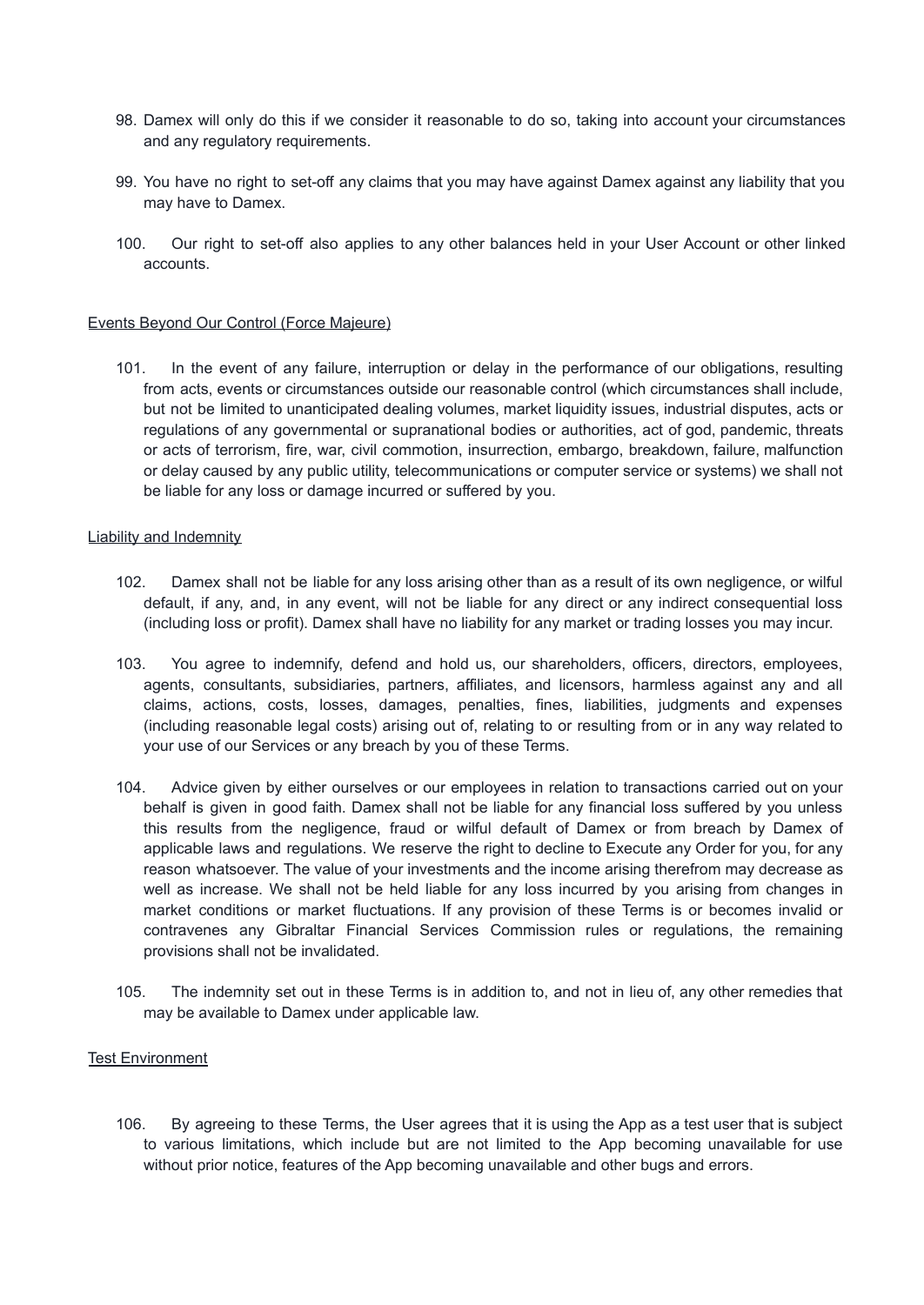- 98. Damex will only do this if we consider it reasonable to do so, taking into account your circumstances and any regulatory requirements.
- 99. You have no right to set-off any claims that you may have against Damex against any liability that you may have to Damex.
- 100. Our right to set-off also applies to any other balances held in your User Account or other linked accounts.

### <span id="page-16-0"></span>Events Beyond Our Control (Force Majeure)

101. In the event of any failure, interruption or delay in the performance of our obligations, resulting from acts, events or circumstances outside our reasonable control (which circumstances shall include, but not be limited to unanticipated dealing volumes, market liquidity issues, industrial disputes, acts or regulations of any governmental or supranational bodies or authorities, act of god, pandemic, threats or acts of terrorism, fire, war, civil commotion, insurrection, embargo, breakdown, failure, malfunction or delay caused by any public utility, telecommunications or computer service or systems) we shall not be liable for any loss or damage incurred or suffered by you.

#### Liability and Indemnity

- 102. Damex shall not be liable for any loss arising other than as a result of its own negligence, or wilful default, if any, and, in any event, will not be liable for any direct or any indirect consequential loss (including loss or profit). Damex shall have no liability for any market or trading losses you may incur.
- 103. You agree to indemnify, defend and hold us, our shareholders, officers, directors, employees, agents, consultants, subsidiaries, partners, affiliates, and licensors, harmless against any and all claims, actions, costs, losses, damages, penalties, fines, liabilities, judgments and expenses (including reasonable legal costs) arising out of, relating to or resulting from or in any way related to your use of our Services or any breach by you of these Terms.
- 104. Advice given by either ourselves or our employees in relation to transactions carried out on your behalf is given in good faith. Damex shall not be liable for any financial loss suffered by you unless this results from the negligence, fraud or wilful default of Damex or from breach by Damex of applicable laws and regulations. We reserve the right to decline to Execute any Order for you, for any reason whatsoever. The value of your investments and the income arising therefrom may decrease as well as increase. We shall not be held liable for any loss incurred by you arising from changes in market conditions or market fluctuations. If any provision of these Terms is or becomes invalid or contravenes any Gibraltar Financial Services Commission rules or regulations, the remaining provisions shall not be invalidated.
- 105. The indemnity set out in these Terms is in addition to, and not in lieu of, any other remedies that may be available to Damex under applicable law.

#### Test Environment

106. By agreeing to these Terms, the User agrees that it is using the App as a test user that is subject to various limitations, which include but are not limited to the App becoming unavailable for use without prior notice, features of the App becoming unavailable and other bugs and errors.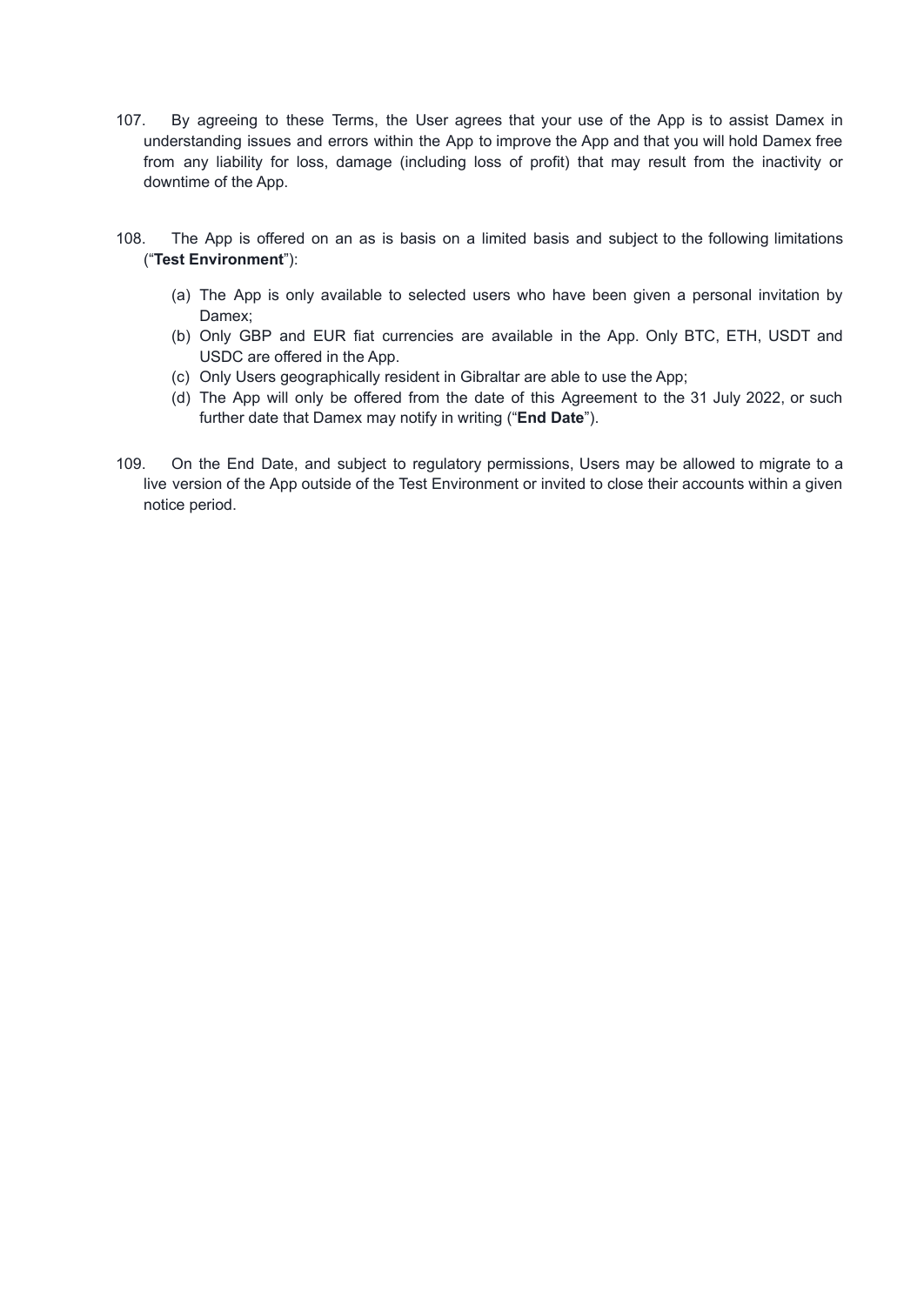- 107. By agreeing to these Terms, the User agrees that your use of the App is to assist Damex in understanding issues and errors within the App to improve the App and that you will hold Damex free from any liability for loss, damage (including loss of profit) that may result from the inactivity or downtime of the App.
- 108. The App is offered on an as is basis on a limited basis and subject to the following limitations ("**Test Environment**"):
	- (a) The App is only available to selected users who have been given a personal invitation by Damex;
	- (b) Only GBP and EUR fiat currencies are available in the App. Only BTC, ETH, USDT and USDC are offered in the App.
	- (c) Only Users geographically resident in Gibraltar are able to use the App;
	- (d) The App will only be offered from the date of this Agreement to the 31 July 2022, or such further date that Damex may notify in writing ("**End Date**").
- 109. On the End Date, and subject to regulatory permissions, Users may be allowed to migrate to a live version of the App outside of the Test Environment or invited to close their accounts within a given notice period.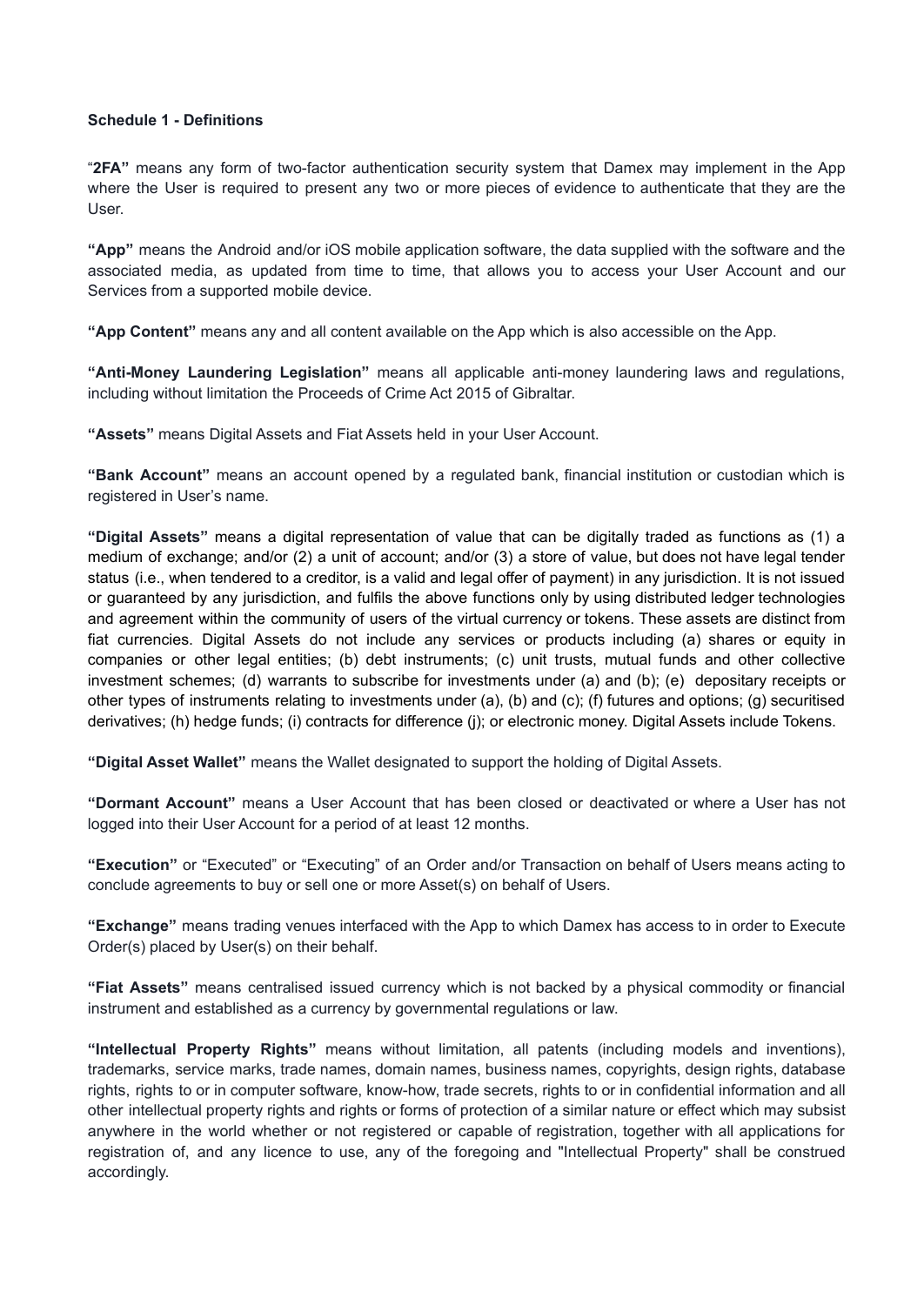### <span id="page-18-0"></span>**Schedule 1 - Definitions**

"**2FA"** means any form of two-factor authentication security system that Damex may implement in the App where the User is required to present any two or more pieces of evidence to authenticate that they are the User.

**"App"** means the Android and/or iOS mobile application software, the data supplied with the software and the associated media, as updated from time to time, that allows you to access your User Account and our Services from a supported mobile device.

**"App Content"** means any and all content available on the App which is also accessible on the App.

**"Anti-Money Laundering Legislation"** means all applicable anti-money laundering laws and regulations, including without limitation the Proceeds of Crime Act 2015 of Gibraltar.

**"Assets"** means Digital Assets and Fiat Assets held in your User Account.

**"Bank Account"** means an account opened by a regulated bank, financial institution or custodian which is registered in User's name.

**"Digital Assets"** means a digital representation of value that can be digitally traded as functions as (1) a medium of exchange; and/or (2) a unit of account; and/or (3) a store of value, but does not have legal tender status (i.e., when tendered to a creditor, is a valid and legal offer of payment) in any jurisdiction. It is not issued or guaranteed by any jurisdiction, and fulfils the above functions only by using distributed ledger technologies and agreement within the community of users of the virtual currency or tokens. These assets are distinct from fiat currencies. Digital Assets do not include any services or products including (a) shares or equity in companies or other legal entities; (b) debt instruments; (c) unit trusts, mutual funds and other collective investment schemes; (d) warrants to subscribe for investments under (a) and (b); (e) depositary receipts or other types of instruments relating to investments under (a), (b) and (c); (f) futures and options; (g) securitised derivatives; (h) hedge funds; (i) contracts for difference (j); or electronic money. Digital Assets include Tokens.

**"Digital Asset Wallet"** means the Wallet designated to support the holding of Digital Assets.

**"Dormant Account"** means a User Account that has been closed or deactivated or where a User has not logged into their User Account for a period of at least 12 months.

**"Execution"** or "Executed" or "Executing" of an Order and/or Transaction on behalf of Users means acting to conclude agreements to buy or sell one or more Asset(s) on behalf of Users.

**"Exchange"** means trading venues interfaced with the App to which Damex has access to in order to Execute Order(s) placed by User(s) on their behalf.

**"Fiat Assets"** means centralised issued currency which is not backed by a physical commodity or financial instrument and established as a currency by governmental regulations or law.

**"Intellectual Property Rights"** means without limitation, all patents (including models and inventions), trademarks, service marks, trade names, domain names, business names, copyrights, design rights, database rights, rights to or in computer software, know-how, trade secrets, rights to or in confidential information and all other intellectual property rights and rights or forms of protection of a similar nature or effect which may subsist anywhere in the world whether or not registered or capable of registration, together with all applications for registration of, and any licence to use, any of the foregoing and "Intellectual Property" shall be construed accordingly.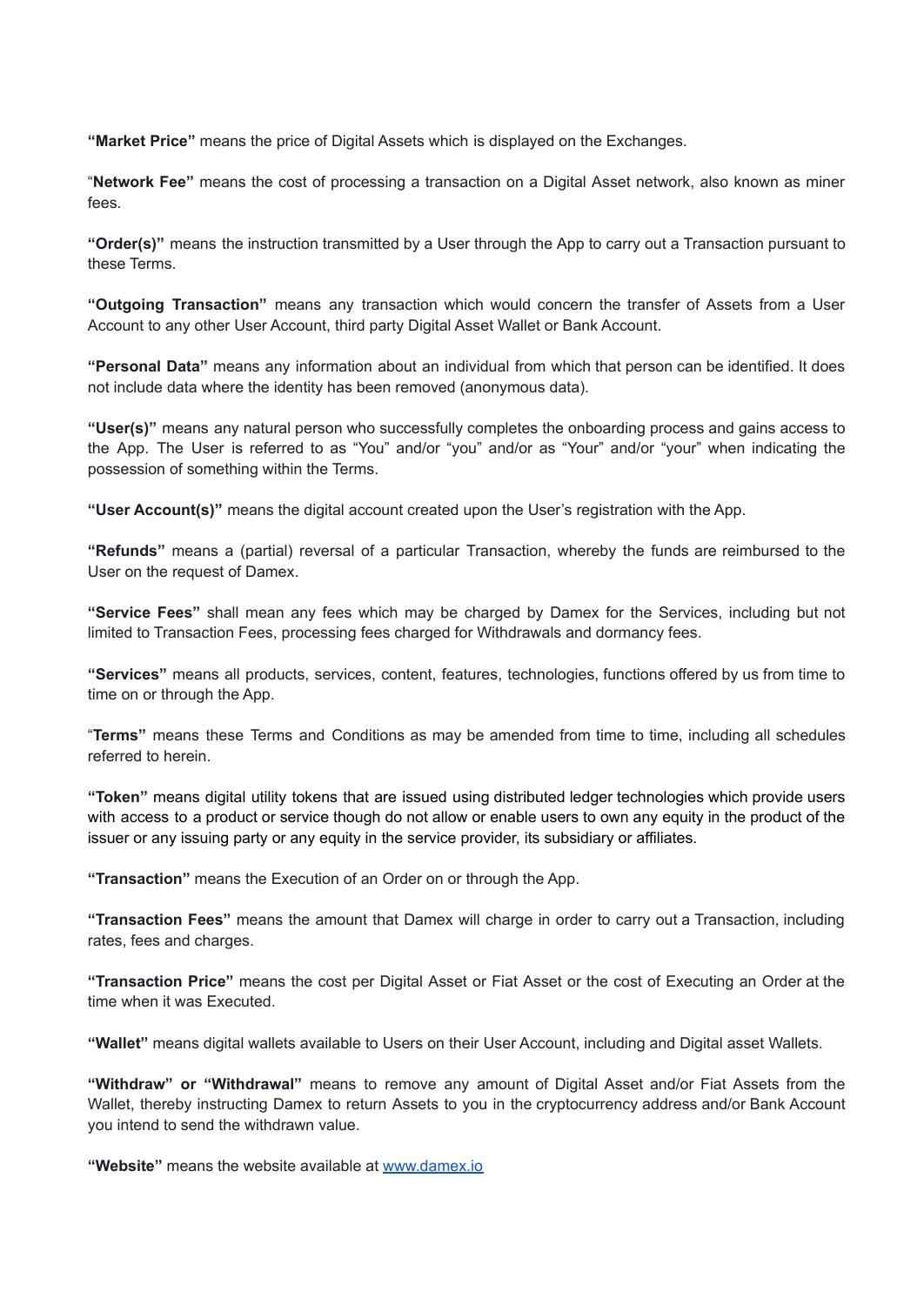**"Market Price"** means the price of Digital Assets which is displayed on the Exchanges.

"**Network Fee"** means the cost of processing a transaction on a Digital Asset network, also known as miner fees.

**"Order(s)"** means the instruction transmitted by a User through the App to carry out a Transaction pursuant to these Terms.

**"Outgoing Transaction"** means any transaction which would concern the transfer of Assets from a User Account to any other User Account, third party Digital Asset Wallet or Bank Account.

**"Personal Data"** means any information about an individual from which that person can be identified. It does not include data where the identity has been removed (anonymous data).

**"User(s)"** means any natural person who successfully completes the onboarding process and gains access to the App. The User is referred to as "You" and/or "you" and/or as "Your" and/or "your" when indicating the possession of something within the Terms.

**"User Account(s)"** means the digital account created upon the User's registration with the App.

**"Refunds"** means a (partial) reversal of a particular Transaction, whereby the funds are reimbursed to the User on the request of Damex.

**"Service Fees"** shall mean any fees which may be charged by Damex for the Services, including but not limited to Transaction Fees, processing fees charged for Withdrawals and dormancy fees.

**"Services"** means all products, services, content, features, technologies, functions offered by us from time to time on or through the App.

"**Terms"** means these Terms and Conditions as may be amended from time to time, including all schedules referred to herein.

**"Token"** means digital utility tokens that are issued using distributed ledger technologies which provide users with access to a product or service though do not allow or enable users to own any equity in the product of the issuer or any issuing party or any equity in the service provider, its subsidiary or affiliates.

**"Transaction"** means the Execution of an Order on or through the App.

**"Transaction Fees"** means the amount that Damex will charge in order to carry out a Transaction, including rates, fees and charges.

**"Transaction Price"** means the cost per Digital Asset or Fiat Asset or the cost of Executing an Order at the time when it was Executed.

**"Wallet"** means digital wallets available to Users on their User Account, including and Digital asset Wallets.

**"Withdraw" or "Withdrawal"** means to remove any amount of Digital Asset and/or Fiat Assets from the Wallet, thereby instructing Damex to return Assets to you in the cryptocurrency address and/or Bank Account you intend to send the withdrawn value.

**"Website"** means the website available at [www.damex.io](http://www.damex.io)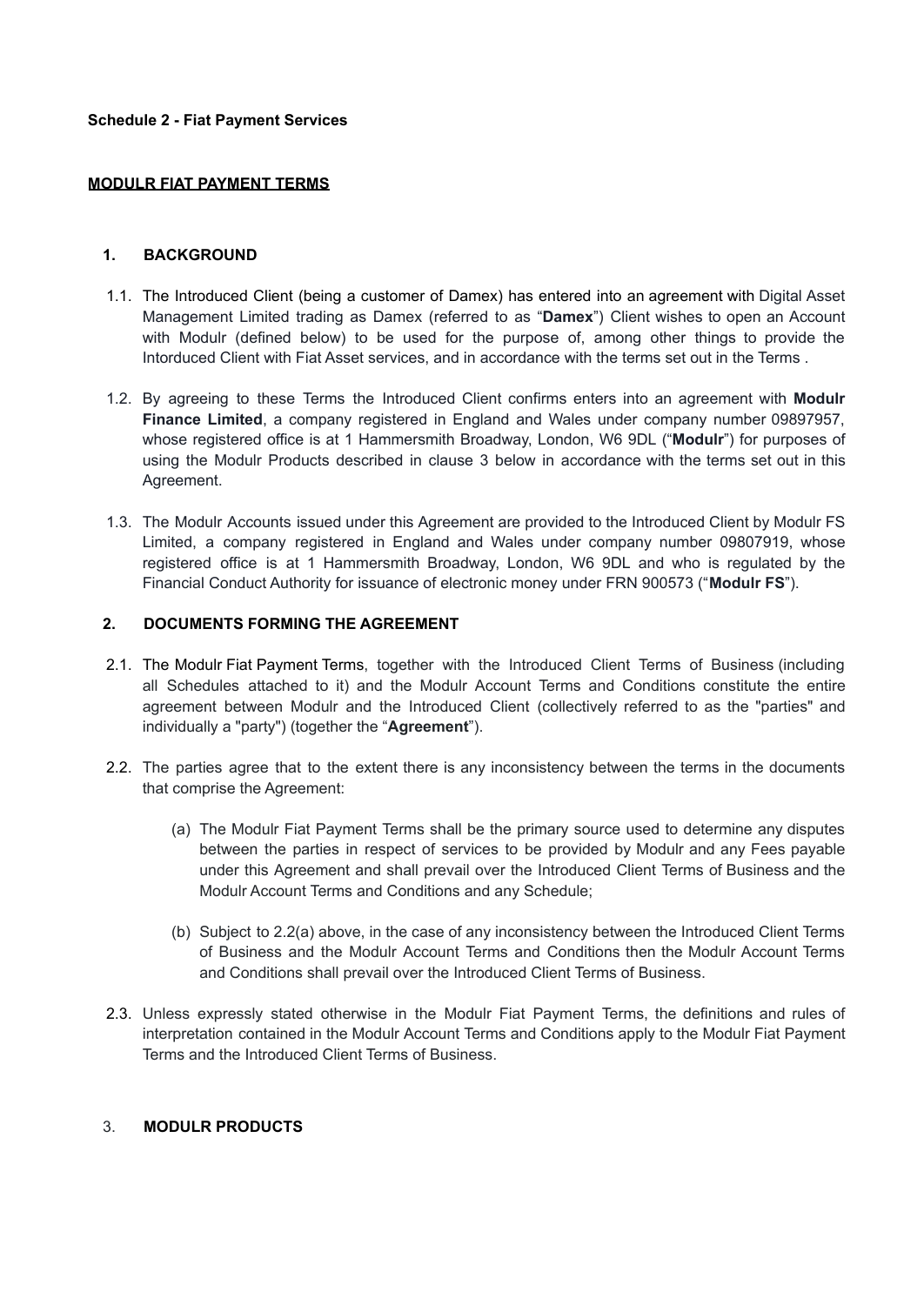### <span id="page-21-0"></span>**MODULR FIAT PAYMENT TERMS**

### **1. BACKGROUND**

- 1.1. The Introduced Client (being a customer of Damex) has entered into an agreement with Digital Asset Management Limited trading as Damex (referred to as "**Damex**") Client wishes to open an Account with Modulr (defined below) to be used for the purpose of, among other things to provide the Intorduced Client with Fiat Asset services, and in accordance with the terms set out in the Terms .
- 1.2. By agreeing to these Terms the Introduced Client confirms enters into an agreement with **Modulr Finance Limited**, a company registered in England and Wales under company number 09897957, whose registered office is at 1 Hammersmith Broadway, London, W6 9DL ("**Modulr**") for purposes of using the Modulr Products described in clause 3 below in accordance with the terms set out in this Agreement.
- 1.3. The Modulr Accounts issued under this Agreement are provided to the Introduced Client by Modulr FS Limited, a company registered in England and Wales under company number 09807919, whose registered office is at 1 Hammersmith Broadway, London, W6 9DL and who is regulated by the Financial Conduct Authority for issuance of electronic money under FRN 900573 ("**Modulr FS**").

## **2. DOCUMENTS FORMING THE AGREEMENT**

- 2.1. The Modulr Fiat Payment Terms, together with the Introduced Client Terms of Business (including all Schedules attached to it) and the Modulr Account Terms and Conditions constitute the entire agreement between Modulr and the Introduced Client (collectively referred to as the "parties" and individually a "party") (together the "**Agreement**").
- 2.2. The parties agree that to the extent there is any inconsistency between the terms in the documents that comprise the Agreement:
	- (a) The Modulr Fiat Payment Terms shall be the primary source used to determine any disputes between the parties in respect of services to be provided by Modulr and any Fees payable under this Agreement and shall prevail over the Introduced Client Terms of Business and the Modulr Account Terms and Conditions and any Schedule;
	- (b) Subject to 2.2(a) above, in the case of any inconsistency between the Introduced Client Terms of Business and the Modulr Account Terms and Conditions then the Modulr Account Terms and Conditions shall prevail over the Introduced Client Terms of Business.
- 2.3. Unless expressly stated otherwise in the Modulr Fiat Payment Terms, the definitions and rules of interpretation contained in the Modulr Account Terms and Conditions apply to the Modulr Fiat Payment Terms and the Introduced Client Terms of Business.

## 3. **MODULR PRODUCTS**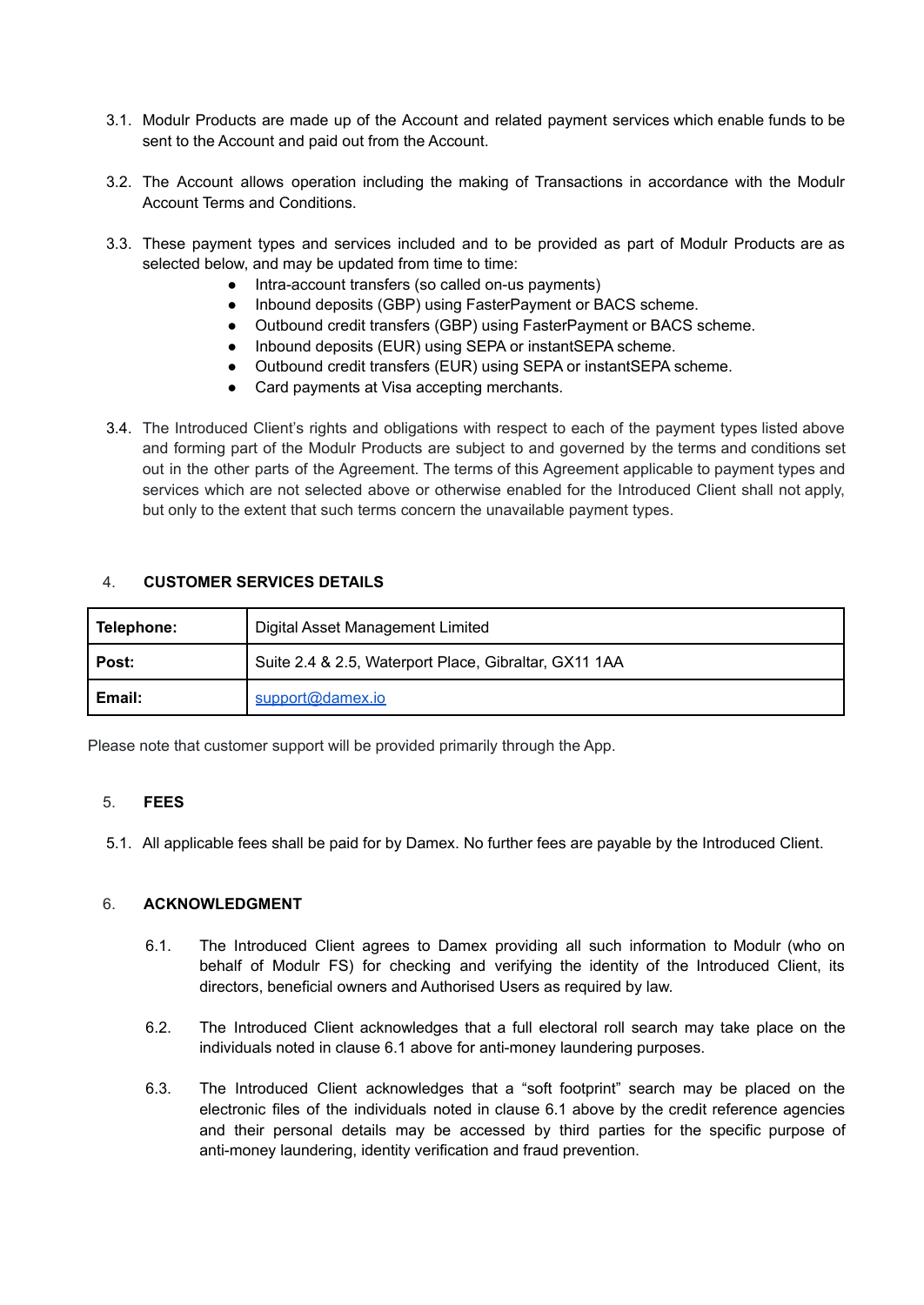- 3.1. Modulr Products are made up of the Account and related payment services which enable funds to be sent to the Account and paid out from the Account.
- 3.2. The Account allows operation including the making of Transactions in accordance with the Modulr Account Terms and Conditions.
- 3.3. These payment types and services included and to be provided as part of Modulr Products are as selected below, and may be updated from time to time:
	- Intra-account transfers (so called on-us payments)
	- Inbound deposits (GBP) using FasterPayment or BACS scheme.
	- Outbound credit transfers (GBP) using FasterPayment or BACS scheme.
	- Inbound deposits (EUR) using SEPA or instantSEPA scheme.
	- Outbound credit transfers (EUR) using SEPA or instantSEPA scheme.
	- Card payments at Visa accepting merchants.
- 3.4. The Introduced Client's rights and obligations with respect to each of the payment types listed above and forming part of the Modulr Products are subject to and governed by the terms and conditions set out in the other parts of the Agreement. The terms of this Agreement applicable to payment types and services which are not selected above or otherwise enabled for the Introduced Client shall not apply, but only to the extent that such terms concern the unavailable payment types.

## 4. **CUSTOMER SERVICES DETAILS**

| Telephone: | Digital Asset Management Limited                      |
|------------|-------------------------------------------------------|
| Post:      | Suite 2.4 & 2.5, Waterport Place, Gibraltar, GX11 1AA |
| Email:     | support@damex.io                                      |

Please note that customer support will be provided primarily through the App.

## 5. **FEES**

5.1. All applicable fees shall be paid for by Damex. No further fees are payable by the Introduced Client.

## 6. **ACKNOWLEDGMENT**

- 6.1. The Introduced Client agrees to Damex providing all such information to Modulr (who on behalf of Modulr FS) for checking and verifying the identity of the Introduced Client, its directors, beneficial owners and Authorised Users as required by law.
- 6.2. The Introduced Client acknowledges that a full electoral roll search may take place on the individuals noted in clause 6.1 above for anti-money laundering purposes.
- 6.3. The Introduced Client acknowledges that a "soft footprint" search may be placed on the electronic files of the individuals noted in clause 6.1 above by the credit reference agencies and their personal details may be accessed by third parties for the specific purpose of anti-money laundering, identity verification and fraud prevention.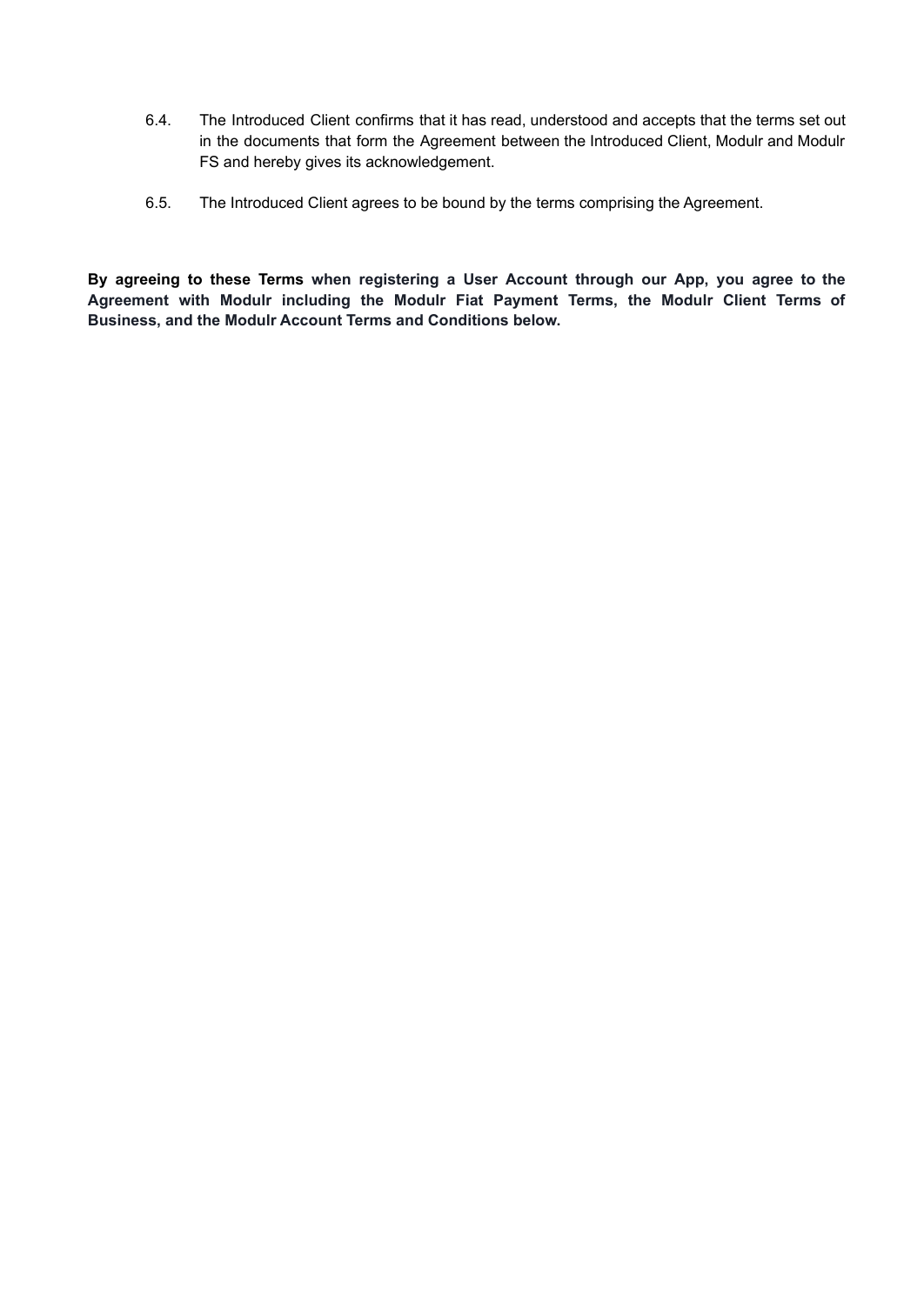- 6.4. The Introduced Client confirms that it has read, understood and accepts that the terms set out in the documents that form the Agreement between the Introduced Client, Modulr and Modulr FS and hereby gives its acknowledgement.
- 6.5. The Introduced Client agrees to be bound by the terms comprising the Agreement.

**By agreeing to these Terms when registering a User Account through our App, you agree to the Agreement with Modulr including the Modulr Fiat Payment Terms, the Modulr Client Terms of Business, and the Modulr Account Terms and Conditions below.**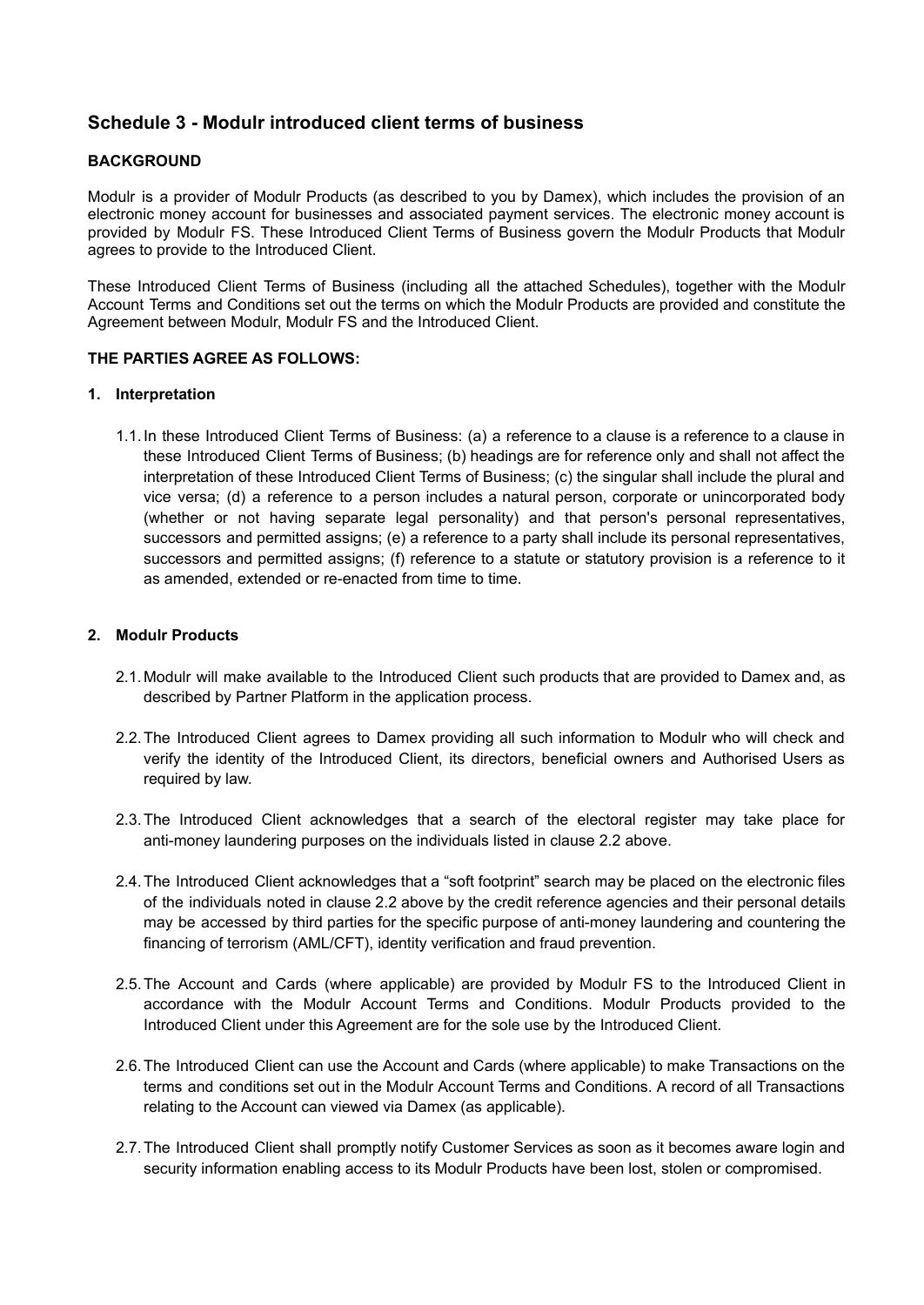# <span id="page-24-0"></span>**Schedule 3 - Modulr introduced client terms of business**

## **BACKGROUND**

Modulr is a provider of Modulr Products (as described to you by Damex), which includes the provision of an electronic money account for businesses and associated payment services. The electronic money account is provided by Modulr FS. These Introduced Client Terms of Business govern the Modulr Products that Modulr agrees to provide to the Introduced Client.

These Introduced Client Terms of Business (including all the attached Schedules), together with the Modulr Account Terms and Conditions set out the terms on which the Modulr Products are provided and constitute the Agreement between Modulr, Modulr FS and the Introduced Client.

## **THE PARTIES AGREE AS FOLLOWS:**

### **1. Interpretation**

1.1.In these Introduced Client Terms of Business: (a) a reference to a clause is a reference to a clause in these Introduced Client Terms of Business; (b) headings are for reference only and shall not affect the interpretation of these Introduced Client Terms of Business; (c) the singular shall include the plural and vice versa; (d) a reference to a person includes a natural person, corporate or unincorporated body (whether or not having separate legal personality) and that person's personal representatives, successors and permitted assigns; (e) a reference to a party shall include its personal representatives, successors and permitted assigns; (f) reference to a statute or statutory provision is a reference to it as amended, extended or re-enacted from time to time.

## **2. Modulr Products**

- 2.1.Modulr will make available to the Introduced Client such products that are provided to Damex and, as described by Partner Platform in the application process.
- 2.2.The Introduced Client agrees to Damex providing all such information to Modulr who will check and verify the identity of the Introduced Client, its directors, beneficial owners and Authorised Users as required by law.
- 2.3.The Introduced Client acknowledges that a search of the electoral register may take place for anti-money laundering purposes on the individuals listed in clause 2.2 above.
- 2.4.The Introduced Client acknowledges that a "soft footprint" search may be placed on the electronic files of the individuals noted in clause 2.2 above by the credit reference agencies and their personal details may be accessed by third parties for the specific purpose of anti-money laundering and countering the financing of terrorism (AML/CFT), identity verification and fraud prevention.
- 2.5.The Account and Cards (where applicable) are provided by Modulr FS to the Introduced Client in accordance with the Modulr Account Terms and Conditions. Modulr Products provided to the Introduced Client under this Agreement are for the sole use by the Introduced Client.
- 2.6.The Introduced Client can use the Account and Cards (where applicable) to make Transactions on the terms and conditions set out in the Modulr Account Terms and Conditions. A record of all Transactions relating to the Account can viewed via Damex (as applicable).
- 2.7.The Introduced Client shall promptly notify Customer Services as soon as it becomes aware login and security information enabling access to its Modulr Products have been lost, stolen or compromised.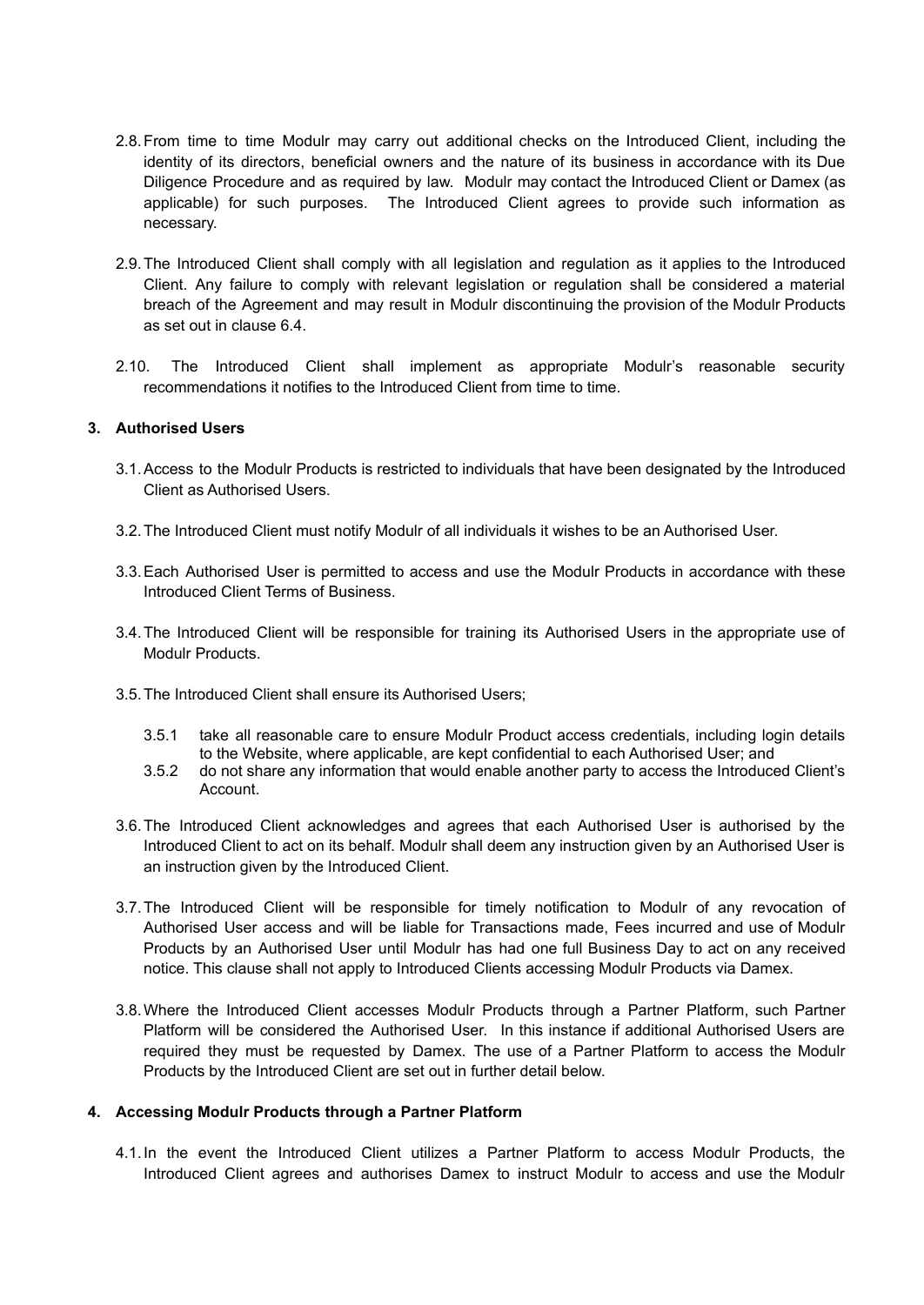- 2.8.From time to time Modulr may carry out additional checks on the Introduced Client, including the identity of its directors, beneficial owners and the nature of its business in accordance with its Due Diligence Procedure and as required by law. Modulr may contact the Introduced Client or Damex (as applicable) for such purposes. The Introduced Client agrees to provide such information as necessary.
- 2.9.The Introduced Client shall comply with all legislation and regulation as it applies to the Introduced Client. Any failure to comply with relevant legislation or regulation shall be considered a material breach of the Agreement and may result in Modulr discontinuing the provision of the Modulr Products as set out in clause 6.4.
- 2.10. The Introduced Client shall implement as appropriate Modulr's reasonable security recommendations it notifies to the Introduced Client from time to time.

### **3. Authorised Users**

- 3.1.Access to the Modulr Products is restricted to individuals that have been designated by the Introduced Client as Authorised Users.
- 3.2.The Introduced Client must notify Modulr of all individuals it wishes to be an Authorised User.
- 3.3.Each Authorised User is permitted to access and use the Modulr Products in accordance with these Introduced Client Terms of Business.
- 3.4.The Introduced Client will be responsible for training its Authorised Users in the appropriate use of Modulr Products.
- 3.5.The Introduced Client shall ensure its Authorised Users;
	- 3.5.1 take all reasonable care to ensure Modulr Product access credentials, including login details to the Website, where applicable, are kept confidential to each Authorised User; and
	- 3.5.2 do not share any information that would enable another party to access the Introduced Client's Account.
- 3.6.The Introduced Client acknowledges and agrees that each Authorised User is authorised by the Introduced Client to act on its behalf. Modulr shall deem any instruction given by an Authorised User is an instruction given by the Introduced Client.
- 3.7.The Introduced Client will be responsible for timely notification to Modulr of any revocation of Authorised User access and will be liable for Transactions made, Fees incurred and use of Modulr Products by an Authorised User until Modulr has had one full Business Day to act on any received notice. This clause shall not apply to Introduced Clients accessing Modulr Products via Damex.
- 3.8.Where the Introduced Client accesses Modulr Products through a Partner Platform, such Partner Platform will be considered the Authorised User. In this instance if additional Authorised Users are required they must be requested by Damex. The use of a Partner Platform to access the Modulr Products by the Introduced Client are set out in further detail below.

#### **4. Accessing Modulr Products through a Partner Platform**

4.1.In the event the Introduced Client utilizes a Partner Platform to access Modulr Products, the Introduced Client agrees and authorises Damex to instruct Modulr to access and use the Modulr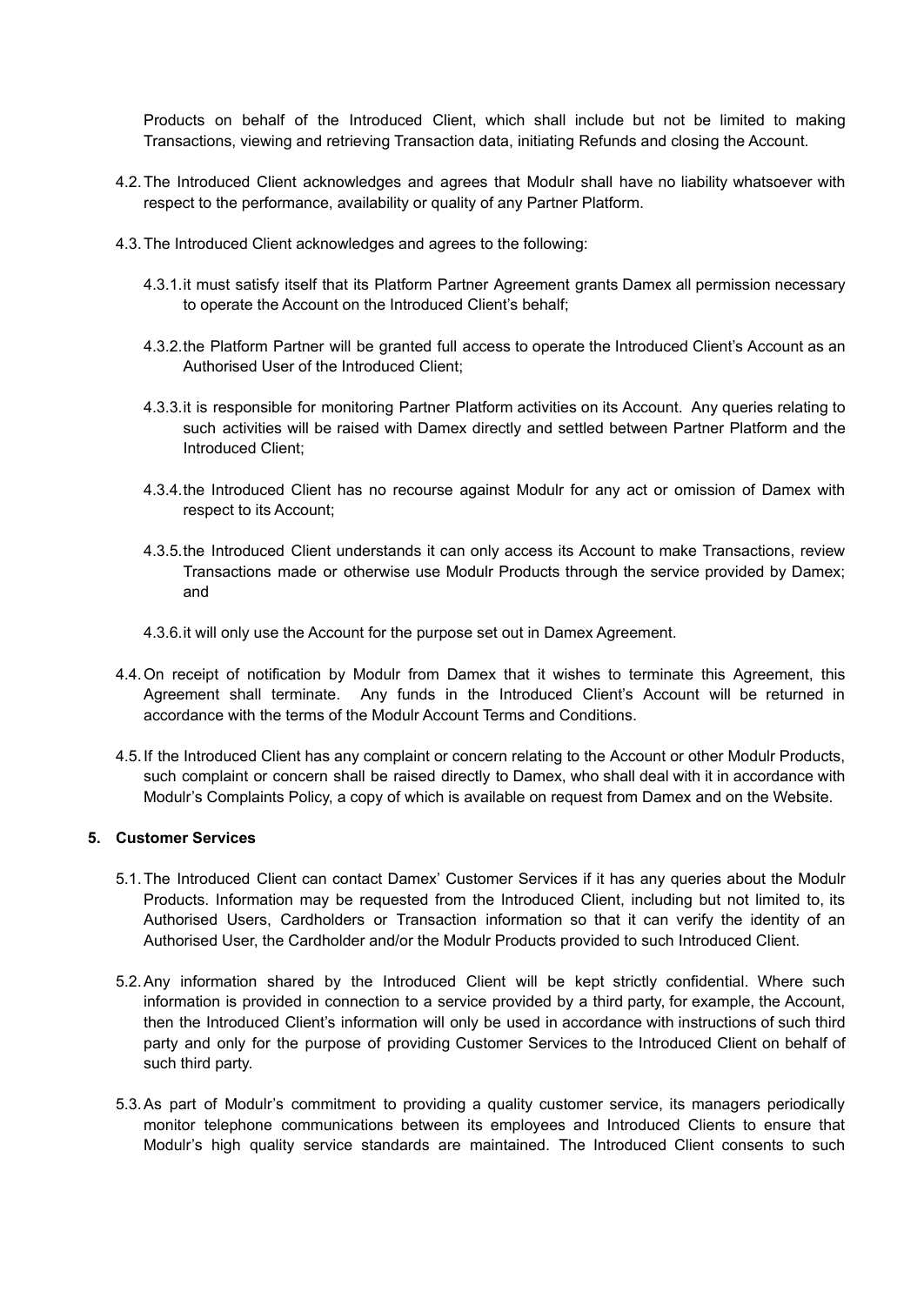Products on behalf of the Introduced Client, which shall include but not be limited to making Transactions, viewing and retrieving Transaction data, initiating Refunds and closing the Account.

- 4.2.The Introduced Client acknowledges and agrees that Modulr shall have no liability whatsoever with respect to the performance, availability or quality of any Partner Platform.
- 4.3.The Introduced Client acknowledges and agrees to the following:
	- 4.3.1.it must satisfy itself that its Platform Partner Agreement grants Damex all permission necessary to operate the Account on the Introduced Client's behalf;
	- 4.3.2.the Platform Partner will be granted full access to operate the Introduced Client's Account as an Authorised User of the Introduced Client;
	- 4.3.3.it is responsible for monitoring Partner Platform activities on its Account. Any queries relating to such activities will be raised with Damex directly and settled between Partner Platform and the Introduced Client;
	- 4.3.4.the Introduced Client has no recourse against Modulr for any act or omission of Damex with respect to its Account;
	- 4.3.5.the Introduced Client understands it can only access its Account to make Transactions, review Transactions made or otherwise use Modulr Products through the service provided by Damex; and
	- 4.3.6.it will only use the Account for the purpose set out in Damex Agreement.
- 4.4.On receipt of notification by Modulr from Damex that it wishes to terminate this Agreement, this Agreement shall terminate. Any funds in the Introduced Client's Account will be returned in accordance with the terms of the Modulr Account Terms and Conditions.
- 4.5.If the Introduced Client has any complaint or concern relating to the Account or other Modulr Products, such complaint or concern shall be raised directly to Damex, who shall deal with it in accordance with Modulr's Complaints Policy, a copy of which is available on request from Damex and on the Website.

## **5. Customer Services**

- 5.1.The Introduced Client can contact Damex' Customer Services if it has any queries about the Modulr Products. Information may be requested from the Introduced Client, including but not limited to, its Authorised Users, Cardholders or Transaction information so that it can verify the identity of an Authorised User, the Cardholder and/or the Modulr Products provided to such Introduced Client.
- 5.2.Any information shared by the Introduced Client will be kept strictly confidential. Where such information is provided in connection to a service provided by a third party, for example, the Account, then the Introduced Client's information will only be used in accordance with instructions of such third party and only for the purpose of providing Customer Services to the Introduced Client on behalf of such third party.
- 5.3.As part of Modulr's commitment to providing a quality customer service, its managers periodically monitor telephone communications between its employees and Introduced Clients to ensure that Modulr's high quality service standards are maintained. The Introduced Client consents to such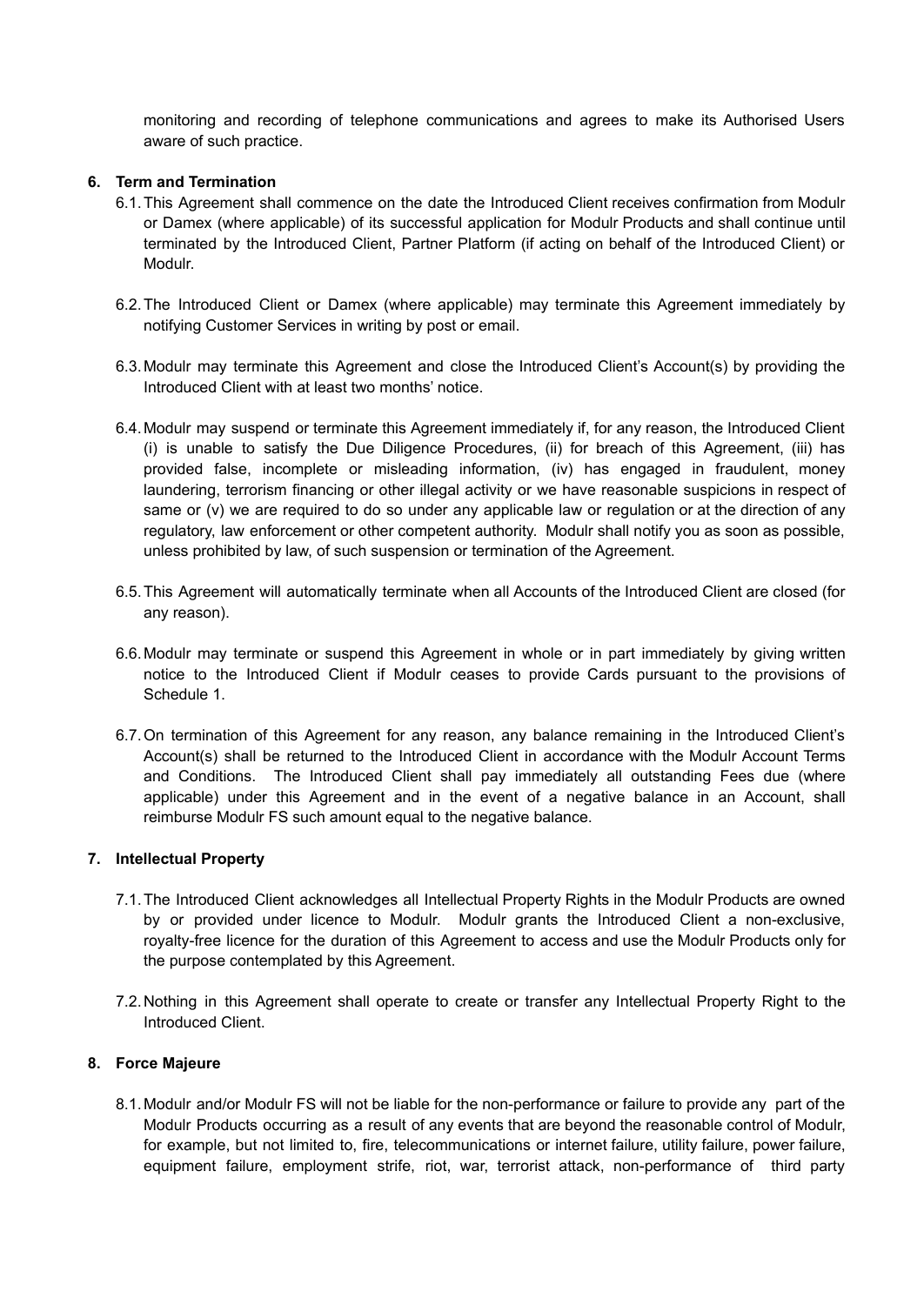monitoring and recording of telephone communications and agrees to make its Authorised Users aware of such practice.

## **6. Term and Termination**

- 6.1.This Agreement shall commence on the date the Introduced Client receives confirmation from Modulr or Damex (where applicable) of its successful application for Modulr Products and shall continue until terminated by the Introduced Client, Partner Platform (if acting on behalf of the Introduced Client) or Modulr.
- 6.2.The Introduced Client or Damex (where applicable) may terminate this Agreement immediately by notifying Customer Services in writing by post or email.
- 6.3.Modulr may terminate this Agreement and close the Introduced Client's Account(s) by providing the Introduced Client with at least two months' notice.
- 6.4.Modulr may suspend or terminate this Agreement immediately if, for any reason, the Introduced Client (i) is unable to satisfy the Due Diligence Procedures, (ii) for breach of this Agreement, (iii) has provided false, incomplete or misleading information, (iv) has engaged in fraudulent, money laundering, terrorism financing or other illegal activity or we have reasonable suspicions in respect of same or (v) we are required to do so under any applicable law or regulation or at the direction of any regulatory, law enforcement or other competent authority. Modulr shall notify you as soon as possible, unless prohibited by law, of such suspension or termination of the Agreement.
- 6.5.This Agreement will automatically terminate when all Accounts of the Introduced Client are closed (for any reason).
- 6.6.Modulr may terminate or suspend this Agreement in whole or in part immediately by giving written notice to the Introduced Client if Modulr ceases to provide Cards pursuant to the provisions of Schedule 1.
- 6.7.On termination of this Agreement for any reason, any balance remaining in the Introduced Client's Account(s) shall be returned to the Introduced Client in accordance with the Modulr Account Terms and Conditions. The Introduced Client shall pay immediately all outstanding Fees due (where applicable) under this Agreement and in the event of a negative balance in an Account, shall reimburse Modulr FS such amount equal to the negative balance.

#### **7. Intellectual Property**

- 7.1.The Introduced Client acknowledges all Intellectual Property Rights in the Modulr Products are owned by or provided under licence to Modulr. Modulr grants the Introduced Client a non-exclusive, royalty-free licence for the duration of this Agreement to access and use the Modulr Products only for the purpose contemplated by this Agreement.
- 7.2.Nothing in this Agreement shall operate to create or transfer any Intellectual Property Right to the Introduced Client.

#### **8. Force Majeure**

8.1.Modulr and/or Modulr FS will not be liable for the non-performance or failure to provide any part of the Modulr Products occurring as a result of any events that are beyond the reasonable control of Modulr, for example, but not limited to, fire, telecommunications or internet failure, utility failure, power failure, equipment failure, employment strife, riot, war, terrorist attack, non-performance of third party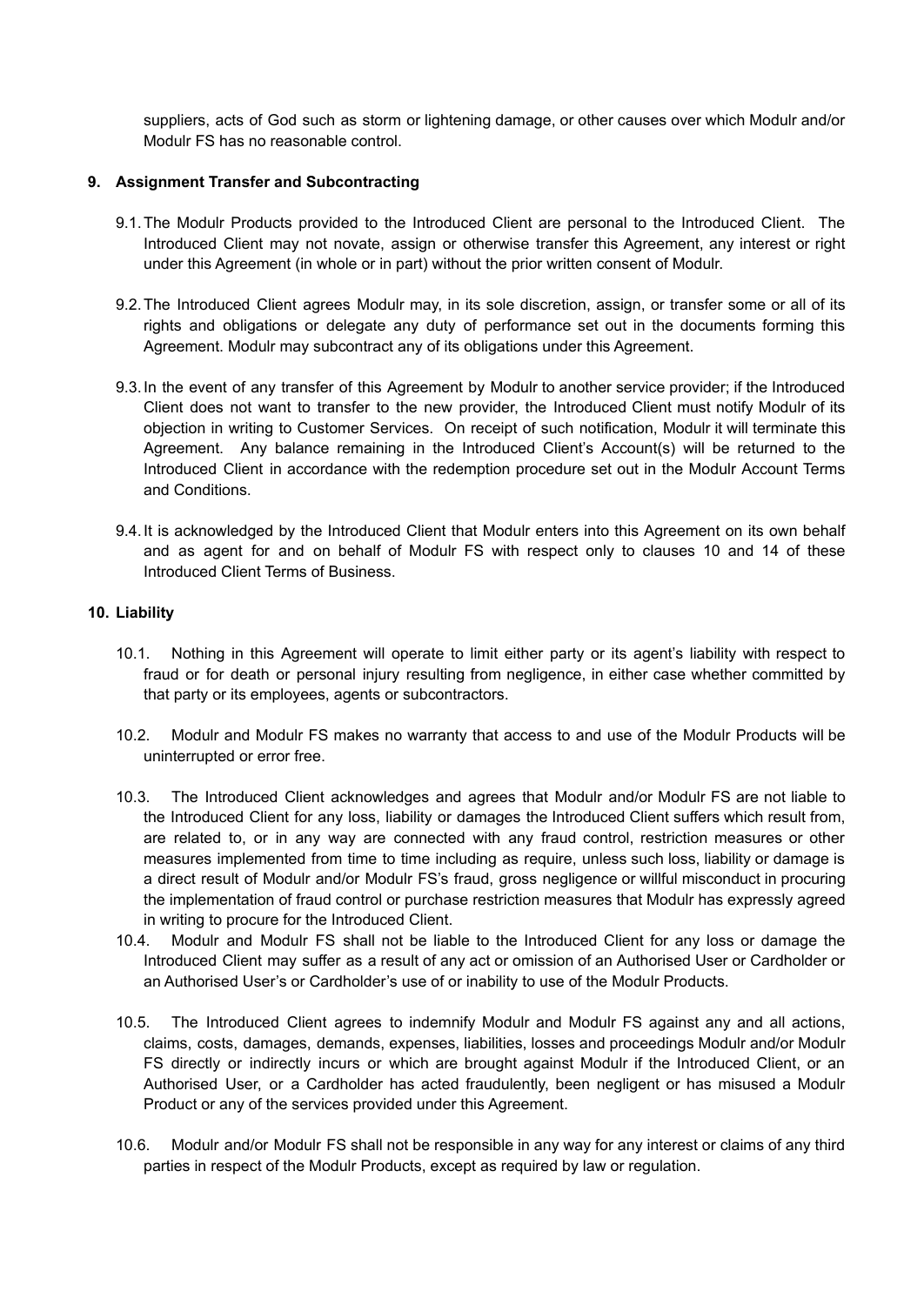suppliers, acts of God such as storm or lightening damage, or other causes over which Modulr and/or Modulr FS has no reasonable control.

## **9. Assignment Transfer and Subcontracting**

- 9.1.The Modulr Products provided to the Introduced Client are personal to the Introduced Client. The Introduced Client may not novate, assign or otherwise transfer this Agreement, any interest or right under this Agreement (in whole or in part) without the prior written consent of Modulr.
- 9.2.The Introduced Client agrees Modulr may, in its sole discretion, assign, or transfer some or all of its rights and obligations or delegate any duty of performance set out in the documents forming this Agreement. Modulr may subcontract any of its obligations under this Agreement.
- 9.3.In the event of any transfer of this Agreement by Modulr to another service provider; if the Introduced Client does not want to transfer to the new provider, the Introduced Client must notify Modulr of its objection in writing to Customer Services. On receipt of such notification, Modulr it will terminate this Agreement. Any balance remaining in the Introduced Client's Account(s) will be returned to the Introduced Client in accordance with the redemption procedure set out in the Modulr Account Terms and Conditions.
- 9.4.It is acknowledged by the Introduced Client that Modulr enters into this Agreement on its own behalf and as agent for and on behalf of Modulr FS with respect only to clauses 10 and 14 of these Introduced Client Terms of Business.

## **10. Liability**

- 10.1. Nothing in this Agreement will operate to limit either party or its agent's liability with respect to fraud or for death or personal injury resulting from negligence, in either case whether committed by that party or its employees, agents or subcontractors.
- 10.2. Modulr and Modulr FS makes no warranty that access to and use of the Modulr Products will be uninterrupted or error free.
- 10.3. The Introduced Client acknowledges and agrees that Modulr and/or Modulr FS are not liable to the Introduced Client for any loss, liability or damages the Introduced Client suffers which result from, are related to, or in any way are connected with any fraud control, restriction measures or other measures implemented from time to time including as require, unless such loss, liability or damage is a direct result of Modulr and/or Modulr FS's fraud, gross negligence or willful misconduct in procuring the implementation of fraud control or purchase restriction measures that Modulr has expressly agreed in writing to procure for the Introduced Client.
- 10.4. Modulr and Modulr FS shall not be liable to the Introduced Client for any loss or damage the Introduced Client may suffer as a result of any act or omission of an Authorised User or Cardholder or an Authorised User's or Cardholder's use of or inability to use of the Modulr Products.
- 10.5. The Introduced Client agrees to indemnify Modulr and Modulr FS against any and all actions, claims, costs, damages, demands, expenses, liabilities, losses and proceedings Modulr and/or Modulr FS directly or indirectly incurs or which are brought against Modulr if the Introduced Client, or an Authorised User, or a Cardholder has acted fraudulently, been negligent or has misused a Modulr Product or any of the services provided under this Agreement.
- 10.6. Modulr and/or Modulr FS shall not be responsible in any way for any interest or claims of any third parties in respect of the Modulr Products, except as required by law or regulation.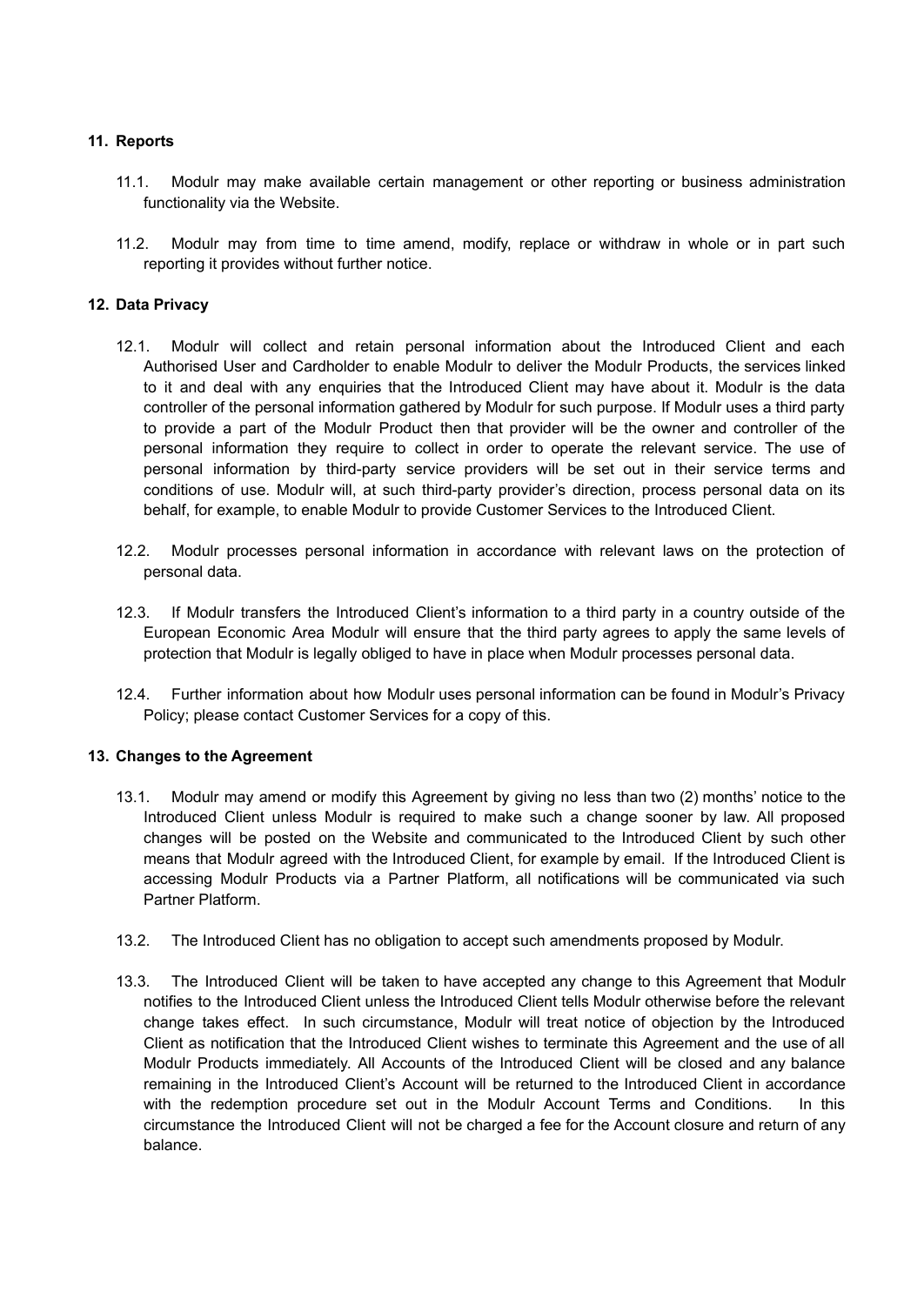## **11. Reports**

- 11.1. Modulr may make available certain management or other reporting or business administration functionality via the Website.
- 11.2. Modulr may from time to time amend, modify, replace or withdraw in whole or in part such reporting it provides without further notice.

## **12. Data Privacy**

- 12.1. Modulr will collect and retain personal information about the Introduced Client and each Authorised User and Cardholder to enable Modulr to deliver the Modulr Products, the services linked to it and deal with any enquiries that the Introduced Client may have about it. Modulr is the data controller of the personal information gathered by Modulr for such purpose. If Modulr uses a third party to provide a part of the Modulr Product then that provider will be the owner and controller of the personal information they require to collect in order to operate the relevant service. The use of personal information by third-party service providers will be set out in their service terms and conditions of use. Modulr will, at such third-party provider's direction, process personal data on its behalf, for example, to enable Modulr to provide Customer Services to the Introduced Client.
- 12.2. Modulr processes personal information in accordance with relevant laws on the protection of personal data.
- 12.3. If Modulr transfers the Introduced Client's information to a third party in a country outside of the European Economic Area Modulr will ensure that the third party agrees to apply the same levels of protection that Modulr is legally obliged to have in place when Modulr processes personal data.
- 12.4. Further information about how Modulr uses personal information can be found in Modulr's Privacy Policy; please contact Customer Services for a copy of this.

## **13. Changes to the Agreement**

- 13.1. Modulr may amend or modify this Agreement by giving no less than two (2) months' notice to the Introduced Client unless Modulr is required to make such a change sooner by law. All proposed changes will be posted on the Website and communicated to the Introduced Client by such other means that Modulr agreed with the Introduced Client, for example by email. If the Introduced Client is accessing Modulr Products via a Partner Platform, all notifications will be communicated via such Partner Platform.
- 13.2. The Introduced Client has no obligation to accept such amendments proposed by Modulr.
- 13.3. The Introduced Client will be taken to have accepted any change to this Agreement that Modulr notifies to the Introduced Client unless the Introduced Client tells Modulr otherwise before the relevant change takes effect. In such circumstance, Modulr will treat notice of objection by the Introduced Client as notification that the Introduced Client wishes to terminate this Agreement and the use of all Modulr Products immediately. All Accounts of the Introduced Client will be closed and any balance remaining in the Introduced Client's Account will be returned to the Introduced Client in accordance with the redemption procedure set out in the Modulr Account Terms and Conditions. In this circumstance the Introduced Client will not be charged a fee for the Account closure and return of any balance.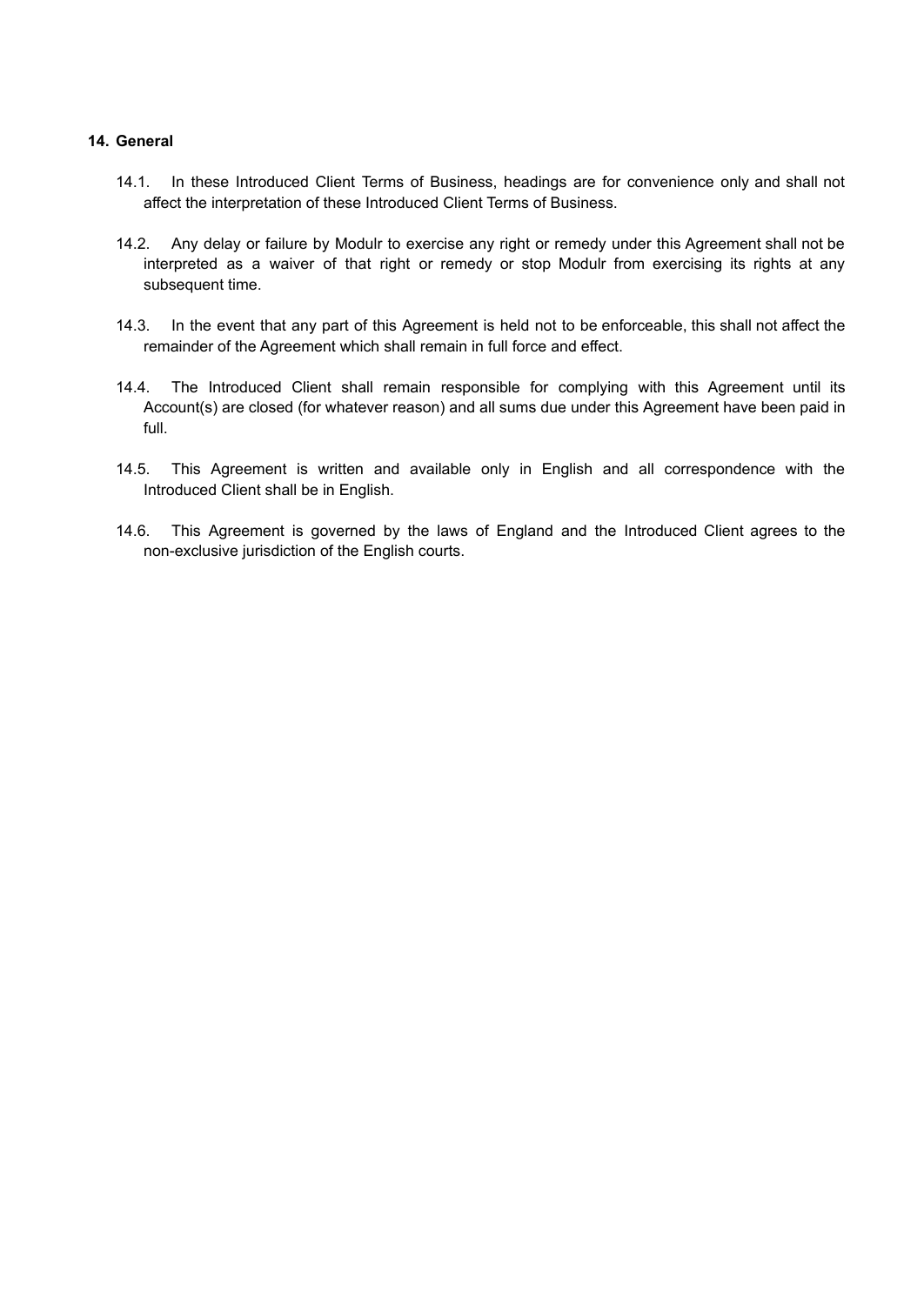## **14. General**

- 14.1. In these Introduced Client Terms of Business, headings are for convenience only and shall not affect the interpretation of these Introduced Client Terms of Business.
- 14.2. Any delay or failure by Modulr to exercise any right or remedy under this Agreement shall not be interpreted as a waiver of that right or remedy or stop Modulr from exercising its rights at any subsequent time.
- 14.3. In the event that any part of this Agreement is held not to be enforceable, this shall not affect the remainder of the Agreement which shall remain in full force and effect.
- 14.4. The Introduced Client shall remain responsible for complying with this Agreement until its Account(s) are closed (for whatever reason) and all sums due under this Agreement have been paid in full.
- 14.5. This Agreement is written and available only in English and all correspondence with the Introduced Client shall be in English.
- 14.6. This Agreement is governed by the laws of England and the Introduced Client agrees to the non-exclusive jurisdiction of the English courts.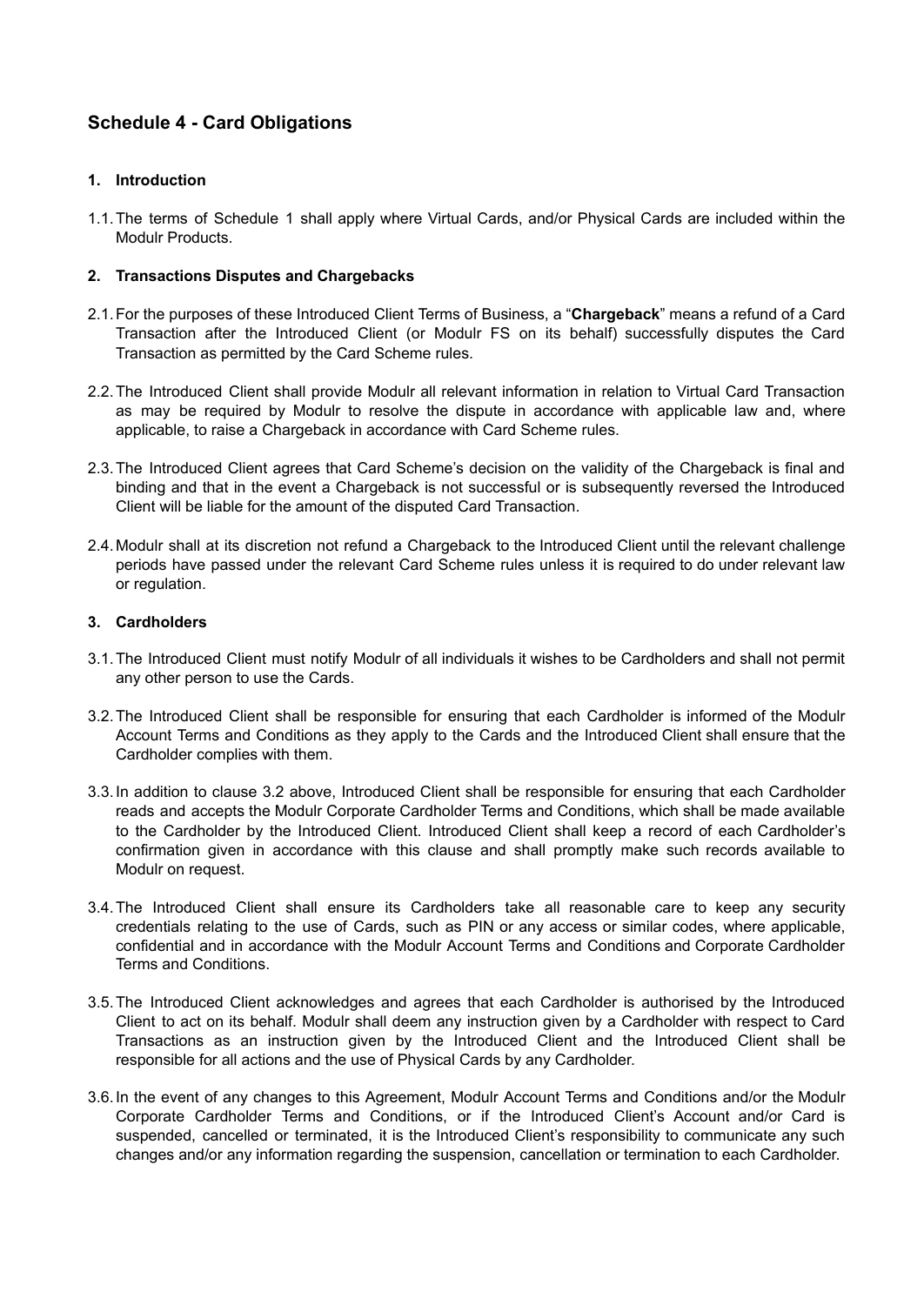# <span id="page-31-0"></span>**Schedule 4 - Card Obligations**

## **1. Introduction**

1.1.The terms of Schedule 1 shall apply where Virtual Cards, and/or Physical Cards are included within the Modulr Products.

## **2. Transactions Disputes and Chargebacks**

- 2.1.For the purposes of these Introduced Client Terms of Business, a "**Chargeback**" means a refund of a Card Transaction after the Introduced Client (or Modulr FS on its behalf) successfully disputes the Card Transaction as permitted by the Card Scheme rules.
- 2.2.The Introduced Client shall provide Modulr all relevant information in relation to Virtual Card Transaction as may be required by Modulr to resolve the dispute in accordance with applicable law and, where applicable, to raise a Chargeback in accordance with Card Scheme rules.
- 2.3.The Introduced Client agrees that Card Scheme's decision on the validity of the Chargeback is final and binding and that in the event a Chargeback is not successful or is subsequently reversed the Introduced Client will be liable for the amount of the disputed Card Transaction.
- 2.4.Modulr shall at its discretion not refund a Chargeback to the Introduced Client until the relevant challenge periods have passed under the relevant Card Scheme rules unless it is required to do under relevant law or regulation.

## **3. Cardholders**

- 3.1.The Introduced Client must notify Modulr of all individuals it wishes to be Cardholders and shall not permit any other person to use the Cards.
- 3.2.The Introduced Client shall be responsible for ensuring that each Cardholder is informed of the Modulr Account Terms and Conditions as they apply to the Cards and the Introduced Client shall ensure that the Cardholder complies with them.
- 3.3.In addition to clause 3.2 above, Introduced Client shall be responsible for ensuring that each Cardholder reads and accepts the Modulr Corporate Cardholder Terms and Conditions, which shall be made available to the Cardholder by the Introduced Client. Introduced Client shall keep a record of each Cardholder's confirmation given in accordance with this clause and shall promptly make such records available to Modulr on request.
- 3.4.The Introduced Client shall ensure its Cardholders take all reasonable care to keep any security credentials relating to the use of Cards, such as PIN or any access or similar codes, where applicable, confidential and in accordance with the Modulr Account Terms and Conditions and Corporate Cardholder Terms and Conditions.
- 3.5.The Introduced Client acknowledges and agrees that each Cardholder is authorised by the Introduced Client to act on its behalf. Modulr shall deem any instruction given by a Cardholder with respect to Card Transactions as an instruction given by the Introduced Client and the Introduced Client shall be responsible for all actions and the use of Physical Cards by any Cardholder.
- 3.6.In the event of any changes to this Agreement, Modulr Account Terms and Conditions and/or the Modulr Corporate Cardholder Terms and Conditions, or if the Introduced Client's Account and/or Card is suspended, cancelled or terminated, it is the Introduced Client's responsibility to communicate any such changes and/or any information regarding the suspension, cancellation or termination to each Cardholder.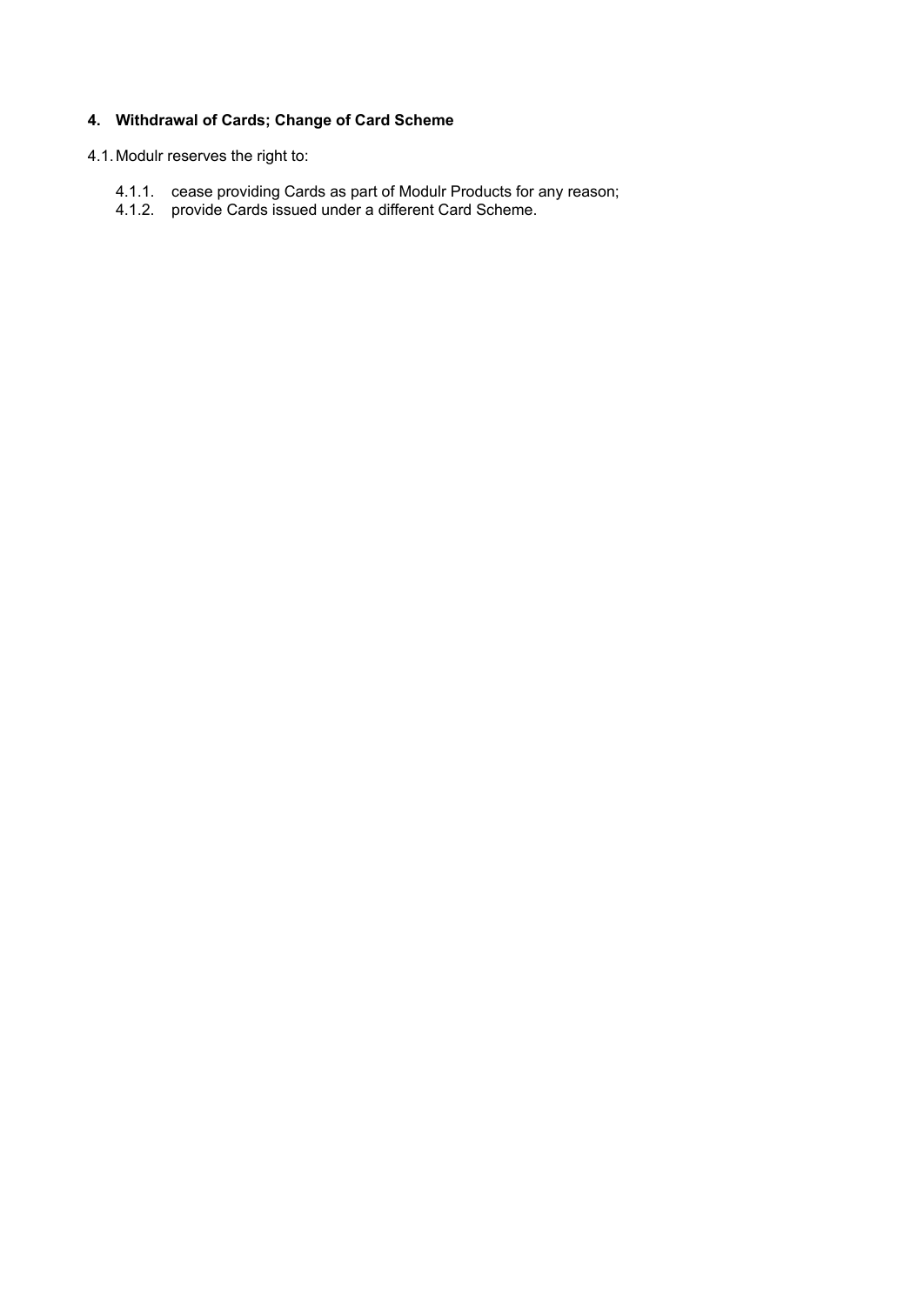# **4. Withdrawal of Cards; Change of Card Scheme**

## 4.1.Modulr reserves the right to:

- 4.1.1. cease providing Cards as part of Modulr Products for any reason;
- 4.1.2. provide Cards issued under a different Card Scheme.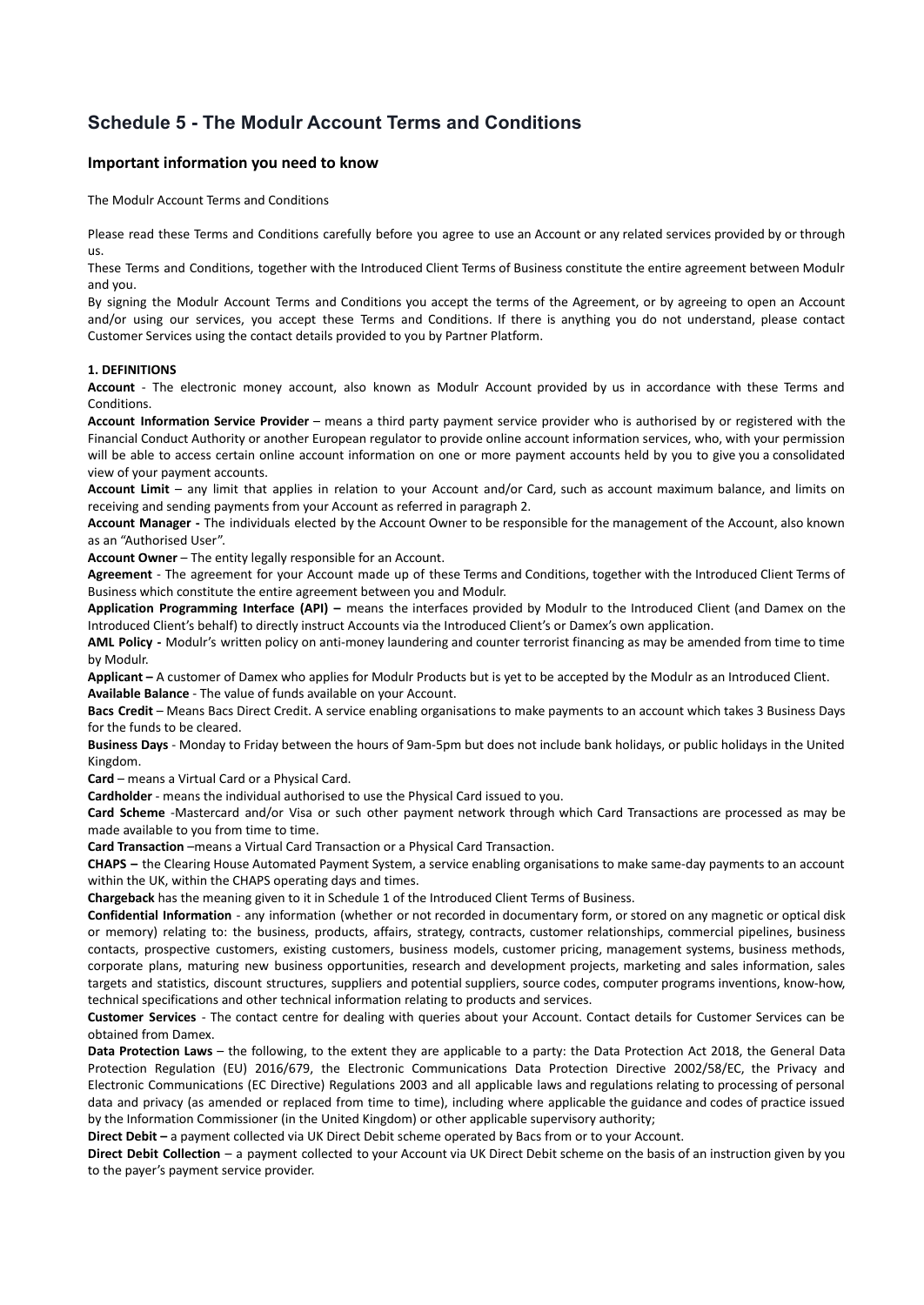# <span id="page-33-0"></span>**Schedule 5 - The Modulr Account Terms and Conditions**

#### **Important information you need to know**

The Modulr Account Terms and Conditions

Please read these Terms and Conditions carefully before you agree to use an Account or any related services provided by or through us.

These Terms and Conditions, together with the Introduced Client Terms of Business constitute the entire agreement between Modulr and you.

By signing the Modulr Account Terms and Conditions you accept the terms of the Agreement, or by agreeing to open an Account and/or using our services, you accept these Terms and Conditions. If there is anything you do not understand, please contact Customer Services using the contact details provided to you by Partner Platform.

#### **1. DEFINITIONS**

**Account** - The electronic money account, also known as Modulr Account provided by us in accordance with these Terms and **Conditions** 

**Account Information Service Provider** – means a third party payment service provider who is authorised by or registered with the Financial Conduct Authority or another European regulator to provide online account information services, who, with your permission will be able to access certain online account information on one or more payment accounts held by you to give you a consolidated view of your payment accounts.

**Account Limit** – any limit that applies in relation to your Account and/or Card, such as account maximum balance, and limits on receiving and sending payments from your Account as referred in paragraph 2.

**Account Manager -** The individuals elected by the Account Owner to be responsible for the management of the Account, also known as an "Authorised User".

**Account Owner** – The entity legally responsible for an Account.

**Agreement** - The agreement for your Account made up of these Terms and Conditions, together with the Introduced Client Terms of Business which constitute the entire agreement between you and Modulr.

**Application Programming Interface (API) –** means the interfaces provided by Modulr to the Introduced Client (and Damex on the Introduced Client's behalf) to directly instruct Accounts via the Introduced Client's or Damex's own application.

**AML Policy -** Modulr's written policy on anti-money laundering and counter terrorist financing as may be amended from time to time by Modulr.

**Applicant –** A customer of Damex who applies for Modulr Products but is yet to be accepted by the Modulr as an Introduced Client. **Available Balance** - The value of funds available on your Account.

**Bacs Credit** – Means Bacs Direct Credit. A service enabling organisations to make payments to an account which takes 3 Business Days for the funds to be cleared.

**Business Days** - Monday to Friday between the hours of 9am-5pm but does not include bank holidays, or public holidays in the United Kingdom.

**Card** – means a Virtual Card or a Physical Card.

**Cardholder** - means the individual authorised to use the Physical Card issued to you.

**Card Scheme** -Mastercard and/or Visa or such other payment network through which Card Transactions are processed as may be made available to you from time to time.

**Card Transaction** –means a Virtual Card Transaction or a Physical Card Transaction.

**CHAPS –** the Clearing House Automated Payment System, a service enabling organisations to make same-day payments to an account within the UK, within the CHAPS operating days and times.

**Chargeback** has the meaning given to it in Schedule 1 of the Introduced Client Terms of Business.

**Confidential Information** - any information (whether or not recorded in documentary form, or stored on any magnetic or optical disk or memory) relating to: the business, products, affairs, strategy, contracts, customer relationships, commercial pipelines, business contacts, prospective customers, existing customers, business models, customer pricing, management systems, business methods, corporate plans, maturing new business opportunities, research and development projects, marketing and sales information, sales targets and statistics, discount structures, suppliers and potential suppliers, source codes, computer programs inventions, know-how, technical specifications and other technical information relating to products and services.

**Customer Services** - The contact centre for dealing with queries about your Account. Contact details for Customer Services can be obtained from Damex.

**Data Protection Laws** – the following, to the extent they are applicable to a party: the Data Protection Act 2018, the General Data Protection Regulation (EU) 2016/679, the Electronic Communications Data Protection Directive 2002/58/EC, the Privacy and Electronic Communications (EC Directive) Regulations 2003 and all applicable laws and regulations relating to processing of personal data and privacy (as amended or replaced from time to time), including where applicable the guidance and codes of practice issued by the Information Commissioner (in the United Kingdom) or other applicable supervisory authority;

**Direct Debit –** a payment collected via UK Direct Debit scheme operated by Bacs from or to your Account.

**Direct Debit Collection** – a payment collected to your Account via UK Direct Debit scheme on the basis of an instruction given by you to the payer's payment service provider.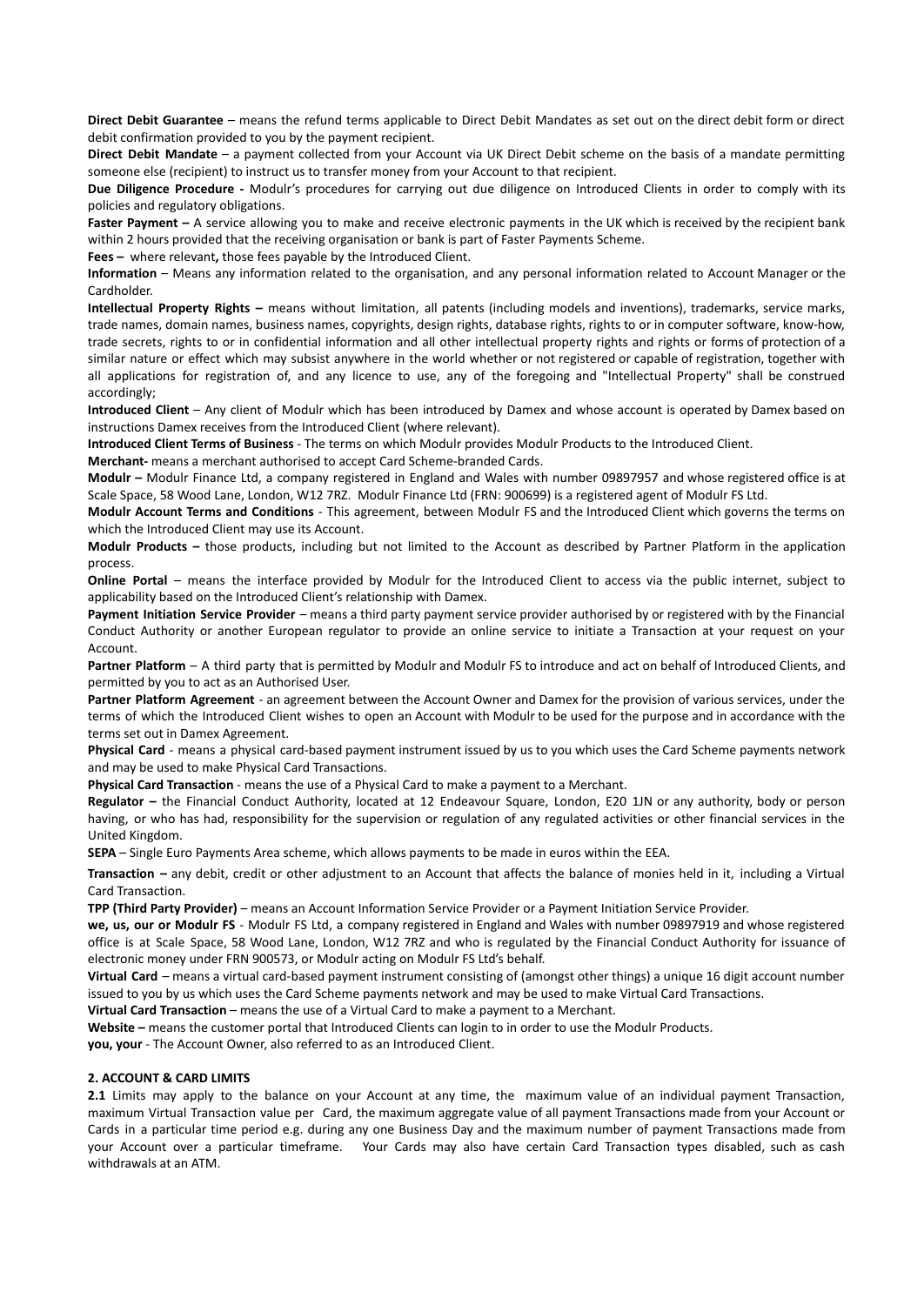**Direct Debit Guarantee** – means the refund terms applicable to Direct Debit Mandates as set out on the direct debit form or direct debit confirmation provided to you by the payment recipient.

**Direct Debit Mandate** – a payment collected from your Account via UK Direct Debit scheme on the basis of a mandate permitting someone else (recipient) to instruct us to transfer money from your Account to that recipient.

**Due Diligence Procedure -** Modulr's procedures for carrying out due diligence on Introduced Clients in order to comply with its policies and regulatory obligations.

**Faster Payment –** A service allowing you to make and receive electronic payments in the UK which is received by the recipient bank within 2 hours provided that the receiving organisation or bank is part of Faster Payments Scheme.

**Fees –** where relevant**,** those fees payable by the Introduced Client.

**Information** – Means any information related to the organisation, and any personal information related to Account Manager or the Cardholder.

**Intellectual Property Rights –** means without limitation, all patents (including models and inventions), trademarks, service marks, trade names, domain names, business names, copyrights, design rights, database rights, rights to or in computer software, know-how, trade secrets, rights to or in confidential information and all other intellectual property rights and rights or forms of protection of a similar nature or effect which may subsist anywhere in the world whether or not registered or capable of registration, together with all applications for registration of, and any licence to use, any of the foregoing and "Intellectual Property" shall be construed accordingly;

**Introduced Client** – Any client of Modulr which has been introduced by Damex and whose account is operated by Damex based on instructions Damex receives from the Introduced Client (where relevant).

**Introduced Client Terms of Business** - The terms on which Modulr provides Modulr Products to the Introduced Client.

**Merchant-** means a merchant authorised to accept Card Scheme-branded Cards.

**Modulr –** Modulr Finance Ltd, a company registered in England and Wales with number 09897957 and whose registered office is at Scale Space, 58 Wood Lane, London, W12 7RZ. Modulr Finance Ltd (FRN: 900699) is a registered agent of Modulr FS Ltd.

**Modulr Account Terms and Conditions** - This agreement, between Modulr FS and the Introduced Client which governs the terms on which the Introduced Client may use its Account.

**Modulr Products –** those products, including but not limited to the Account as described by Partner Platform in the application process.

**Online Portal** – means the interface provided by Modulr for the Introduced Client to access via the public internet, subject to applicability based on the Introduced Client's relationship with Damex.

**Payment Initiation Service Provider** – means a third party payment service provider authorised by or registered with by the Financial Conduct Authority or another European regulator to provide an online service to initiate a Transaction at your request on your Account.

**Partner Platform** – A third party that is permitted by Modulr and Modulr FS to introduce and act on behalf of Introduced Clients, and permitted by you to act as an Authorised User.

**Partner Platform Agreement** - an agreement between the Account Owner and Damex for the provision of various services, under the terms of which the Introduced Client wishes to open an Account with Modulr to be used for the purpose and in accordance with the terms set out in Damex Agreement.

**Physical Card** - means a physical card-based payment instrument issued by us to you which uses the Card Scheme payments network and may be used to make Physical Card Transactions.

**Physical Card Transaction** - means the use of a Physical Card to make a payment to a Merchant.

**Regulator –** the Financial Conduct Authority, located at 12 Endeavour Square, London, E20 1JN or any authority, body or person having, or who has had, responsibility for the supervision or regulation of any regulated activities or other financial services in the United Kingdom.

**SEPA** – Single Euro Payments Area scheme, which allows payments to be made in euros within the EEA.

**Transaction –** any debit, credit or other adjustment to an Account that affects the balance of monies held in it, including a Virtual Card Transaction.

**TPP (Third Party Provider)** – means an Account Information Service Provider or a Payment Initiation Service Provider.

**we, us, our or Modulr FS** - Modulr FS Ltd, a company registered in England and Wales with number 09897919 and whose registered office is at Scale Space, 58 Wood Lane, London, W12 7RZ and who is regulated by the Financial Conduct Authority for issuance of electronic money under FRN 900573, or Modulr acting on Modulr FS Ltd's behalf.

**Virtual Card** – means a virtual card-based payment instrument consisting of (amongst other things) a unique 16 digit account number issued to you by us which uses the Card Scheme payments network and may be used to make Virtual Card Transactions.

**Virtual Card Transaction** – means the use of a Virtual Card to make a payment to a Merchant.

**Website –** means the customer portal that Introduced Clients can login to in order to use the Modulr Products.

**you, your** - The Account Owner, also referred to as an Introduced Client.

#### **2. ACCOUNT & CARD LIMITS**

**2.1** Limits may apply to the balance on your Account at any time, the maximum value of an individual payment Transaction, maximum Virtual Transaction value per Card, the maximum aggregate value of all payment Transactions made from your Account or Cards in a particular time period e.g. during any one Business Day and the maximum number of payment Transactions made from your Account over a particular timeframe. Your Cards may also have certain Card Transaction types disabled, such as cash withdrawals at an ATM.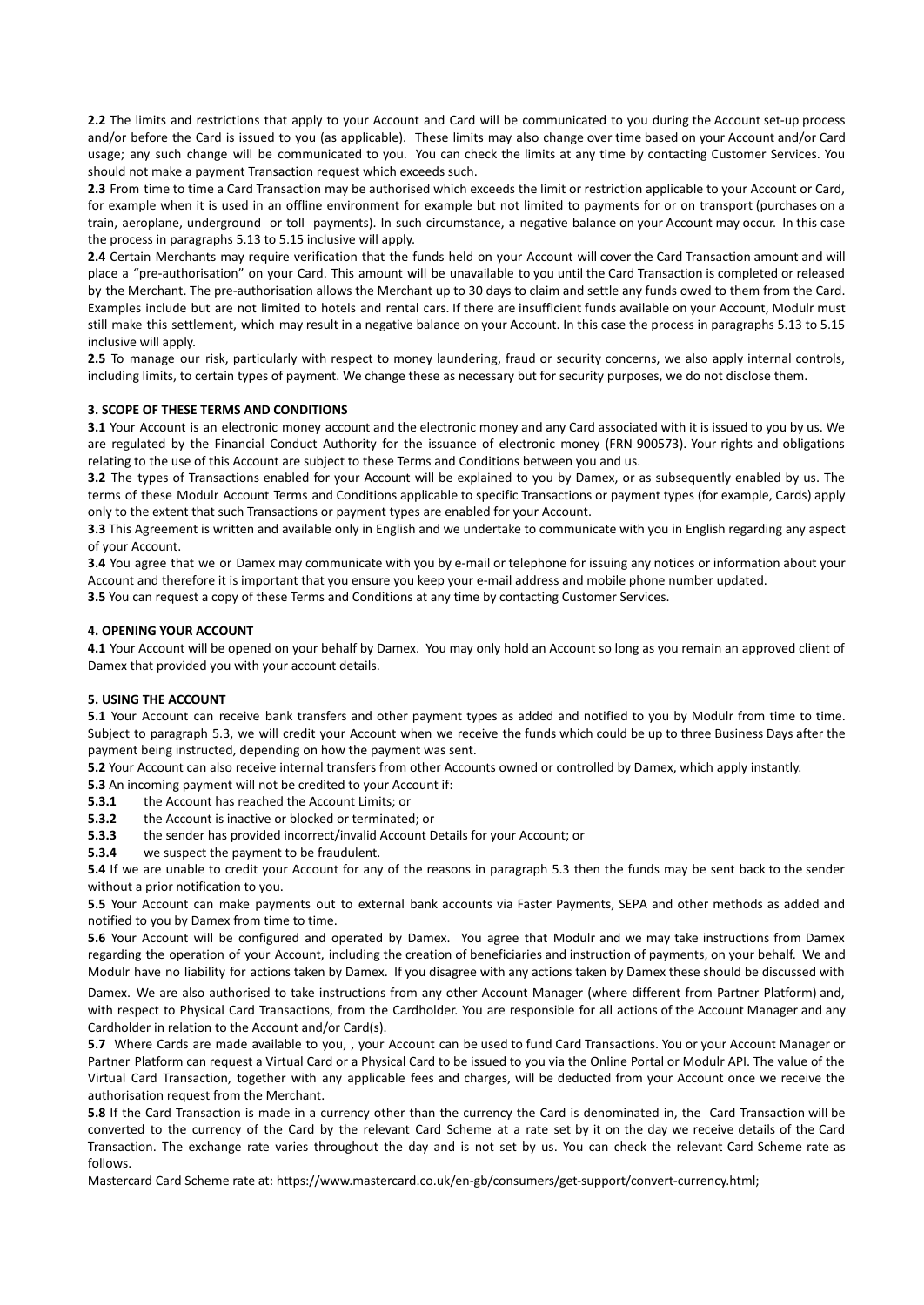**2.2** The limits and restrictions that apply to your Account and Card will be communicated to you during the Account set-up process and/or before the Card is issued to you (as applicable). These limits may also change over time based on your Account and/or Card usage; any such change will be communicated to you. You can check the limits at any time by contacting Customer Services. You should not make a payment Transaction request which exceeds such.

**2.3** From time to time a Card Transaction may be authorised which exceeds the limit or restriction applicable to your Account or Card, for example when it is used in an offline environment for example but not limited to payments for or on transport (purchases on a train, aeroplane, underground or toll payments). In such circumstance, a negative balance on your Account may occur. In this case the process in paragraphs 5.13 to 5.15 inclusive will apply.

**2.4** Certain Merchants may require verification that the funds held on your Account will cover the Card Transaction amount and will place a "pre-authorisation" on your Card. This amount will be unavailable to you until the Card Transaction is completed or released by the Merchant. The pre-authorisation allows the Merchant up to 30 days to claim and settle any funds owed to them from the Card. Examples include but are not limited to hotels and rental cars. If there are insufficient funds available on your Account, Modulr must still make this settlement, which may result in a negative balance on your Account. In this case the process in paragraphs 5.13 to 5.15 inclusive will apply.

**2.5** To manage our risk, particularly with respect to money laundering, fraud or security concerns, we also apply internal controls, including limits, to certain types of payment. We change these as necessary but for security purposes, we do not disclose them.

#### **3. SCOPE OF THESE TERMS AND CONDITIONS**

**3.1** Your Account is an electronic money account and the electronic money and any Card associated with it is issued to you by us. We are regulated by the Financial Conduct Authority for the issuance of electronic money (FRN 900573). Your rights and obligations relating to the use of this Account are subject to these Terms and Conditions between you and us.

**3.2** The types of Transactions enabled for your Account will be explained to you by Damex, or as subsequently enabled by us. The terms of these Modulr Account Terms and Conditions applicable to specific Transactions or payment types (for example, Cards) apply only to the extent that such Transactions or payment types are enabled for your Account.

**3.3** This Agreement is written and available only in English and we undertake to communicate with you in English regarding any aspect of your Account.

**3.4** You agree that we or Damex may communicate with you by e-mail or telephone for issuing any notices or information about your Account and therefore it is important that you ensure you keep your e-mail address and mobile phone number updated.

**3.5** You can request a copy of these Terms and Conditions at any time by contacting Customer Services.

#### **4. OPENING YOUR ACCOUNT**

**4.1** Your Account will be opened on your behalf by Damex. You may only hold an Account so long as you remain an approved client of Damex that provided you with your account details.

#### **5. USING THE ACCOUNT**

**5.1** Your Account can receive bank transfers and other payment types as added and notified to you by Modulr from time to time. Subject to paragraph 5.3, we will credit your Account when we receive the funds which could be up to three Business Days after the payment being instructed, depending on how the payment was sent.

**5.2** Your Account can also receive internal transfers from other Accounts owned or controlled by Damex, which apply instantly.

**5.3** An incoming payment will not be credited to your Account if:

**5.3.1** the Account has reached the Account Limits; or

- **5.3.2** the Account is inactive or blocked or terminated; or
- **5.3.3** the sender has provided incorrect/invalid Account Details for your Account; or
- **5.3.4** we suspect the payment to be fraudulent.

**5.4** If we are unable to credit your Account for any of the reasons in paragraph 5.3 then the funds may be sent back to the sender without a prior notification to you.

**5.5** Your Account can make payments out to external bank accounts via Faster Payments, SEPA and other methods as added and notified to you by Damex from time to time.

**5.6** Your Account will be configured and operated by Damex. You agree that Modulr and we may take instructions from Damex regarding the operation of your Account, including the creation of beneficiaries and instruction of payments, on your behalf. We and Modulr have no liability for actions taken by Damex. If you disagree with any actions taken by Damex these should be discussed with

Damex. We are also authorised to take instructions from any other Account Manager (where different from Partner Platform) and, with respect to Physical Card Transactions, from the Cardholder. You are responsible for all actions of the Account Manager and any Cardholder in relation to the Account and/or Card(s).

**5.7** Where Cards are made available to you, , your Account can be used to fund Card Transactions. You or your Account Manager or Partner Platform can request a Virtual Card or a Physical Card to be issued to you via the Online Portal or Modulr API. The value of the Virtual Card Transaction, together with any applicable fees and charges, will be deducted from your Account once we receive the authorisation request from the Merchant.

**5.8** If the Card Transaction is made in a currency other than the currency the Card is denominated in, the Card Transaction will be converted to the currency of the Card by the relevant Card Scheme at a rate set by it on the day we receive details of the Card Transaction. The exchange rate varies throughout the day and is not set by us. You can check the relevant Card Scheme rate as follows.

Mastercard Card Scheme rate at: https://www.mastercard.co.uk/en-gb/consumers/get-support/convert-currency.html;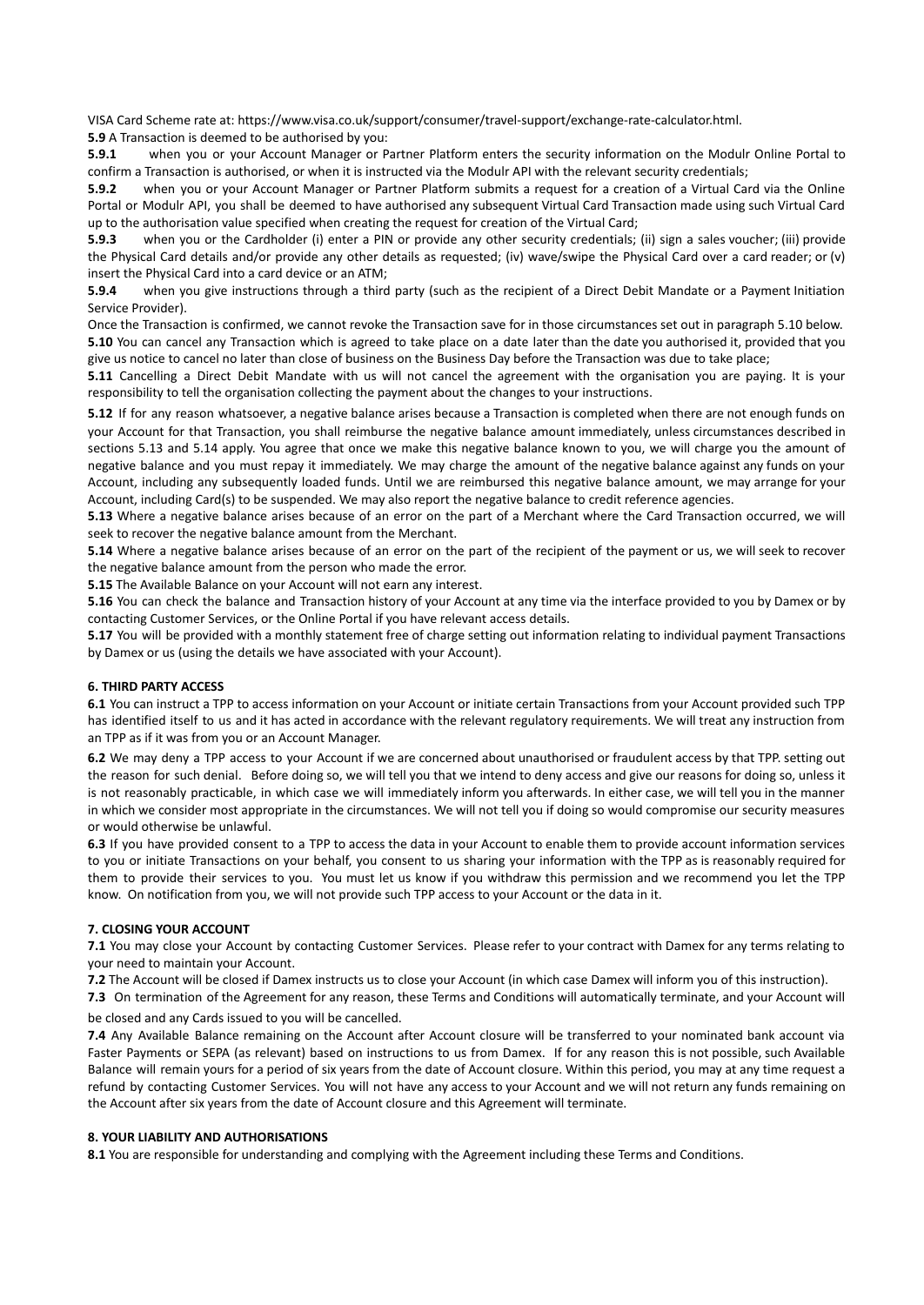VISA Card Scheme rate at: https://www.visa.co.uk/support/consumer/travel-support/exchange-rate-calculator.html.

**5.9** A Transaction is deemed to be authorised by you:

**5.9.1** when you or your Account Manager or Partner Platform enters the security information on the Modulr Online Portal to confirm a Transaction is authorised, or when it is instructed via the Modulr API with the relevant security credentials;

**5.9.2** when you or your Account Manager or Partner Platform submits a request for a creation of a Virtual Card via the Online Portal or Modulr API, you shall be deemed to have authorised any subsequent Virtual Card Transaction made using such Virtual Card up to the authorisation value specified when creating the request for creation of the Virtual Card;

**5.9.3** when you or the Cardholder (i) enter a PIN or provide any other security credentials; (ii) sign a sales voucher; (iii) provide the Physical Card details and/or provide any other details as requested; (iv) wave/swipe the Physical Card over a card reader; or (v) insert the Physical Card into a card device or an ATM;

**5.9.4** when you give instructions through a third party (such as the recipient of a Direct Debit Mandate or a Payment Initiation Service Provider).

Once the Transaction is confirmed, we cannot revoke the Transaction save for in those circumstances set out in paragraph 5.10 below. **5.10** You can cancel any Transaction which is agreed to take place on a date later than the date you authorised it, provided that you give us notice to cancel no later than close of business on the Business Day before the Transaction was due to take place;

**5.11** Cancelling a Direct Debit Mandate with us will not cancel the agreement with the organisation you are paying. It is your responsibility to tell the organisation collecting the payment about the changes to your instructions.

**5.12** If for any reason whatsoever, a negative balance arises because a Transaction is completed when there are not enough funds on your Account for that Transaction, you shall reimburse the negative balance amount immediately, unless circumstances described in sections 5.13 and 5.14 apply. You agree that once we make this negative balance known to you, we will charge you the amount of negative balance and you must repay it immediately. We may charge the amount of the negative balance against any funds on your Account, including any subsequently loaded funds. Until we are reimbursed this negative balance amount, we may arrange for your Account, including Card(s) to be suspended. We may also report the negative balance to credit reference agencies.

**5.13** Where a negative balance arises because of an error on the part of a Merchant where the Card Transaction occurred, we will seek to recover the negative balance amount from the Merchant.

**5.14** Where a negative balance arises because of an error on the part of the recipient of the payment or us, we will seek to recover the negative balance amount from the person who made the error.

**5.15** The Available Balance on your Account will not earn any interest.

**5.16** You can check the balance and Transaction history of your Account at any time via the interface provided to you by Damex or by contacting Customer Services, or the Online Portal if you have relevant access details.

**5.17** You will be provided with a monthly statement free of charge setting out information relating to individual payment Transactions by Damex or us (using the details we have associated with your Account).

#### **6. THIRD PARTY ACCESS**

**6.1** You can instruct a TPP to access information on your Account or initiate certain Transactions from your Account provided such TPP has identified itself to us and it has acted in accordance with the relevant regulatory requirements. We will treat any instruction from an TPP as if it was from you or an Account Manager.

**6.2** We may deny a TPP access to your Account if we are concerned about unauthorised or fraudulent access by that TPP. setting out the reason for such denial. Before doing so, we will tell you that we intend to deny access and give our reasons for doing so, unless it is not reasonably practicable, in which case we will immediately inform you afterwards. In either case, we will tell you in the manner in which we consider most appropriate in the circumstances. We will not tell you if doing so would compromise our security measures or would otherwise be unlawful.

**6.3** If you have provided consent to a TPP to access the data in your Account to enable them to provide account information services to you or initiate Transactions on your behalf, you consent to us sharing your information with the TPP as is reasonably required for them to provide their services to you. You must let us know if you withdraw this permission and we recommend you let the TPP know. On notification from you, we will not provide such TPP access to your Account or the data in it.

#### **7. CLOSING YOUR ACCOUNT**

**7.1** You may close your Account by contacting Customer Services. Please refer to your contract with Damex for any terms relating to your need to maintain your Account.

**7.2** The Account will be closed if Damex instructs us to close your Account (in which case Damex will inform you of this instruction).

**7.3** On termination of the Agreement for any reason, these Terms and Conditions will automatically terminate, and your Account will be closed and any Cards issued to you will be cancelled.

**7.4** Any Available Balance remaining on the Account after Account closure will be transferred to your nominated bank account via Faster Payments or SEPA (as relevant) based on instructions to us from Damex. If for any reason this is not possible, such Available Balance will remain yours for a period of six years from the date of Account closure. Within this period, you may at any time request a refund by contacting Customer Services. You will not have any access to your Account and we will not return any funds remaining on the Account after six years from the date of Account closure and this Agreement will terminate.

#### **8. YOUR LIABILITY AND AUTHORISATIONS**

**8.1** You are responsible for understanding and complying with the Agreement including these Terms and Conditions.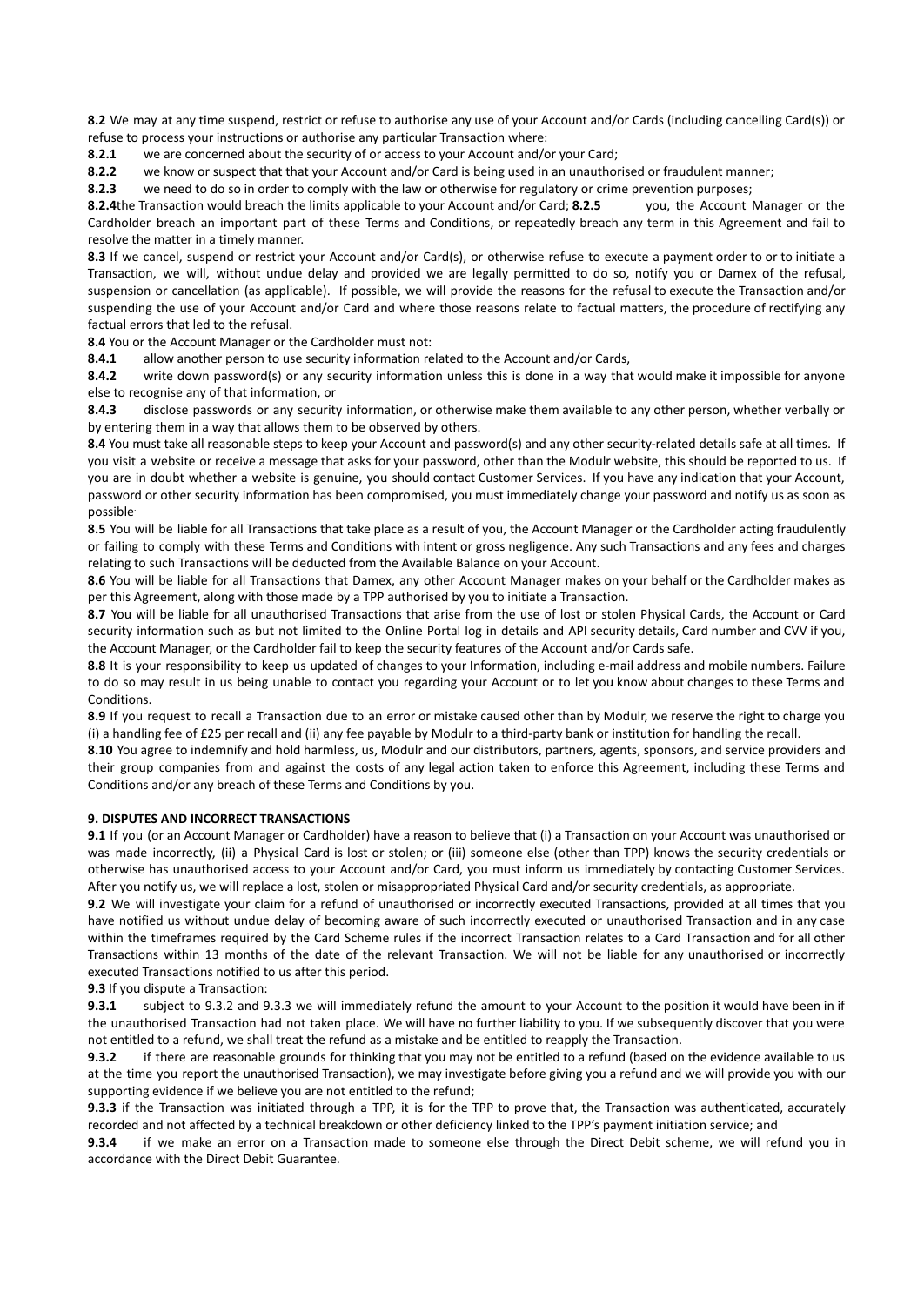**8.2** We may at any time suspend, restrict or refuse to authorise any use of your Account and/or Cards (including cancelling Card(s)) or refuse to process your instructions or authorise any particular Transaction where:

**8.2.1** we are concerned about the security of or access to your Account and/or your Card;

**8.2.2** we know or suspect that that your Account and/or Card is being used in an unauthorised or fraudulent manner;

**8.2.3** we need to do so in order to comply with the law or otherwise for regulatory or crime prevention purposes;

**8.2.4**the Transaction would breach the limits applicable to your Account and/or Card; **8.2.5** you, the Account Manager or the Cardholder breach an important part of these Terms and Conditions, or repeatedly breach any term in this Agreement and fail to resolve the matter in a timely manner.

**8.3** If we cancel, suspend or restrict your Account and/or Card(s), or otherwise refuse to execute a payment order to or to initiate a Transaction, we will, without undue delay and provided we are legally permitted to do so, notify you or Damex of the refusal, suspension or cancellation (as applicable). If possible, we will provide the reasons for the refusal to execute the Transaction and/or suspending the use of your Account and/or Card and where those reasons relate to factual matters, the procedure of rectifying any factual errors that led to the refusal.

**8.4** You or the Account Manager or the Cardholder must not:

**8.4.1** allow another person to use security information related to the Account and/or Cards,

**8.4.2** write down password(s) or any security information unless this is done in a way that would make it impossible for anyone else to recognise any of that information, or

**8.4.3** disclose passwords or any security information, or otherwise make them available to any other person, whether verbally or by entering them in a way that allows them to be observed by others.

8.4 You must take all reasonable steps to keep your Account and password(s) and any other security-related details safe at all times. If you visit a website or receive a message that asks for your password, other than the Modulr website, this should be reported to us. If you are in doubt whether a website is genuine, you should contact Customer Services. If you have any indication that your Account, password or other security information has been compromised, you must immediately change your password and notify us as soon as possible.

**8.5** You will be liable for all Transactions that take place as a result of you, the Account Manager or the Cardholder acting fraudulently or failing to comply with these Terms and Conditions with intent or gross negligence. Any such Transactions and any fees and charges relating to such Transactions will be deducted from the Available Balance on your Account.

**8.6** You will be liable for all Transactions that Damex, any other Account Manager makes on your behalf or the Cardholder makes as per this Agreement, along with those made by a TPP authorised by you to initiate a Transaction.

8.7 You will be liable for all unauthorised Transactions that arise from the use of lost or stolen Physical Cards, the Account or Card security information such as but not limited to the Online Portal log in details and API security details, Card number and CVV if you, the Account Manager, or the Cardholder fail to keep the security features of the Account and/or Cards safe.

**8.8** It is your responsibility to keep us updated of changes to your Information, including e-mail address and mobile numbers. Failure to do so may result in us being unable to contact you regarding your Account or to let you know about changes to these Terms and Conditions.

**8.9** If you request to recall a Transaction due to an error or mistake caused other than by Modulr, we reserve the right to charge you (i) a handling fee of £25 per recall and (ii) any fee payable by Modulr to a third-party bank or institution for handling the recall.

**8.10** You agree to indemnify and hold harmless, us, Modulr and our distributors, partners, agents, sponsors, and service providers and their group companies from and against the costs of any legal action taken to enforce this Agreement, including these Terms and Conditions and/or any breach of these Terms and Conditions by you.

#### **9. DISPUTES AND INCORRECT TRANSACTIONS**

**9.1** If you (or an Account Manager or Cardholder) have a reason to believe that (i) a Transaction on your Account was unauthorised or was made incorrectly, (ii) a Physical Card is lost or stolen; or (iii) someone else (other than TPP) knows the security credentials or otherwise has unauthorised access to your Account and/or Card, you must inform us immediately by contacting Customer Services. After you notify us, we will replace a lost, stolen or misappropriated Physical Card and/or security credentials, as appropriate.

**9.2** We will investigate your claim for a refund of unauthorised or incorrectly executed Transactions, provided at all times that you have notified us without undue delay of becoming aware of such incorrectly executed or unauthorised Transaction and in any case within the timeframes required by the Card Scheme rules if the incorrect Transaction relates to a Card Transaction and for all other Transactions within 13 months of the date of the relevant Transaction. We will not be liable for any unauthorised or incorrectly executed Transactions notified to us after this period.

**9.3** If you dispute a Transaction:

**9.3.1** subject to 9.3.2 and 9.3.3 we will immediately refund the amount to your Account to the position it would have been in if the unauthorised Transaction had not taken place. We will have no further liability to you. If we subsequently discover that you were not entitled to a refund, we shall treat the refund as a mistake and be entitled to reapply the Transaction.

**9.3.2** if there are reasonable grounds for thinking that you may not be entitled to a refund (based on the evidence available to us at the time you report the unauthorised Transaction), we may investigate before giving you a refund and we will provide you with our supporting evidence if we believe you are not entitled to the refund;

**9.3.3** if the Transaction was initiated through a TPP, it is for the TPP to prove that, the Transaction was authenticated, accurately recorded and not affected by a technical breakdown or other deficiency linked to the TPP's payment initiation service; and

**9.3.4** if we make an error on a Transaction made to someone else through the Direct Debit scheme, we will refund you in accordance with the Direct Debit Guarantee.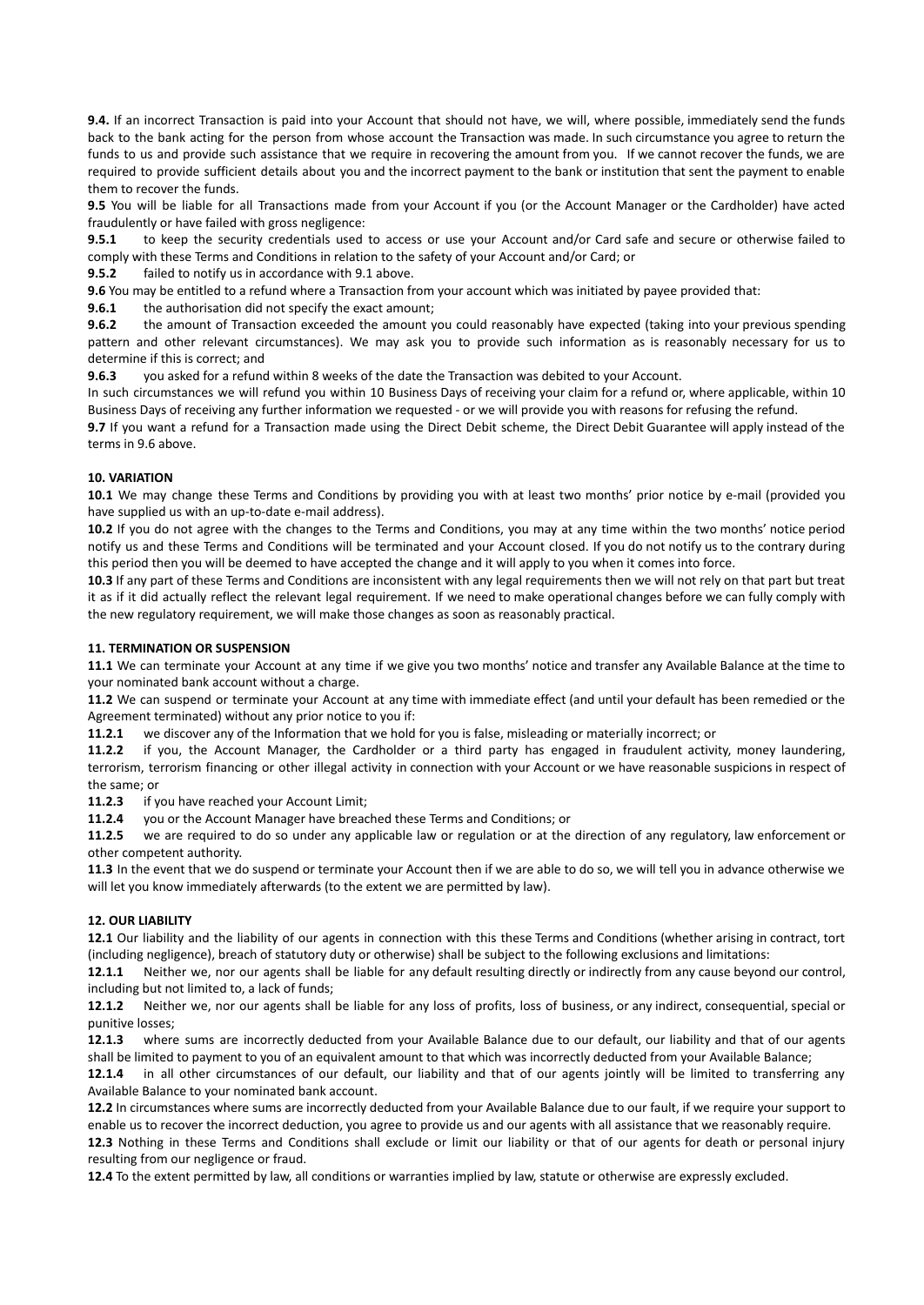**9.4.** If an incorrect Transaction is paid into your Account that should not have, we will, where possible, immediately send the funds back to the bank acting for the person from whose account the Transaction was made. In such circumstance you agree to return the funds to us and provide such assistance that we require in recovering the amount from you. If we cannot recover the funds, we are required to provide sufficient details about you and the incorrect payment to the bank or institution that sent the payment to enable them to recover the funds.

**9.5** You will be liable for all Transactions made from your Account if you (or the Account Manager or the Cardholder) have acted fraudulently or have failed with gross negligence:

**9.5.1** to keep the security credentials used to access or use your Account and/or Card safe and secure or otherwise failed to comply with these Terms and Conditions in relation to the safety of your Account and/or Card; or

**9.5.2** failed to notify us in accordance with 9.1 above.

**9.6** You may be entitled to a refund where a Transaction from your account which was initiated by payee provided that:

**9.6.1** the authorisation did not specify the exact amount;

**9.6.2** the amount of Transaction exceeded the amount you could reasonably have expected (taking into your previous spending pattern and other relevant circumstances). We may ask you to provide such information as is reasonably necessary for us to determine if this is correct; and

**9.6.3** you asked for a refund within 8 weeks of the date the Transaction was debited to your Account.

In such circumstances we will refund you within 10 Business Days of receiving your claim for a refund or, where applicable, within 10 Business Days of receiving any further information we requested - or we will provide you with reasons for refusing the refund.

**9.7** If you want a refund for a Transaction made using the Direct Debit scheme, the Direct Debit Guarantee will apply instead of the terms in 9.6 above.

#### **10. VARIATION**

**10.1** We may change these Terms and Conditions by providing you with at least two months' prior notice by e-mail (provided you have supplied us with an up-to-date e-mail address).

**10.2** If you do not agree with the changes to the Terms and Conditions, you may at any time within the two months' notice period notify us and these Terms and Conditions will be terminated and your Account closed. If you do not notify us to the contrary during this period then you will be deemed to have accepted the change and it will apply to you when it comes into force.

**10.3** If any part of these Terms and Conditions are inconsistent with any legal requirements then we will not rely on that part but treat it as if it did actually reflect the relevant legal requirement. If we need to make operational changes before we can fully comply with the new regulatory requirement, we will make those changes as soon as reasonably practical.

#### **11. TERMINATION OR SUSPENSION**

**11.1** We can terminate your Account at any time if we give you two months' notice and transfer any Available Balance at the time to your nominated bank account without a charge.

**11.2** We can suspend or terminate your Account at any time with immediate effect (and until your default has been remedied or the Agreement terminated) without any prior notice to you if:

**11.2.1** we discover any of the Information that we hold for you is false, misleading or materially incorrect; or

**11.2.2** if you, the Account Manager, the Cardholder or a third party has engaged in fraudulent activity, money laundering, terrorism, terrorism financing or other illegal activity in connection with your Account or we have reasonable suspicions in respect of the same; or

**11.2.3** if you have reached your Account Limit;

**11.2.4** you or the Account Manager have breached these Terms and Conditions; or

**11.2.5** we are required to do so under any applicable law or regulation or at the direction of any regulatory, law enforcement or other competent authority.

**11.3** In the event that we do suspend or terminate your Account then if we are able to do so, we will tell you in advance otherwise we will let you know immediately afterwards (to the extent we are permitted by law).

#### **12. OUR LIABILITY**

**12.1** Our liability and the liability of our agents in connection with this these Terms and Conditions (whether arising in contract, tort (including negligence), breach of statutory duty or otherwise) shall be subject to the following exclusions and limitations:

**12.1.1** Neither we, nor our agents shall be liable for any default resulting directly or indirectly from any cause beyond our control, including but not limited to, a lack of funds;

**12.1.2** Neither we, nor our agents shall be liable for any loss of profits, loss of business, or any indirect, consequential, special or punitive losses;

**12.1.3** where sums are incorrectly deducted from your Available Balance due to our default, our liability and that of our agents shall be limited to payment to you of an equivalent amount to that which was incorrectly deducted from your Available Balance;

**12.1.4** in all other circumstances of our default, our liability and that of our agents jointly will be limited to transferring any Available Balance to your nominated bank account.

**12.2** In circumstances where sums are incorrectly deducted from your Available Balance due to our fault, if we require your support to enable us to recover the incorrect deduction, you agree to provide us and our agents with all assistance that we reasonably require.

**12.3** Nothing in these Terms and Conditions shall exclude or limit our liability or that of our agents for death or personal injury resulting from our negligence or fraud.

**12.4** To the extent permitted by law, all conditions or warranties implied by law, statute or otherwise are expressly excluded.